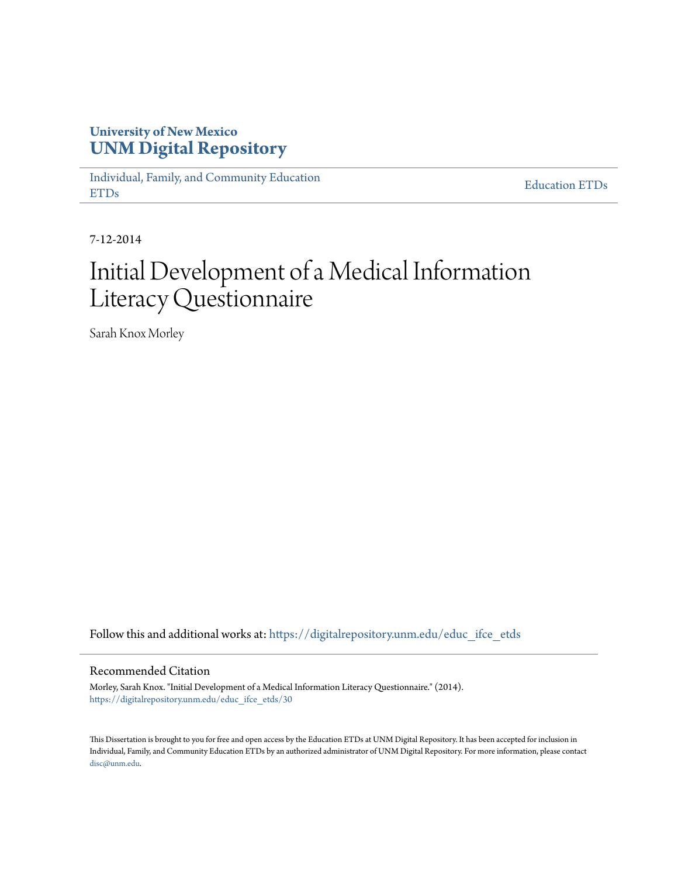# **University of New Mexico [UNM Digital Repository](https://digitalrepository.unm.edu?utm_source=digitalrepository.unm.edu%2Feduc_ifce_etds%2F30&utm_medium=PDF&utm_campaign=PDFCoverPages)**

[Individual, Family, and Community Education](https://digitalrepository.unm.edu/educ_ifce_etds?utm_source=digitalrepository.unm.edu%2Feduc_ifce_etds%2F30&utm_medium=PDF&utm_campaign=PDFCoverPages) [ETDs](https://digitalrepository.unm.edu/educ_ifce_etds?utm_source=digitalrepository.unm.edu%2Feduc_ifce_etds%2F30&utm_medium=PDF&utm_campaign=PDFCoverPages)

[Education ETDs](https://digitalrepository.unm.edu/educ_etds?utm_source=digitalrepository.unm.edu%2Feduc_ifce_etds%2F30&utm_medium=PDF&utm_campaign=PDFCoverPages)

7-12-2014

# Initial Development of a Medical Information Literacy Questionnaire

Sarah Knox Morley

Follow this and additional works at: [https://digitalrepository.unm.edu/educ\\_ifce\\_etds](https://digitalrepository.unm.edu/educ_ifce_etds?utm_source=digitalrepository.unm.edu%2Feduc_ifce_etds%2F30&utm_medium=PDF&utm_campaign=PDFCoverPages)

#### Recommended Citation

Morley, Sarah Knox. "Initial Development of a Medical Information Literacy Questionnaire." (2014). [https://digitalrepository.unm.edu/educ\\_ifce\\_etds/30](https://digitalrepository.unm.edu/educ_ifce_etds/30?utm_source=digitalrepository.unm.edu%2Feduc_ifce_etds%2F30&utm_medium=PDF&utm_campaign=PDFCoverPages)

This Dissertation is brought to you for free and open access by the Education ETDs at UNM Digital Repository. It has been accepted for inclusion in Individual, Family, and Community Education ETDs by an authorized administrator of UNM Digital Repository. For more information, please contact [disc@unm.edu](mailto:disc@unm.edu).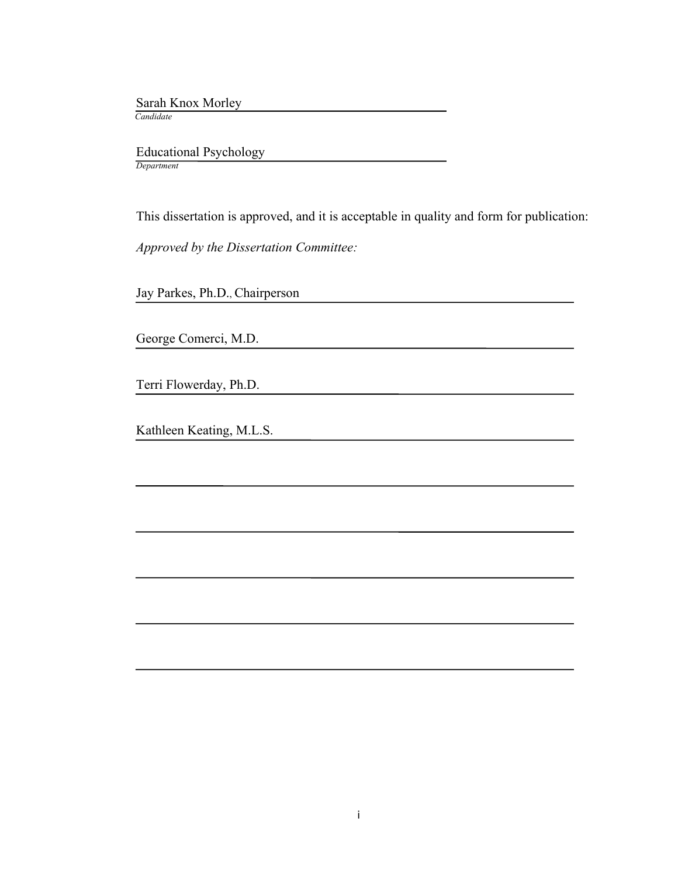Sarah Knox Morley

 *Candidate*

 Educational Psychology *Department*

This dissertation is approved, and it is acceptable in quality and form for publication:

*Approved by the Dissertation Committee:*

Jay Parkes, Ph.D., Chairperson

George Comerci, M.D.

Terri Flowerday, Ph.D.

Kathleen Keating, M.L.S.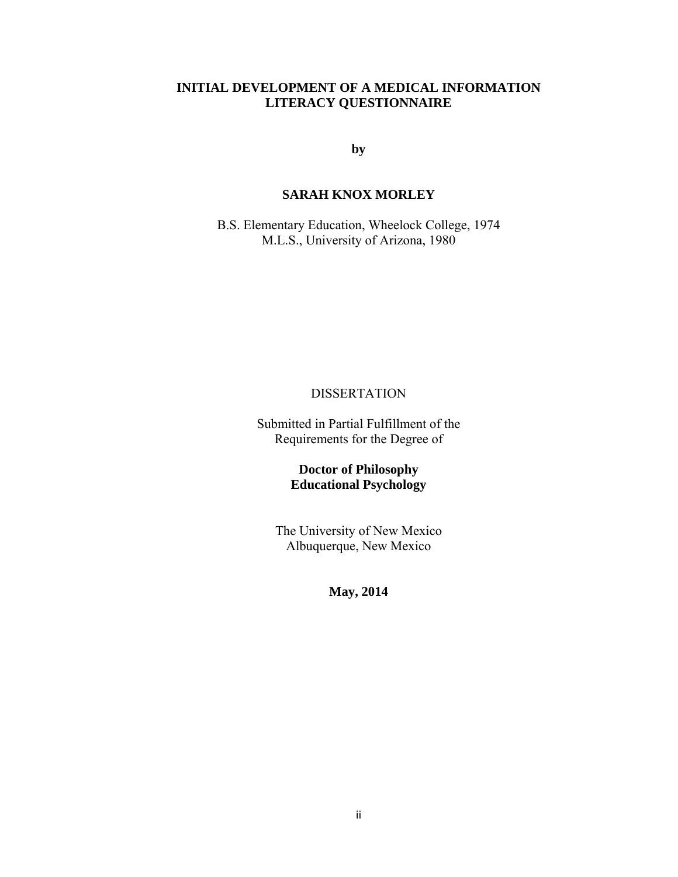# **INITIAL DEVELOPMENT OF A MEDICAL INFORMATION LITERACY QUESTIONNAIRE**

**by** 

# **SARAH KNOX MORLEY**

B.S. Elementary Education, Wheelock College, 1974 M.L.S., University of Arizona, 1980

# DISSERTATION

Submitted in Partial Fulfillment of the Requirements for the Degree of

> **Doctor of Philosophy Educational Psychology**

The University of New Mexico Albuquerque, New Mexico

**May, 2014**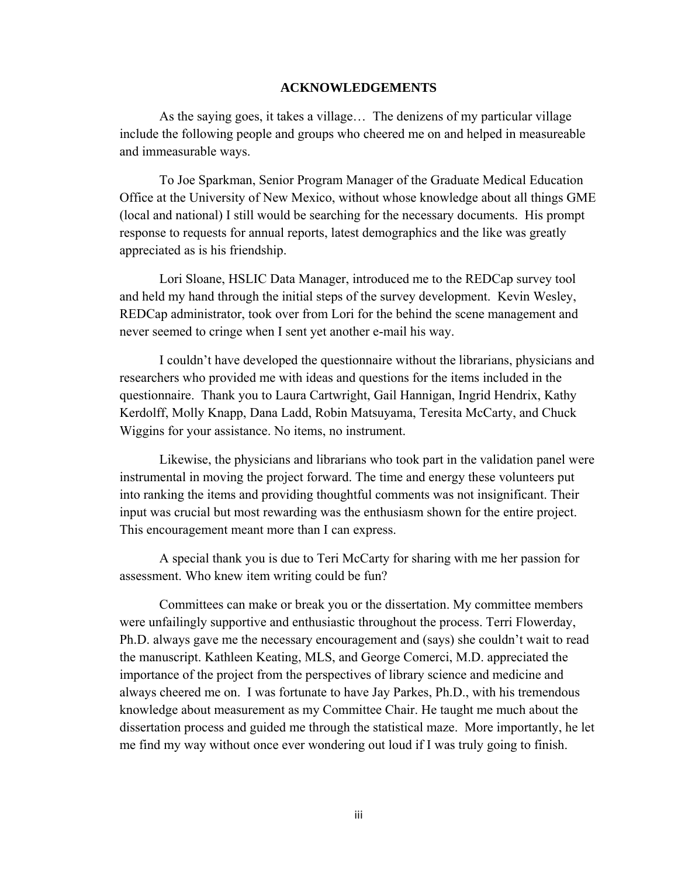# **ACKNOWLEDGEMENTS**

 As the saying goes, it takes a village… The denizens of my particular village include the following people and groups who cheered me on and helped in measureable and immeasurable ways.

To Joe Sparkman, Senior Program Manager of the Graduate Medical Education Office at the University of New Mexico, without whose knowledge about all things GME (local and national) I still would be searching for the necessary documents. His prompt response to requests for annual reports, latest demographics and the like was greatly appreciated as is his friendship.

Lori Sloane, HSLIC Data Manager, introduced me to the REDCap survey tool and held my hand through the initial steps of the survey development. Kevin Wesley, REDCap administrator, took over from Lori for the behind the scene management and never seemed to cringe when I sent yet another e-mail his way.

I couldn't have developed the questionnaire without the librarians, physicians and researchers who provided me with ideas and questions for the items included in the questionnaire. Thank you to Laura Cartwright, Gail Hannigan, Ingrid Hendrix, Kathy Kerdolff, Molly Knapp, Dana Ladd, Robin Matsuyama, Teresita McCarty, and Chuck Wiggins for your assistance. No items, no instrument.

Likewise, the physicians and librarians who took part in the validation panel were instrumental in moving the project forward. The time and energy these volunteers put into ranking the items and providing thoughtful comments was not insignificant. Their input was crucial but most rewarding was the enthusiasm shown for the entire project. This encouragement meant more than I can express.

A special thank you is due to Teri McCarty for sharing with me her passion for assessment. Who knew item writing could be fun?

Committees can make or break you or the dissertation. My committee members were unfailingly supportive and enthusiastic throughout the process. Terri Flowerday, Ph.D. always gave me the necessary encouragement and (says) she couldn't wait to read the manuscript. Kathleen Keating, MLS, and George Comerci, M.D. appreciated the importance of the project from the perspectives of library science and medicine and always cheered me on. I was fortunate to have Jay Parkes, Ph.D., with his tremendous knowledge about measurement as my Committee Chair. He taught me much about the dissertation process and guided me through the statistical maze. More importantly, he let me find my way without once ever wondering out loud if I was truly going to finish.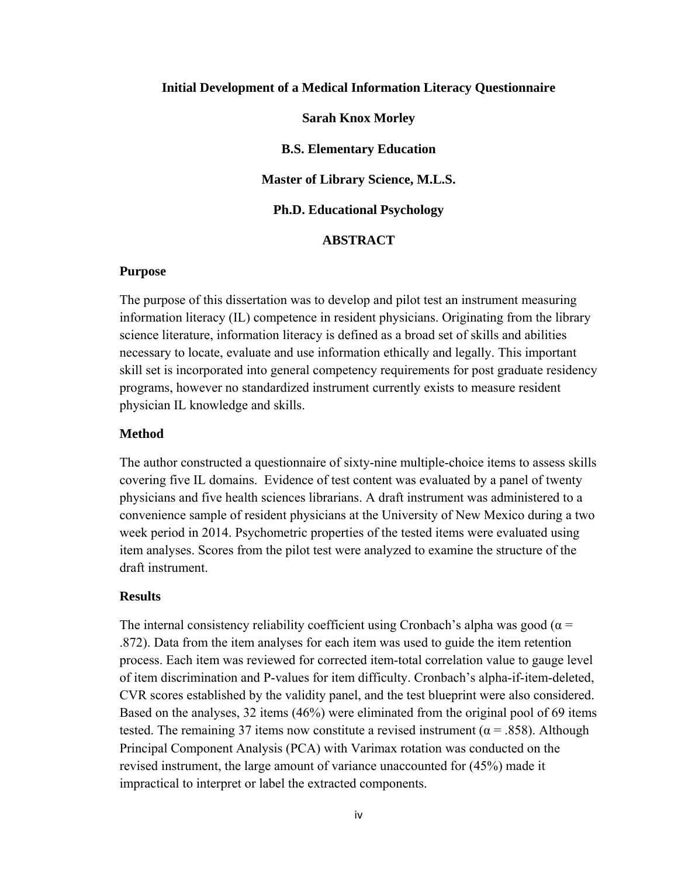# **Initial Development of a Medical Information Literacy Questionnaire**

**Sarah Knox Morley** 

**B.S. Elementary Education** 

**Master of Library Science, M.L.S.** 

**Ph.D. Educational Psychology** 

# **ABSTRACT**

#### **Purpose**

The purpose of this dissertation was to develop and pilot test an instrument measuring information literacy (IL) competence in resident physicians. Originating from the library science literature, information literacy is defined as a broad set of skills and abilities necessary to locate, evaluate and use information ethically and legally. This important skill set is incorporated into general competency requirements for post graduate residency programs, however no standardized instrument currently exists to measure resident physician IL knowledge and skills.

# **Method**

The author constructed a questionnaire of sixty-nine multiple-choice items to assess skills covering five IL domains. Evidence of test content was evaluated by a panel of twenty physicians and five health sciences librarians. A draft instrument was administered to a convenience sample of resident physicians at the University of New Mexico during a two week period in 2014. Psychometric properties of the tested items were evaluated using item analyses. Scores from the pilot test were analyzed to examine the structure of the draft instrument.

# **Results**

The internal consistency reliability coefficient using Cronbach's alpha was good ( $\alpha$  = .872). Data from the item analyses for each item was used to guide the item retention process. Each item was reviewed for corrected item-total correlation value to gauge level of item discrimination and P-values for item difficulty. Cronbach's alpha-if-item-deleted, CVR scores established by the validity panel, and the test blueprint were also considered. Based on the analyses, 32 items (46%) were eliminated from the original pool of 69 items tested. The remaining 37 items now constitute a revised instrument ( $\alpha$  = .858). Although Principal Component Analysis (PCA) with Varimax rotation was conducted on the revised instrument, the large amount of variance unaccounted for (45%) made it impractical to interpret or label the extracted components.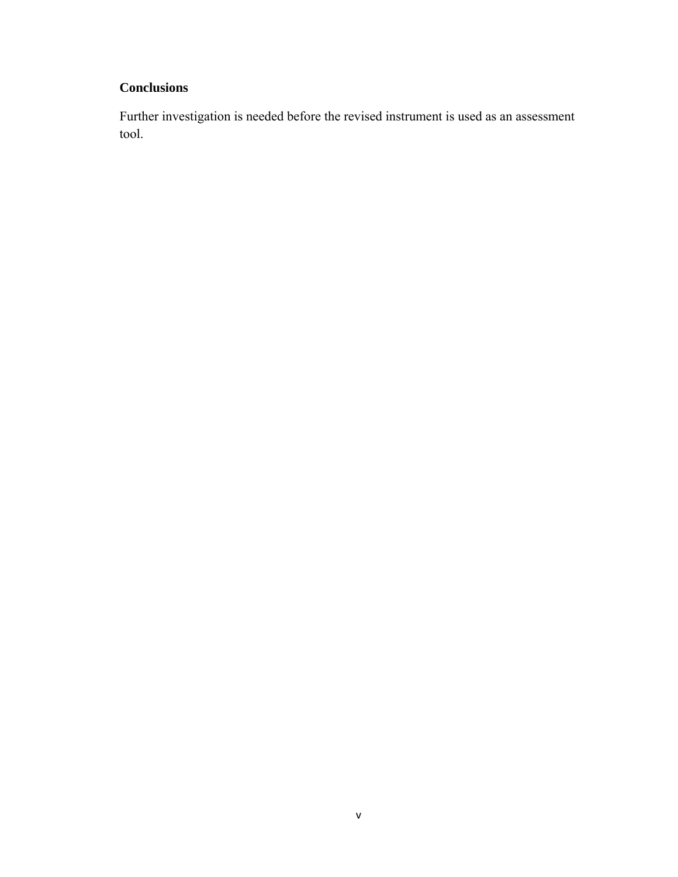# **Conclusions**

Further investigation is needed before the revised instrument is used as an assessment tool.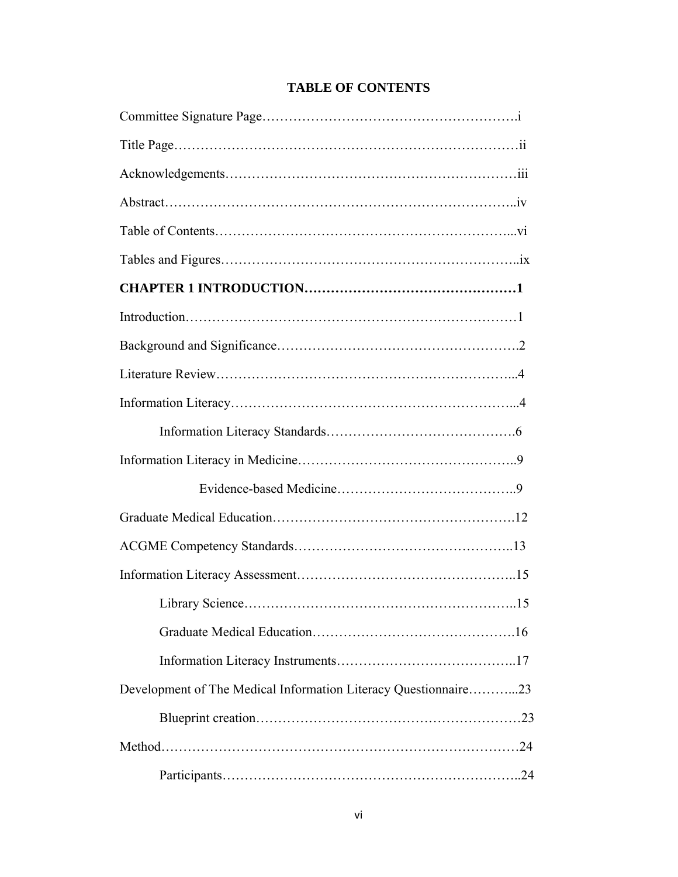| <b>Library Science</b><br>.15                                   |
|-----------------------------------------------------------------|
|                                                                 |
|                                                                 |
| Development of The Medical Information Literacy Questionnaire23 |
|                                                                 |
|                                                                 |
|                                                                 |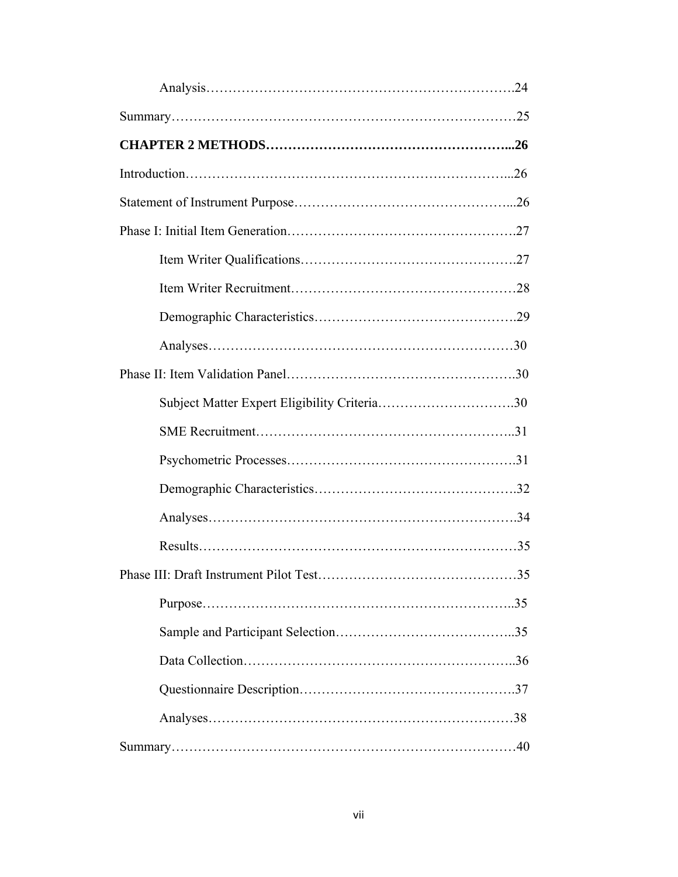| . 35 |
|------|
|      |
|      |
|      |
|      |
|      |
|      |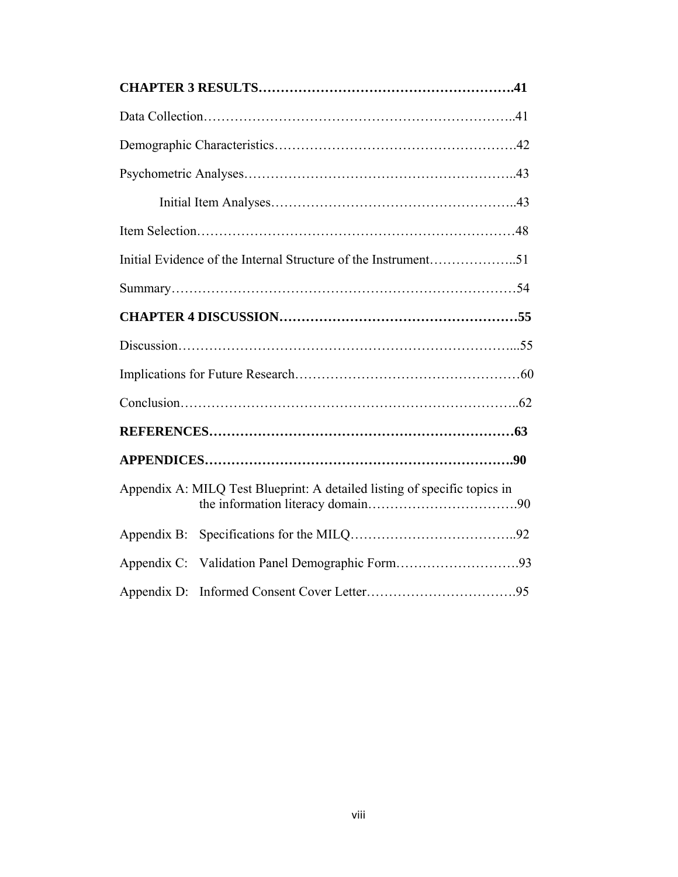| Initial Evidence of the Internal Structure of the Instrument51            |  |
|---------------------------------------------------------------------------|--|
|                                                                           |  |
|                                                                           |  |
|                                                                           |  |
|                                                                           |  |
|                                                                           |  |
|                                                                           |  |
|                                                                           |  |
| Appendix A: MILQ Test Blueprint: A detailed listing of specific topics in |  |
| Appendix B:                                                               |  |
| Appendix C:                                                               |  |
| Appendix D:                                                               |  |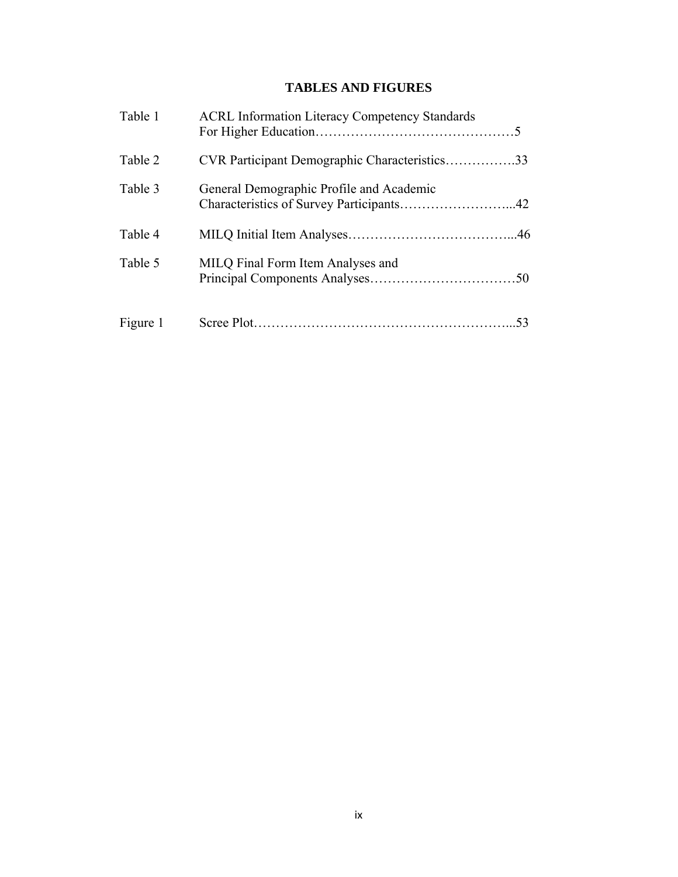# **TABLES AND FIGURES**

| Table 1  | <b>ACRL Information Literacy Competency Standards</b> |  |
|----------|-------------------------------------------------------|--|
| Table 2  | CVR Participant Demographic Characteristics33         |  |
| Table 3  | General Demographic Profile and Academic              |  |
| Table 4  |                                                       |  |
| Table 5  | MILQ Final Form Item Analyses and                     |  |
| Figure 1 |                                                       |  |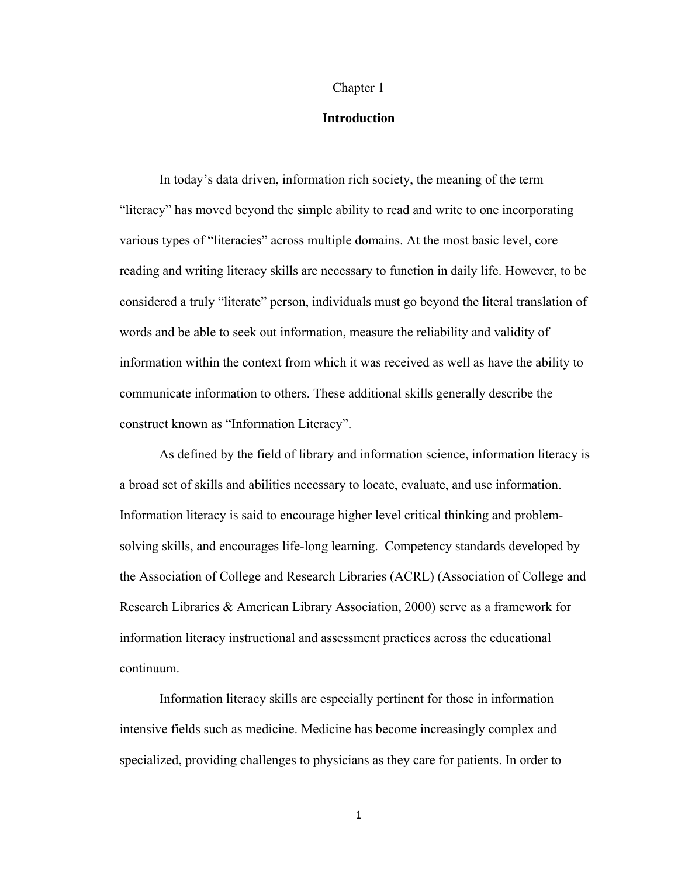#### Chapter 1

# **Introduction**

In today's data driven, information rich society, the meaning of the term "literacy" has moved beyond the simple ability to read and write to one incorporating various types of "literacies" across multiple domains. At the most basic level, core reading and writing literacy skills are necessary to function in daily life. However, to be considered a truly "literate" person, individuals must go beyond the literal translation of words and be able to seek out information, measure the reliability and validity of information within the context from which it was received as well as have the ability to communicate information to others. These additional skills generally describe the construct known as "Information Literacy".

As defined by the field of library and information science, information literacy is a broad set of skills and abilities necessary to locate, evaluate, and use information. Information literacy is said to encourage higher level critical thinking and problemsolving skills, and encourages life-long learning. Competency standards developed by the Association of College and Research Libraries (ACRL) (Association of College and Research Libraries & American Library Association, 2000) serve as a framework for information literacy instructional and assessment practices across the educational continuum.

Information literacy skills are especially pertinent for those in information intensive fields such as medicine. Medicine has become increasingly complex and specialized, providing challenges to physicians as they care for patients. In order to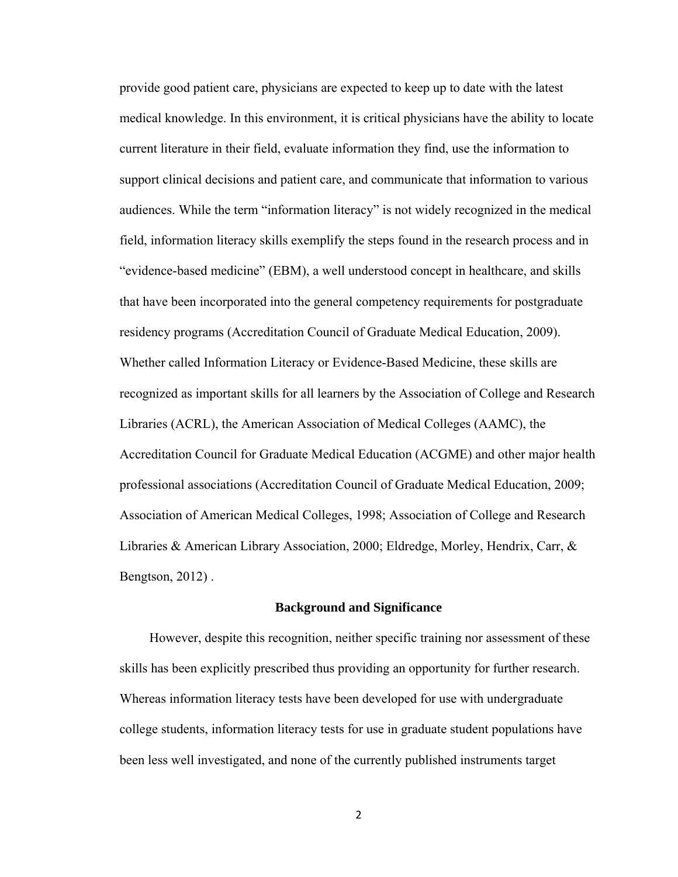provide good patient care, physicians are expected to keep up to date with the latest medical knowledge. In this environment, it is critical physicians have the ability to locate current literature in their field, evaluate information they find, use the information to support clinical decisions and patient care, and communicate that information to various audiences. While the term "information literacy" is not widely recognized in the medical field, information literacy skills exemplify the steps found in the research process and in "evidence-based medicine" (EBM), a well understood concept in healthcare, and skills that have been incorporated into the general competency requirements for postgraduate residency programs (Accreditation Council of Graduate Medical Education, 2009). Whether called Information Literacy or Evidence-Based Medicine, these skills are recognized as important skills for all learners by the Association of College and Research Libraries (ACRL), the American Association of Medical Colleges (AAMC), the Accreditation Council for Graduate Medical Education (ACGME) and other major health professional associations (Accreditation Council of Graduate Medical Education, 2009; Association of American Medical Colleges, 1998; Association of College and Research Libraries & American Library Association, 2000; Eldredge, Morley, Hendrix, Carr, & Bengtson, 2012) .

#### **Background and Significance**

 However, despite this recognition, neither specific training nor assessment of these skills has been explicitly prescribed thus providing an opportunity for further research. Whereas information literacy tests have been developed for use with undergraduate college students, information literacy tests for use in graduate student populations have been less well investigated, and none of the currently published instruments target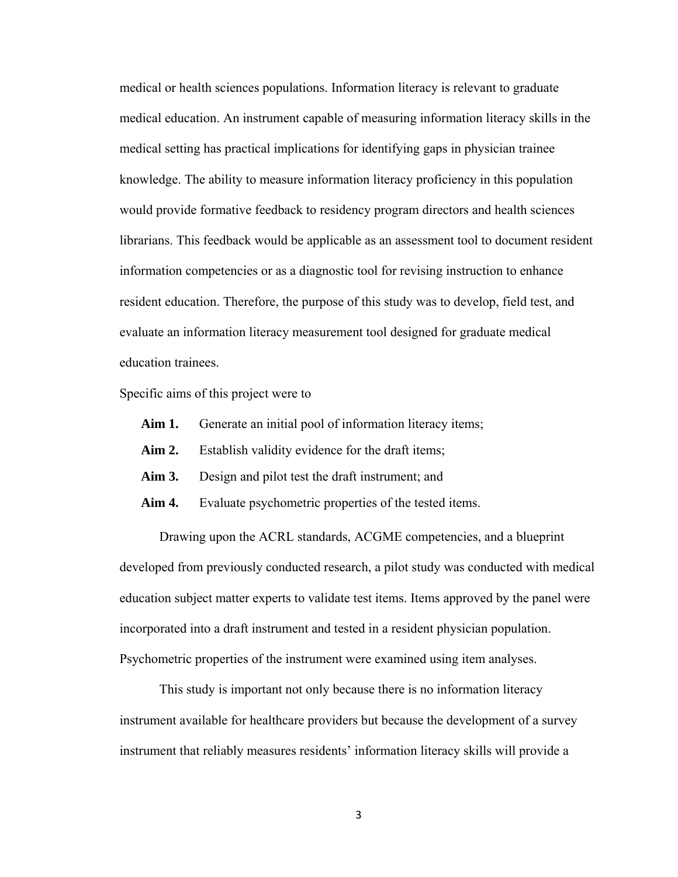medical or health sciences populations. Information literacy is relevant to graduate medical education. An instrument capable of measuring information literacy skills in the medical setting has practical implications for identifying gaps in physician trainee knowledge. The ability to measure information literacy proficiency in this population would provide formative feedback to residency program directors and health sciences librarians. This feedback would be applicable as an assessment tool to document resident information competencies or as a diagnostic tool for revising instruction to enhance resident education. Therefore, the purpose of this study was to develop, field test, and evaluate an information literacy measurement tool designed for graduate medical education trainees.

Specific aims of this project were to

- Aim 1. Generate an initial pool of information literacy items;
- Aim 2. Establish validity evidence for the draft items;
- **Aim 3.** Design and pilot test the draft instrument; and
- Aim 4. Evaluate psychometric properties of the tested items.

Drawing upon the ACRL standards, ACGME competencies, and a blueprint developed from previously conducted research, a pilot study was conducted with medical education subject matter experts to validate test items. Items approved by the panel were incorporated into a draft instrument and tested in a resident physician population. Psychometric properties of the instrument were examined using item analyses.

This study is important not only because there is no information literacy instrument available for healthcare providers but because the development of a survey instrument that reliably measures residents' information literacy skills will provide a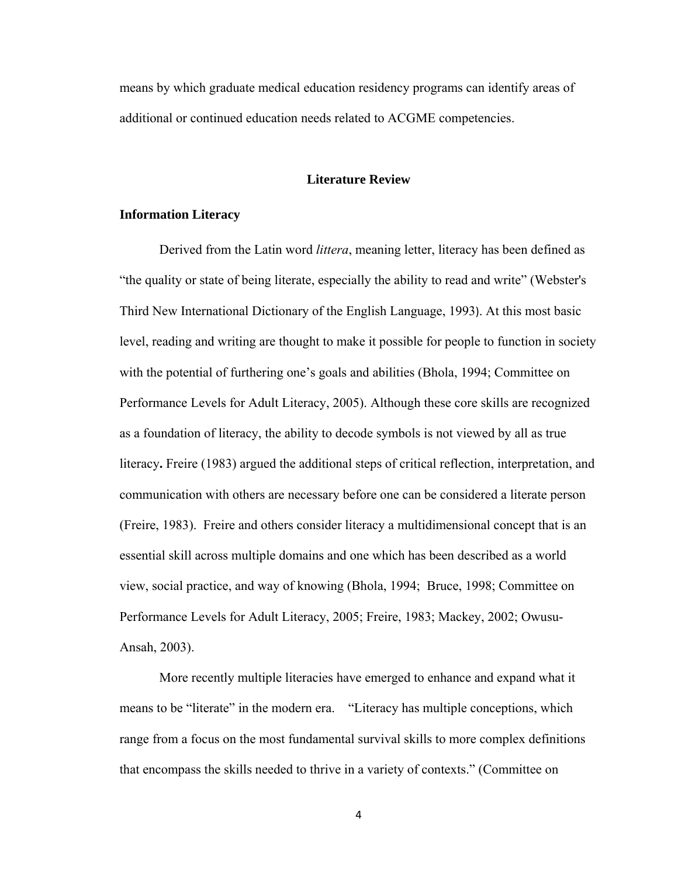means by which graduate medical education residency programs can identify areas of additional or continued education needs related to ACGME competencies.

# **Literature Review**

# **Information Literacy**

Derived from the Latin word *littera*, meaning letter, literacy has been defined as "the quality or state of being literate, especially the ability to read and write" (Webster's Third New International Dictionary of the English Language, 1993). At this most basic level, reading and writing are thought to make it possible for people to function in society with the potential of furthering one's goals and abilities (Bhola, 1994; Committee on Performance Levels for Adult Literacy, 2005). Although these core skills are recognized as a foundation of literacy, the ability to decode symbols is not viewed by all as true literacy**.** Freire (1983) argued the additional steps of critical reflection, interpretation, and communication with others are necessary before one can be considered a literate person (Freire, 1983). Freire and others consider literacy a multidimensional concept that is an essential skill across multiple domains and one which has been described as a world view, social practice, and way of knowing (Bhola, 1994; Bruce, 1998; Committee on Performance Levels for Adult Literacy, 2005; Freire, 1983; Mackey, 2002; Owusu-Ansah, 2003).

More recently multiple literacies have emerged to enhance and expand what it means to be "literate" in the modern era. "Literacy has multiple conceptions, which range from a focus on the most fundamental survival skills to more complex definitions that encompass the skills needed to thrive in a variety of contexts." (Committee on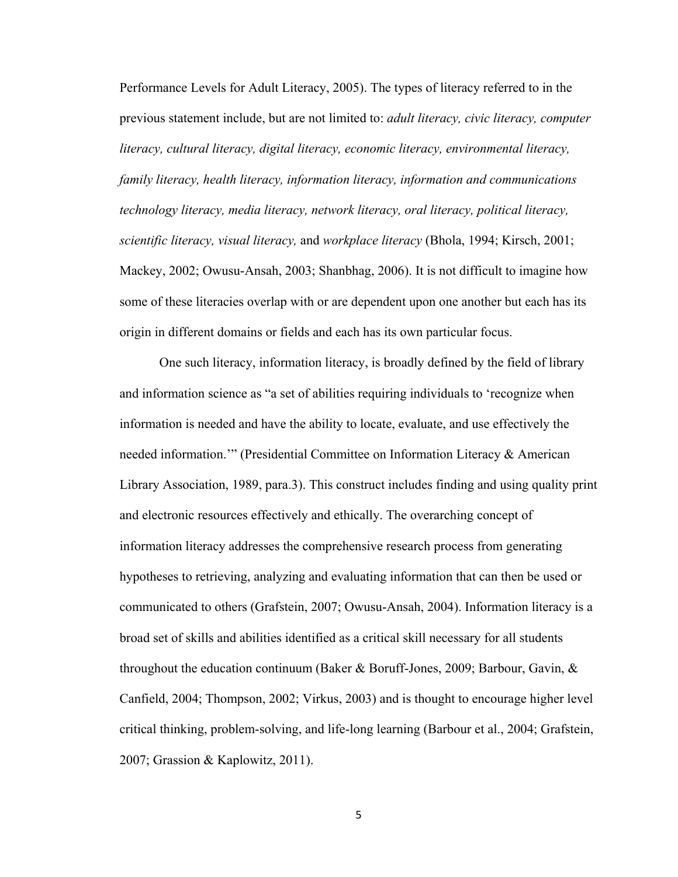Performance Levels for Adult Literacy, 2005). The types of literacy referred to in the previous statement include, but are not limited to: *adult literacy, civic literacy, computer literacy, cultural literacy, digital literacy, economic literacy, environmental literacy, family literacy, health literacy, information literacy, information and communications technology literacy, media literacy, network literacy, oral literacy, political literacy, scientific literacy, visual literacy,* and *workplace literacy* (Bhola, 1994; Kirsch, 2001; Mackey, 2002; Owusu-Ansah, 2003; Shanbhag, 2006). It is not difficult to imagine how some of these literacies overlap with or are dependent upon one another but each has its origin in different domains or fields and each has its own particular focus.

One such literacy, information literacy, is broadly defined by the field of library and information science as "a set of abilities requiring individuals to 'recognize when information is needed and have the ability to locate, evaluate, and use effectively the needed information.'" (Presidential Committee on Information Literacy & American Library Association, 1989, para.3). This construct includes finding and using quality print and electronic resources effectively and ethically. The overarching concept of information literacy addresses the comprehensive research process from generating hypotheses to retrieving, analyzing and evaluating information that can then be used or communicated to others (Grafstein, 2007; Owusu-Ansah, 2004). Information literacy is a broad set of skills and abilities identified as a critical skill necessary for all students throughout the education continuum (Baker & Boruff-Jones, 2009; Barbour, Gavin, & Canfield, 2004; Thompson, 2002; Virkus, 2003) and is thought to encourage higher level critical thinking, problem-solving, and life-long learning (Barbour et al., 2004; Grafstein, 2007; Grassion & Kaplowitz, 2011).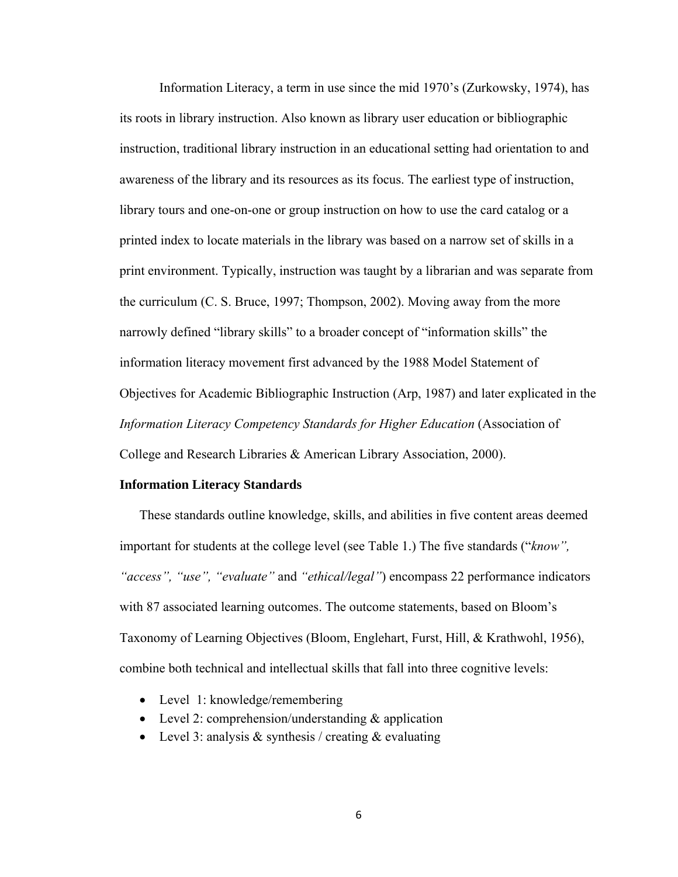Information Literacy, a term in use since the mid 1970's (Zurkowsky, 1974), has its roots in library instruction. Also known as library user education or bibliographic instruction, traditional library instruction in an educational setting had orientation to and awareness of the library and its resources as its focus. The earliest type of instruction, library tours and one-on-one or group instruction on how to use the card catalog or a printed index to locate materials in the library was based on a narrow set of skills in a print environment. Typically, instruction was taught by a librarian and was separate from the curriculum (C. S. Bruce, 1997; Thompson, 2002). Moving away from the more narrowly defined "library skills" to a broader concept of "information skills" the information literacy movement first advanced by the 1988 Model Statement of Objectives for Academic Bibliographic Instruction (Arp, 1987) and later explicated in the *Information Literacy Competency Standards for Higher Education* (Association of College and Research Libraries & American Library Association, 2000).

#### **Information Literacy Standards**

These standards outline knowledge, skills, and abilities in five content areas deemed important for students at the college level (see Table 1.) The five standards ("*know", "access", "use", "evaluate"* and *"ethical/legal"*) encompass 22 performance indicators with 87 associated learning outcomes. The outcome statements, based on Bloom's Taxonomy of Learning Objectives (Bloom, Englehart, Furst, Hill, & Krathwohl, 1956), combine both technical and intellectual skills that fall into three cognitive levels:

- Level 1: knowledge/remembering
- Level 2: comprehension/understanding & application
- Level 3: analysis  $&$  synthesis / creating  $&$  evaluating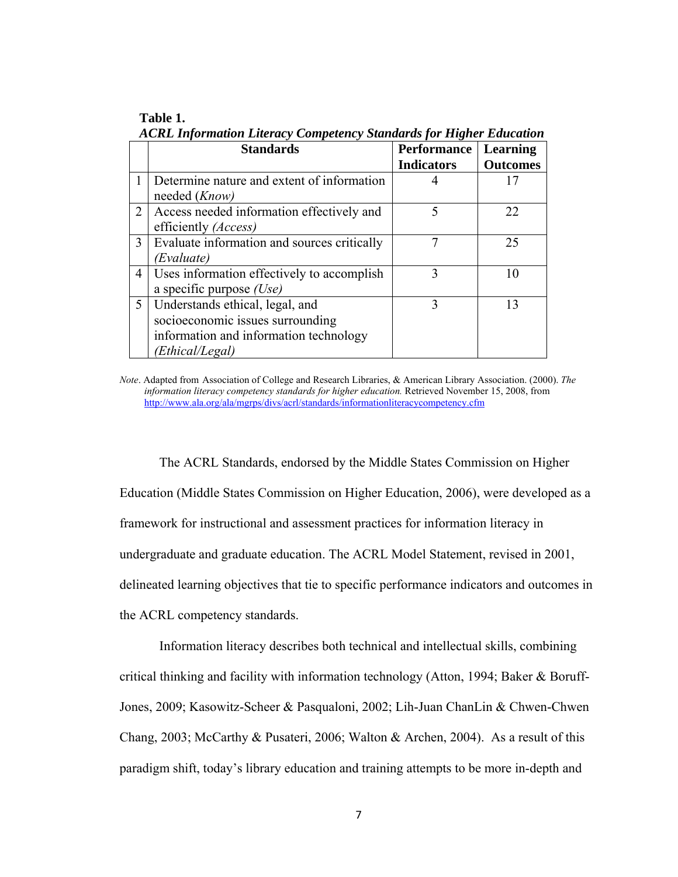| ACRL Information Literacy Competency Standards for Higher Education |                                             |                    |                 |  |
|---------------------------------------------------------------------|---------------------------------------------|--------------------|-----------------|--|
|                                                                     | <b>Standards</b>                            | <b>Performance</b> | Learning        |  |
|                                                                     |                                             | <b>Indicators</b>  | <b>Outcomes</b> |  |
|                                                                     | Determine nature and extent of information  |                    | 17              |  |
|                                                                     | needed ( <i>Know</i> )                      |                    |                 |  |
| 2                                                                   | Access needed information effectively and   |                    | 22              |  |
|                                                                     | efficiently ( <i>Access</i> )               |                    |                 |  |
| 3                                                                   | Evaluate information and sources critically |                    | 25              |  |
|                                                                     | (Evaluate)                                  |                    |                 |  |
| 4                                                                   | Uses information effectively to accomplish  | 3                  | 10              |  |
|                                                                     | a specific purpose $(Use)$                  |                    |                 |  |
| 5                                                                   | Understands ethical, legal, and             | 3                  | 13              |  |
|                                                                     | socioeconomic issues surrounding            |                    |                 |  |
|                                                                     | information and information technology      |                    |                 |  |
|                                                                     | (Ethical/Legal)                             |                    |                 |  |

**Table 1.**  *ACRL Information Literacy Competency Standards for Higher Education* 

*Note*. Adapted from Association of College and Research Libraries, & American Library Association. (2000). *The information literacy competency standards for higher education.* Retrieved November 15, 2008, from http://www.ala.org/ala/mgrps/divs/acrl/standards/informationliteracycompetency.cfm

The ACRL Standards, endorsed by the Middle States Commission on Higher Education (Middle States Commission on Higher Education, 2006), were developed as a framework for instructional and assessment practices for information literacy in undergraduate and graduate education. The ACRL Model Statement, revised in 2001, delineated learning objectives that tie to specific performance indicators and outcomes in the ACRL competency standards.

Information literacy describes both technical and intellectual skills, combining critical thinking and facility with information technology (Atton, 1994; Baker & Boruff-Jones, 2009; Kasowitz-Scheer & Pasqualoni, 2002; Lih-Juan ChanLin & Chwen-Chwen Chang, 2003; McCarthy & Pusateri, 2006; Walton & Archen, 2004). As a result of this paradigm shift, today's library education and training attempts to be more in-depth and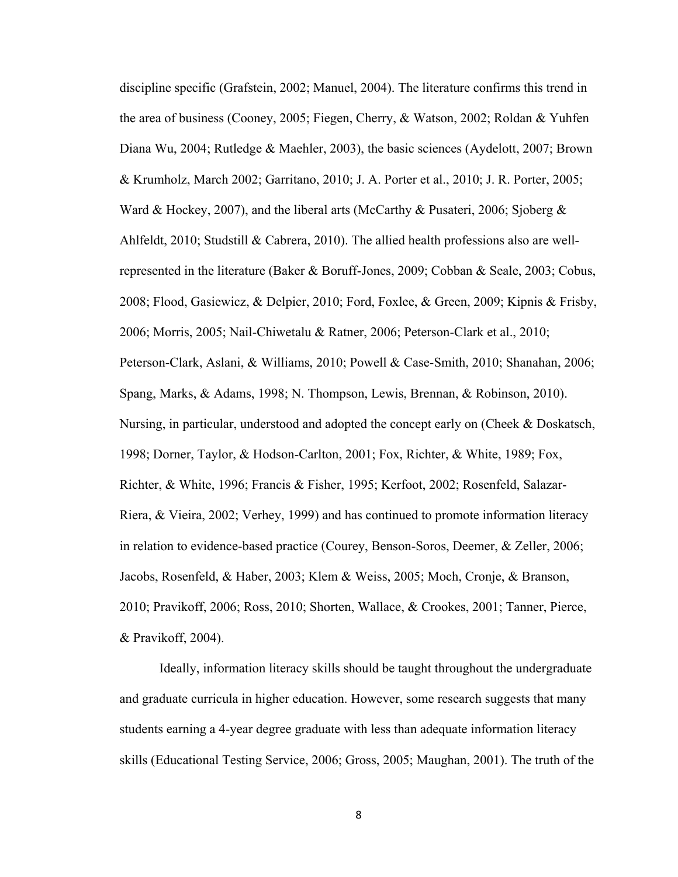discipline specific (Grafstein, 2002; Manuel, 2004). The literature confirms this trend in the area of business (Cooney, 2005; Fiegen, Cherry, & Watson, 2002; Roldan & Yuhfen Diana Wu, 2004; Rutledge & Maehler, 2003), the basic sciences (Aydelott, 2007; Brown & Krumholz, March 2002; Garritano, 2010; J. A. Porter et al., 2010; J. R. Porter, 2005; Ward & Hockey, 2007), and the liberal arts (McCarthy & Pusateri, 2006; Sjoberg & Ahlfeldt, 2010; Studstill & Cabrera, 2010). The allied health professions also are wellrepresented in the literature (Baker & Boruff-Jones, 2009; Cobban & Seale, 2003; Cobus, 2008; Flood, Gasiewicz, & Delpier, 2010; Ford, Foxlee, & Green, 2009; Kipnis & Frisby, 2006; Morris, 2005; Nail-Chiwetalu & Ratner, 2006; Peterson-Clark et al., 2010; Peterson-Clark, Aslani, & Williams, 2010; Powell & Case-Smith, 2010; Shanahan, 2006; Spang, Marks, & Adams, 1998; N. Thompson, Lewis, Brennan, & Robinson, 2010). Nursing, in particular, understood and adopted the concept early on (Cheek & Doskatsch, 1998; Dorner, Taylor, & Hodson-Carlton, 2001; Fox, Richter, & White, 1989; Fox, Richter, & White, 1996; Francis & Fisher, 1995; Kerfoot, 2002; Rosenfeld, Salazar-Riera, & Vieira, 2002; Verhey, 1999) and has continued to promote information literacy in relation to evidence-based practice (Courey, Benson-Soros, Deemer, & Zeller, 2006; Jacobs, Rosenfeld, & Haber, 2003; Klem & Weiss, 2005; Moch, Cronje, & Branson, 2010; Pravikoff, 2006; Ross, 2010; Shorten, Wallace, & Crookes, 2001; Tanner, Pierce, & Pravikoff, 2004).

Ideally, information literacy skills should be taught throughout the undergraduate and graduate curricula in higher education. However, some research suggests that many students earning a 4-year degree graduate with less than adequate information literacy skills (Educational Testing Service, 2006; Gross, 2005; Maughan, 2001). The truth of the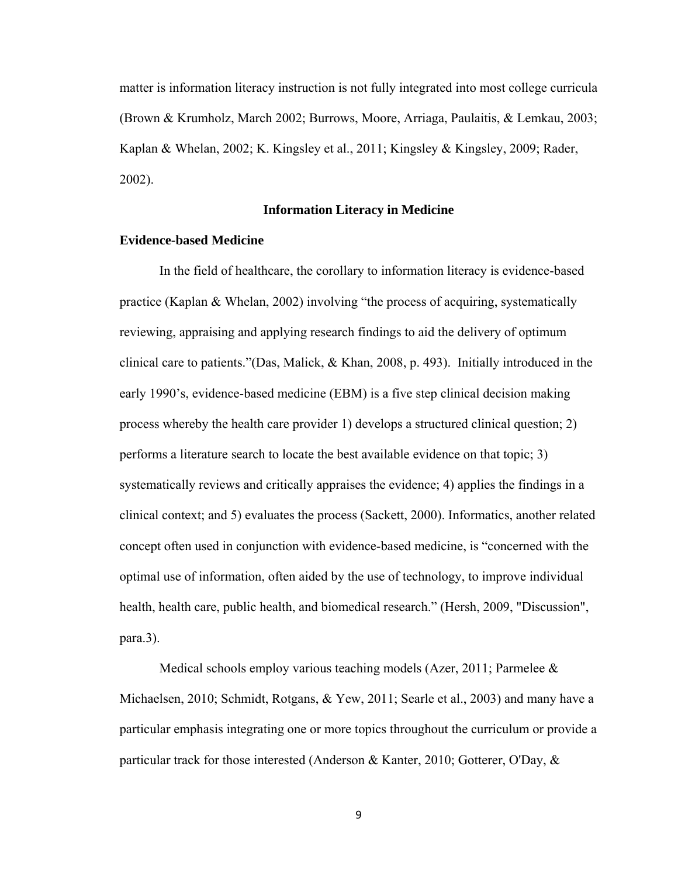matter is information literacy instruction is not fully integrated into most college curricula (Brown & Krumholz, March 2002; Burrows, Moore, Arriaga, Paulaitis, & Lemkau, 2003; Kaplan & Whelan, 2002; K. Kingsley et al., 2011; Kingsley & Kingsley, 2009; Rader, 2002).

# **Information Literacy in Medicine**

# **Evidence-based Medicine**

In the field of healthcare, the corollary to information literacy is evidence-based practice (Kaplan & Whelan, 2002) involving "the process of acquiring, systematically reviewing, appraising and applying research findings to aid the delivery of optimum clinical care to patients."(Das, Malick, & Khan, 2008, p. 493). Initially introduced in the early 1990's, evidence-based medicine (EBM) is a five step clinical decision making process whereby the health care provider 1) develops a structured clinical question; 2) performs a literature search to locate the best available evidence on that topic; 3) systematically reviews and critically appraises the evidence; 4) applies the findings in a clinical context; and 5) evaluates the process (Sackett, 2000). Informatics, another related concept often used in conjunction with evidence-based medicine, is "concerned with the optimal use of information, often aided by the use of technology, to improve individual health, health care, public health, and biomedical research." (Hersh, 2009, "Discussion", para.3).

Medical schools employ various teaching models (Azer, 2011; Parmelee & Michaelsen, 2010; Schmidt, Rotgans, & Yew, 2011; Searle et al., 2003) and many have a particular emphasis integrating one or more topics throughout the curriculum or provide a particular track for those interested (Anderson & Kanter, 2010; Gotterer, O'Day, &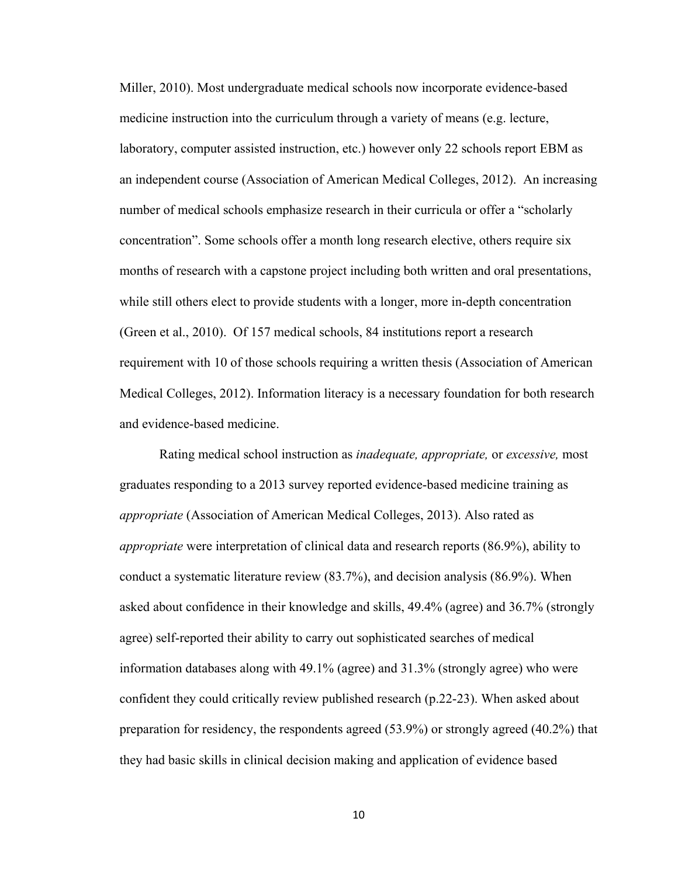Miller, 2010). Most undergraduate medical schools now incorporate evidence-based medicine instruction into the curriculum through a variety of means (e.g. lecture, laboratory, computer assisted instruction, etc.) however only 22 schools report EBM as an independent course (Association of American Medical Colleges, 2012). An increasing number of medical schools emphasize research in their curricula or offer a "scholarly concentration". Some schools offer a month long research elective, others require six months of research with a capstone project including both written and oral presentations, while still others elect to provide students with a longer, more in-depth concentration (Green et al., 2010). Of 157 medical schools, 84 institutions report a research requirement with 10 of those schools requiring a written thesis (Association of American Medical Colleges, 2012). Information literacy is a necessary foundation for both research and evidence-based medicine.

Rating medical school instruction as *inadequate, appropriate,* or *excessive,* most graduates responding to a 2013 survey reported evidence-based medicine training as *appropriate* (Association of American Medical Colleges, 2013). Also rated as *appropriate* were interpretation of clinical data and research reports (86.9%), ability to conduct a systematic literature review (83.7%), and decision analysis (86.9%). When asked about confidence in their knowledge and skills, 49.4% (agree) and 36.7% (strongly agree) self-reported their ability to carry out sophisticated searches of medical information databases along with 49.1% (agree) and 31.3% (strongly agree) who were confident they could critically review published research (p.22-23). When asked about preparation for residency, the respondents agreed (53.9%) or strongly agreed (40.2%) that they had basic skills in clinical decision making and application of evidence based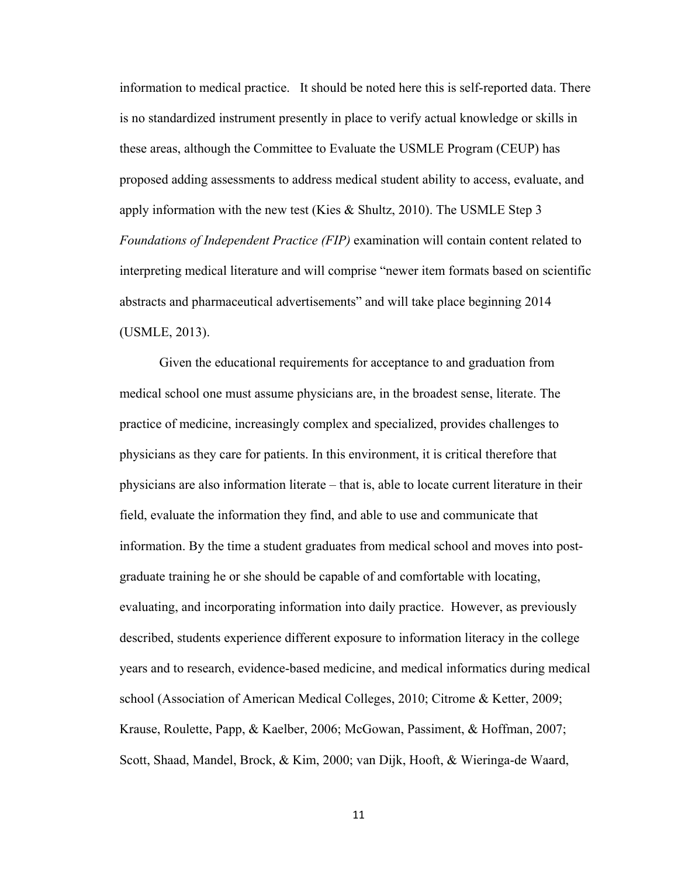information to medical practice. It should be noted here this is self-reported data. There is no standardized instrument presently in place to verify actual knowledge or skills in these areas, although the Committee to Evaluate the USMLE Program (CEUP) has proposed adding assessments to address medical student ability to access, evaluate, and apply information with the new test (Kies & Shultz, 2010). The USMLE Step 3 *Foundations of Independent Practice (FIP)* examination will contain content related to interpreting medical literature and will comprise "newer item formats based on scientific abstracts and pharmaceutical advertisements" and will take place beginning 2014 (USMLE, 2013).

Given the educational requirements for acceptance to and graduation from medical school one must assume physicians are, in the broadest sense, literate. The practice of medicine, increasingly complex and specialized, provides challenges to physicians as they care for patients. In this environment, it is critical therefore that physicians are also information literate – that is, able to locate current literature in their field, evaluate the information they find, and able to use and communicate that information. By the time a student graduates from medical school and moves into postgraduate training he or she should be capable of and comfortable with locating, evaluating, and incorporating information into daily practice. However, as previously described, students experience different exposure to information literacy in the college years and to research, evidence-based medicine, and medical informatics during medical school (Association of American Medical Colleges, 2010; Citrome & Ketter, 2009; Krause, Roulette, Papp, & Kaelber, 2006; McGowan, Passiment, & Hoffman, 2007; Scott, Shaad, Mandel, Brock, & Kim, 2000; van Dijk, Hooft, & Wieringa-de Waard,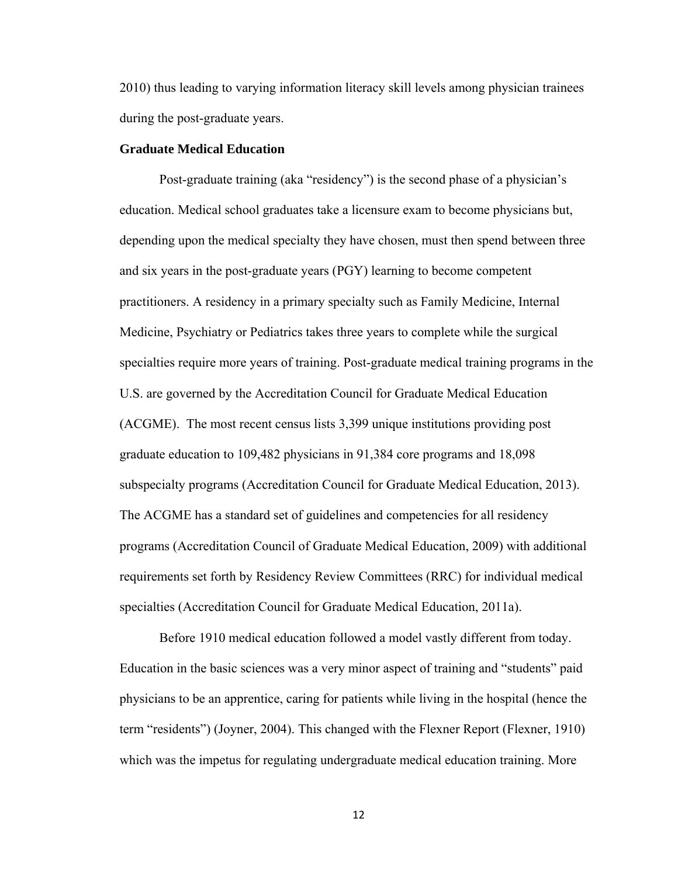2010) thus leading to varying information literacy skill levels among physician trainees during the post-graduate years.

# **Graduate Medical Education**

Post-graduate training (aka "residency") is the second phase of a physician's education. Medical school graduates take a licensure exam to become physicians but, depending upon the medical specialty they have chosen, must then spend between three and six years in the post-graduate years (PGY) learning to become competent practitioners. A residency in a primary specialty such as Family Medicine, Internal Medicine, Psychiatry or Pediatrics takes three years to complete while the surgical specialties require more years of training. Post-graduate medical training programs in the U.S. are governed by the Accreditation Council for Graduate Medical Education (ACGME). The most recent census lists 3,399 unique institutions providing post graduate education to 109,482 physicians in 91,384 core programs and 18,098 subspecialty programs (Accreditation Council for Graduate Medical Education, 2013). The ACGME has a standard set of guidelines and competencies for all residency programs (Accreditation Council of Graduate Medical Education, 2009) with additional requirements set forth by Residency Review Committees (RRC) for individual medical specialties (Accreditation Council for Graduate Medical Education, 2011a).

Before 1910 medical education followed a model vastly different from today. Education in the basic sciences was a very minor aspect of training and "students" paid physicians to be an apprentice, caring for patients while living in the hospital (hence the term "residents") (Joyner, 2004). This changed with the Flexner Report (Flexner, 1910) which was the impetus for regulating undergraduate medical education training. More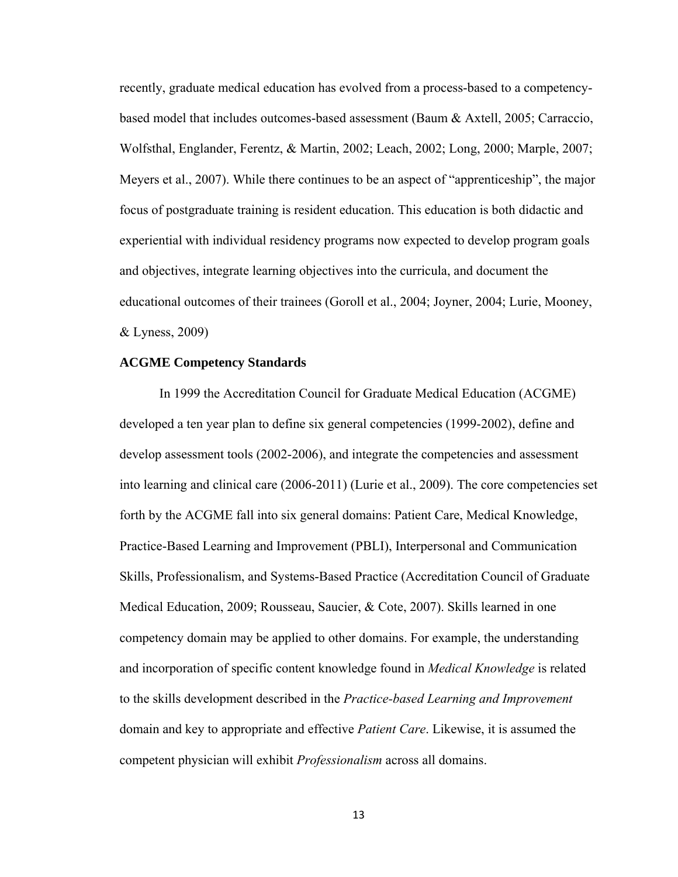recently, graduate medical education has evolved from a process-based to a competencybased model that includes outcomes-based assessment (Baum & Axtell, 2005; Carraccio, Wolfsthal, Englander, Ferentz, & Martin, 2002; Leach, 2002; Long, 2000; Marple, 2007; Meyers et al., 2007). While there continues to be an aspect of "apprenticeship", the major focus of postgraduate training is resident education. This education is both didactic and experiential with individual residency programs now expected to develop program goals and objectives, integrate learning objectives into the curricula, and document the educational outcomes of their trainees (Goroll et al., 2004; Joyner, 2004; Lurie, Mooney, & Lyness, 2009)

# **ACGME Competency Standards**

In 1999 the Accreditation Council for Graduate Medical Education (ACGME) developed a ten year plan to define six general competencies (1999-2002), define and develop assessment tools (2002-2006), and integrate the competencies and assessment into learning and clinical care (2006-2011) (Lurie et al., 2009). The core competencies set forth by the ACGME fall into six general domains: Patient Care, Medical Knowledge, Practice-Based Learning and Improvement (PBLI), Interpersonal and Communication Skills, Professionalism, and Systems-Based Practice (Accreditation Council of Graduate Medical Education, 2009; Rousseau, Saucier, & Cote, 2007). Skills learned in one competency domain may be applied to other domains. For example, the understanding and incorporation of specific content knowledge found in *Medical Knowledge* is related to the skills development described in the *Practice-based Learning and Improvement* domain and key to appropriate and effective *Patient Care*. Likewise, it is assumed the competent physician will exhibit *Professionalism* across all domains.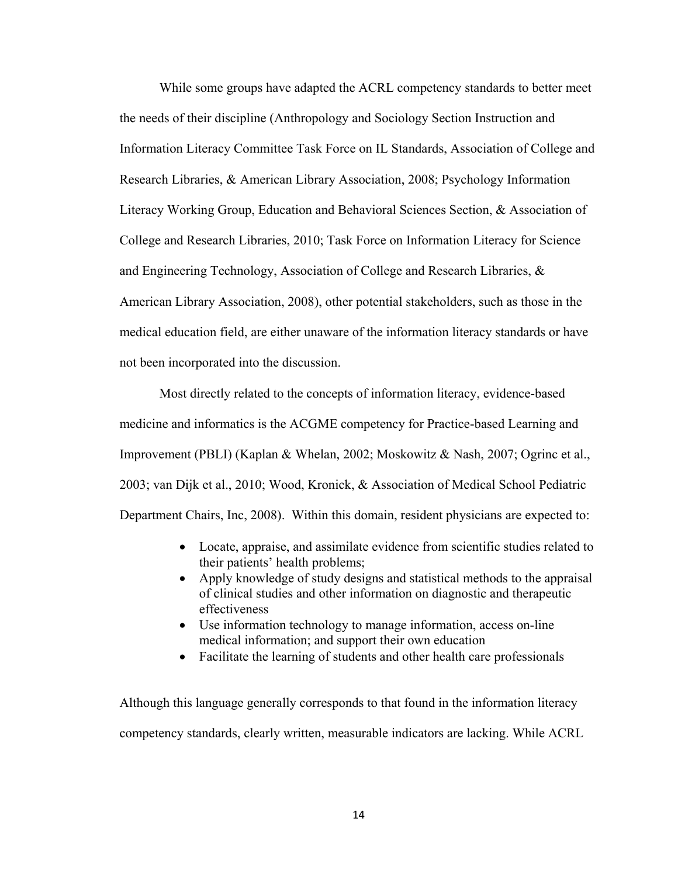While some groups have adapted the ACRL competency standards to better meet the needs of their discipline (Anthropology and Sociology Section Instruction and Information Literacy Committee Task Force on IL Standards, Association of College and Research Libraries, & American Library Association, 2008; Psychology Information Literacy Working Group, Education and Behavioral Sciences Section, & Association of College and Research Libraries, 2010; Task Force on Information Literacy for Science and Engineering Technology, Association of College and Research Libraries, & American Library Association, 2008), other potential stakeholders, such as those in the medical education field, are either unaware of the information literacy standards or have not been incorporated into the discussion.

Most directly related to the concepts of information literacy, evidence-based medicine and informatics is the ACGME competency for Practice-based Learning and Improvement (PBLI) (Kaplan & Whelan, 2002; Moskowitz & Nash, 2007; Ogrinc et al., 2003; van Dijk et al., 2010; Wood, Kronick, & Association of Medical School Pediatric Department Chairs, Inc, 2008). Within this domain, resident physicians are expected to:

- Locate, appraise, and assimilate evidence from scientific studies related to their patients' health problems;
- Apply knowledge of study designs and statistical methods to the appraisal of clinical studies and other information on diagnostic and therapeutic effectiveness
- Use information technology to manage information, access on-line medical information; and support their own education
- Facilitate the learning of students and other health care professionals

Although this language generally corresponds to that found in the information literacy competency standards, clearly written, measurable indicators are lacking. While ACRL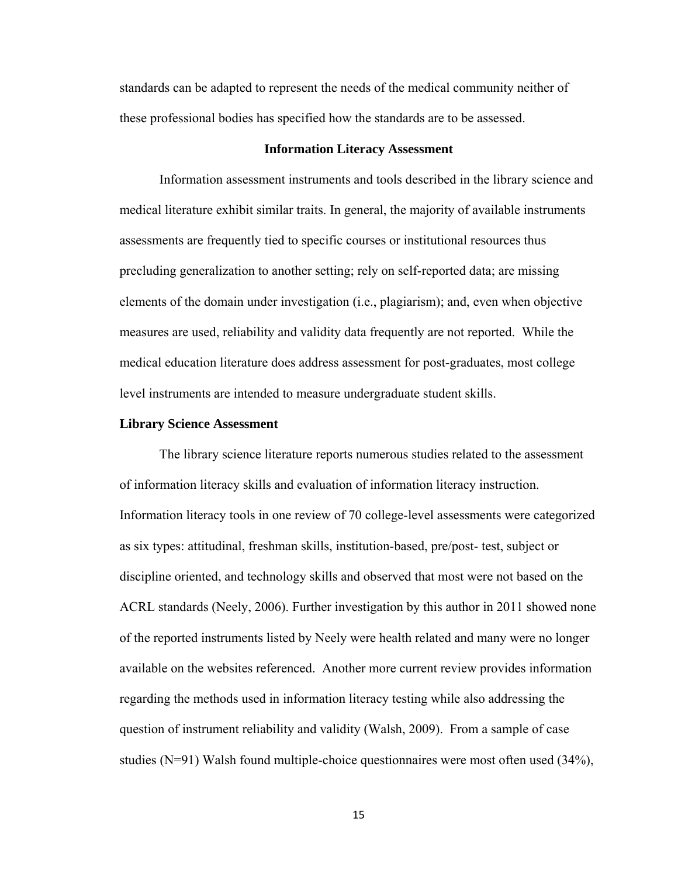standards can be adapted to represent the needs of the medical community neither of these professional bodies has specified how the standards are to be assessed.

#### **Information Literacy Assessment**

Information assessment instruments and tools described in the library science and medical literature exhibit similar traits. In general, the majority of available instruments assessments are frequently tied to specific courses or institutional resources thus precluding generalization to another setting; rely on self-reported data; are missing elements of the domain under investigation (i.e., plagiarism); and, even when objective measures are used, reliability and validity data frequently are not reported. While the medical education literature does address assessment for post-graduates, most college level instruments are intended to measure undergraduate student skills.

# **Library Science Assessment**

The library science literature reports numerous studies related to the assessment of information literacy skills and evaluation of information literacy instruction. Information literacy tools in one review of 70 college-level assessments were categorized as six types: attitudinal, freshman skills, institution-based, pre/post- test, subject or discipline oriented, and technology skills and observed that most were not based on the ACRL standards (Neely, 2006). Further investigation by this author in 2011 showed none of the reported instruments listed by Neely were health related and many were no longer available on the websites referenced. Another more current review provides information regarding the methods used in information literacy testing while also addressing the question of instrument reliability and validity (Walsh, 2009). From a sample of case studies  $(N=91)$  Walsh found multiple-choice questionnaires were most often used  $(34\%)$ ,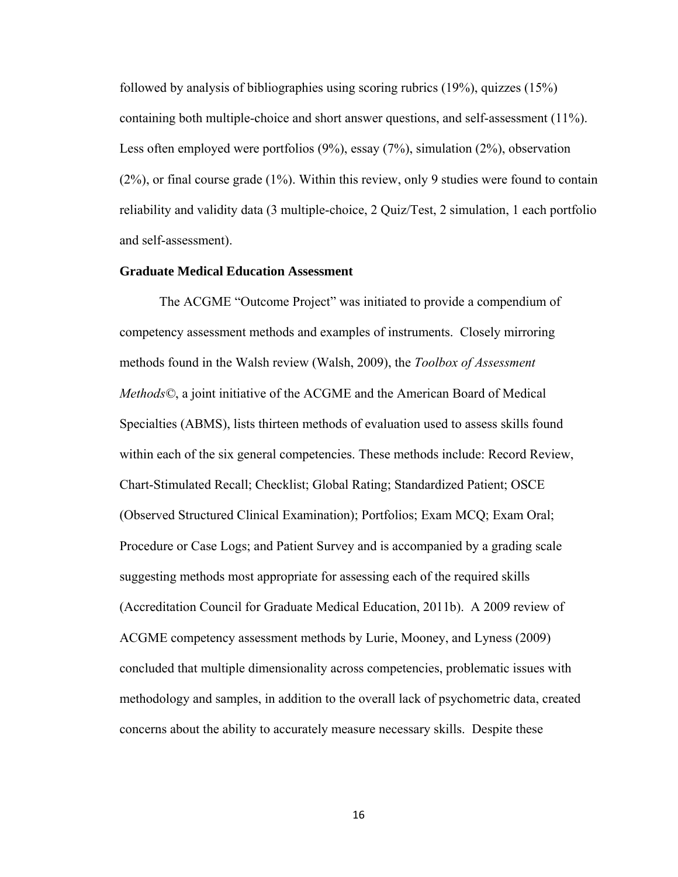followed by analysis of bibliographies using scoring rubrics (19%), quizzes (15%) containing both multiple-choice and short answer questions, and self-assessment (11%). Less often employed were portfolios (9%), essay (7%), simulation (2%), observation (2%), or final course grade (1%). Within this review, only 9 studies were found to contain reliability and validity data (3 multiple-choice, 2 Quiz/Test, 2 simulation, 1 each portfolio and self-assessment).

# **Graduate Medical Education Assessment**

The ACGME "Outcome Project" was initiated to provide a compendium of competency assessment methods and examples of instruments. Closely mirroring methods found in the Walsh review (Walsh, 2009), the *Toolbox of Assessment Methods©*, a joint initiative of the ACGME and the American Board of Medical Specialties (ABMS), lists thirteen methods of evaluation used to assess skills found within each of the six general competencies. These methods include: Record Review, Chart-Stimulated Recall; Checklist; Global Rating; Standardized Patient; OSCE (Observed Structured Clinical Examination); Portfolios; Exam MCQ; Exam Oral; Procedure or Case Logs; and Patient Survey and is accompanied by a grading scale suggesting methods most appropriate for assessing each of the required skills (Accreditation Council for Graduate Medical Education, 2011b). A 2009 review of ACGME competency assessment methods by Lurie, Mooney, and Lyness (2009) concluded that multiple dimensionality across competencies, problematic issues with methodology and samples, in addition to the overall lack of psychometric data, created concerns about the ability to accurately measure necessary skills. Despite these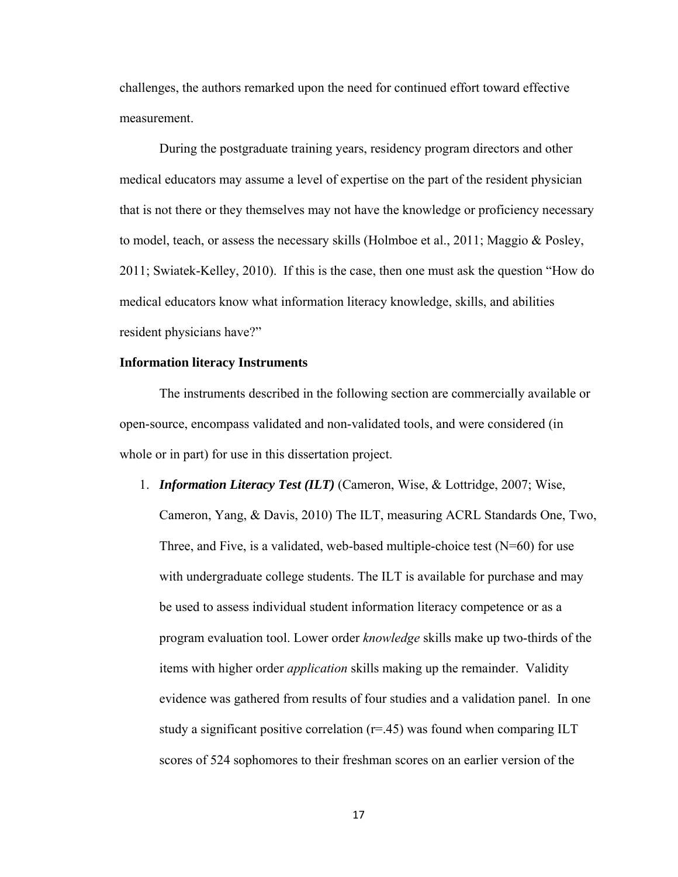challenges, the authors remarked upon the need for continued effort toward effective measurement.

During the postgraduate training years, residency program directors and other medical educators may assume a level of expertise on the part of the resident physician that is not there or they themselves may not have the knowledge or proficiency necessary to model, teach, or assess the necessary skills (Holmboe et al., 2011; Maggio & Posley, 2011; Swiatek-Kelley, 2010). If this is the case, then one must ask the question "How do medical educators know what information literacy knowledge, skills, and abilities resident physicians have?"

#### **Information literacy Instruments**

The instruments described in the following section are commercially available or open-source, encompass validated and non-validated tools, and were considered (in whole or in part) for use in this dissertation project.

1. *Information Literacy Test (ILT)* (Cameron, Wise, & Lottridge, 2007; Wise, Cameron, Yang, & Davis, 2010) The ILT, measuring ACRL Standards One, Two, Three, and Five, is a validated, web-based multiple-choice test  $(N=60)$  for use with undergraduate college students. The ILT is available for purchase and may be used to assess individual student information literacy competence or as a program evaluation tool. Lower order *knowledge* skills make up two-thirds of the items with higher order *application* skills making up the remainder. Validity evidence was gathered from results of four studies and a validation panel. In one study a significant positive correlation  $(r=45)$  was found when comparing ILT scores of 524 sophomores to their freshman scores on an earlier version of the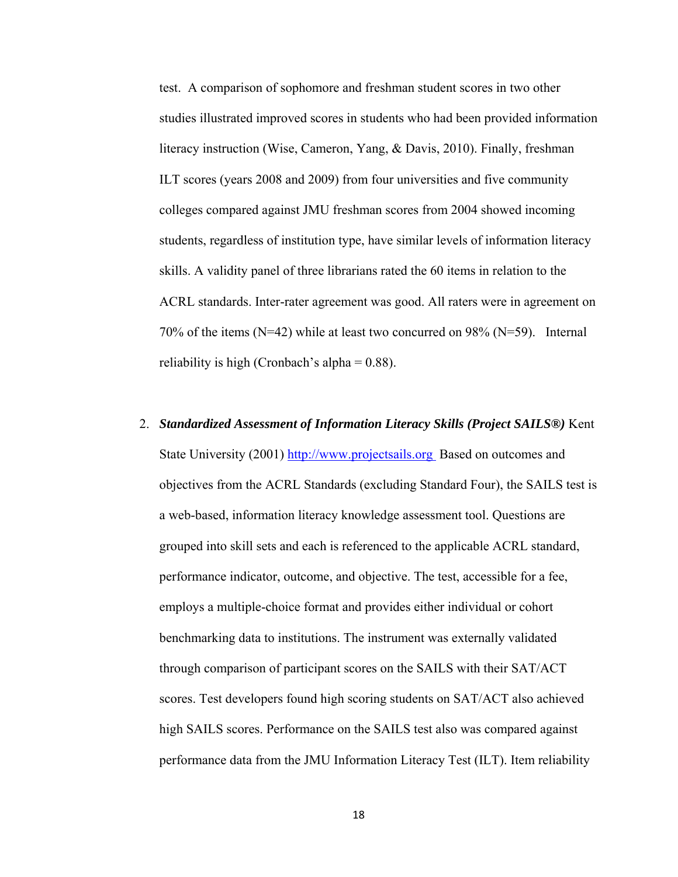test. A comparison of sophomore and freshman student scores in two other studies illustrated improved scores in students who had been provided information literacy instruction (Wise, Cameron, Yang, & Davis, 2010). Finally, freshman ILT scores (years 2008 and 2009) from four universities and five community colleges compared against JMU freshman scores from 2004 showed incoming students, regardless of institution type, have similar levels of information literacy skills. A validity panel of three librarians rated the 60 items in relation to the ACRL standards. Inter-rater agreement was good. All raters were in agreement on 70% of the items (N=42) while at least two concurred on 98% (N=59). Internal reliability is high (Cronbach's alpha  $= 0.88$ ).

2. *Standardized Assessment of Information Literacy Skills (Project SAILS®)* Kent State University (2001) http://www.projectsails.org Based on outcomes and objectives from the ACRL Standards (excluding Standard Four), the SAILS test is a web-based, information literacy knowledge assessment tool. Questions are grouped into skill sets and each is referenced to the applicable ACRL standard, performance indicator, outcome, and objective. The test, accessible for a fee, employs a multiple-choice format and provides either individual or cohort benchmarking data to institutions. The instrument was externally validated through comparison of participant scores on the SAILS with their SAT/ACT scores. Test developers found high scoring students on SAT/ACT also achieved high SAILS scores. Performance on the SAILS test also was compared against performance data from the JMU Information Literacy Test (ILT). Item reliability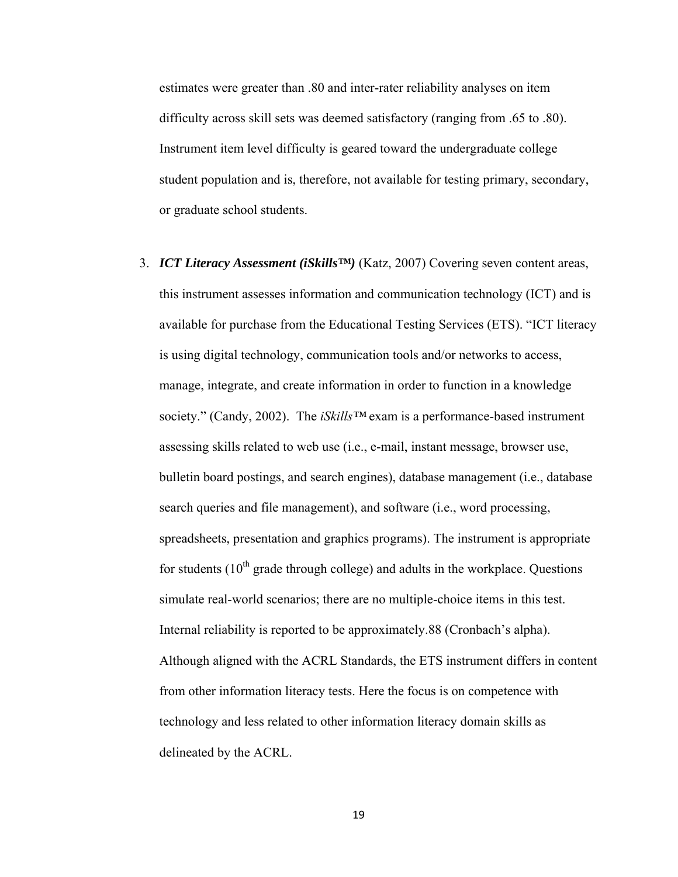estimates were greater than .80 and inter-rater reliability analyses on item difficulty across skill sets was deemed satisfactory (ranging from .65 to .80). Instrument item level difficulty is geared toward the undergraduate college student population and is, therefore, not available for testing primary, secondary, or graduate school students.

3. *ICT Literacy Assessment (iSkills™)* (Katz, 2007) Covering seven content areas, this instrument assesses information and communication technology (ICT) and is available for purchase from the Educational Testing Services (ETS). "ICT literacy is using digital technology, communication tools and/or networks to access, manage, integrate, and create information in order to function in a knowledge society." (Candy, 2002). The *iSkills™* exam is a performance-based instrument assessing skills related to web use (i.e., e-mail, instant message, browser use, bulletin board postings, and search engines), database management (i.e., database search queries and file management), and software (i.e., word processing, spreadsheets, presentation and graphics programs). The instrument is appropriate for students  $(10<sup>th</sup> \text{ grade through college})$  and adults in the workplace. Questions simulate real-world scenarios; there are no multiple-choice items in this test. Internal reliability is reported to be approximately.88 (Cronbach's alpha). Although aligned with the ACRL Standards, the ETS instrument differs in content from other information literacy tests. Here the focus is on competence with technology and less related to other information literacy domain skills as delineated by the ACRL.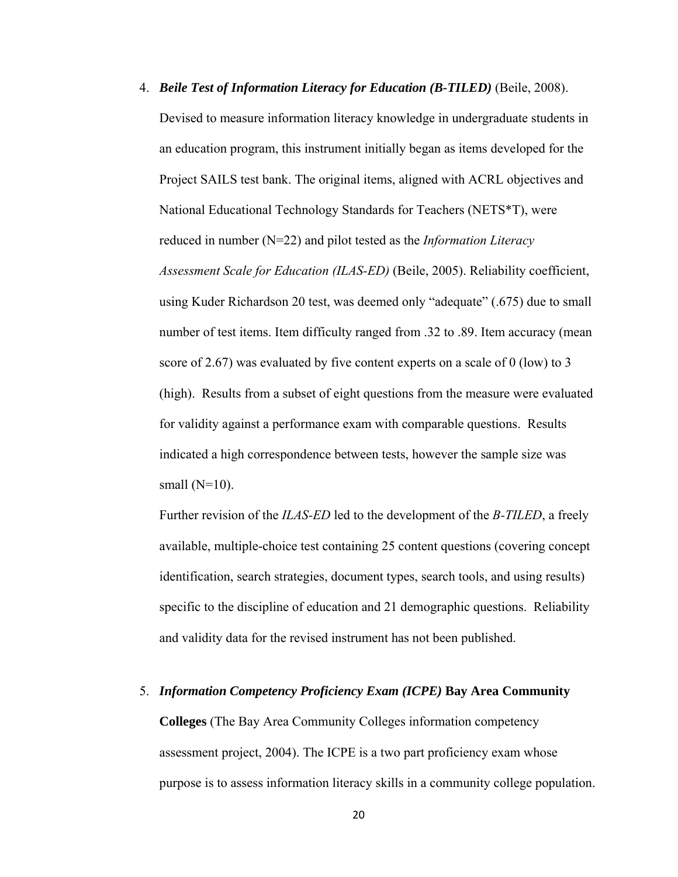4. *Beile Test of Information Literacy for Education (B-TILED)* (Beile, 2008). Devised to measure information literacy knowledge in undergraduate students in an education program, this instrument initially began as items developed for the Project SAILS test bank. The original items, aligned with ACRL objectives and National Educational Technology Standards for Teachers (NETS\*T), were reduced in number (N=22) and pilot tested as the *Information Literacy Assessment Scale for Education (ILAS-ED)* (Beile, 2005). Reliability coefficient, using Kuder Richardson 20 test, was deemed only "adequate" (.675) due to small number of test items. Item difficulty ranged from .32 to .89. Item accuracy (mean score of 2.67) was evaluated by five content experts on a scale of 0 (low) to 3 (high). Results from a subset of eight questions from the measure were evaluated for validity against a performance exam with comparable questions. Results indicated a high correspondence between tests, however the sample size was small  $(N=10)$ .

Further revision of the *ILAS-ED* led to the development of the *B-TILED*, a freely available, multiple-choice test containing 25 content questions (covering concept identification, search strategies, document types, search tools, and using results) specific to the discipline of education and 21 demographic questions. Reliability and validity data for the revised instrument has not been published.

5. *Information Competency Proficiency Exam (ICPE)* **Bay Area Community Colleges** (The Bay Area Community Colleges information competency assessment project, 2004). The ICPE is a two part proficiency exam whose purpose is to assess information literacy skills in a community college population.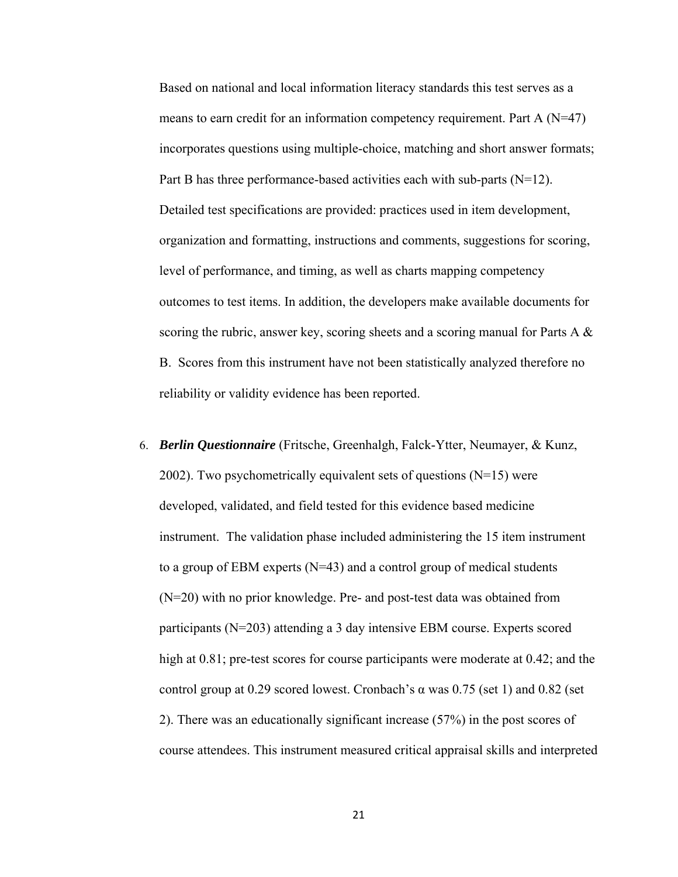Based on national and local information literacy standards this test serves as a means to earn credit for an information competency requirement. Part A  $(N=47)$ incorporates questions using multiple-choice, matching and short answer formats; Part B has three performance-based activities each with sub-parts (N=12). Detailed test specifications are provided: practices used in item development, organization and formatting, instructions and comments, suggestions for scoring, level of performance, and timing, as well as charts mapping competency outcomes to test items. In addition, the developers make available documents for scoring the rubric, answer key, scoring sheets and a scoring manual for Parts A & B. Scores from this instrument have not been statistically analyzed therefore no reliability or validity evidence has been reported.

6. *Berlin Questionnaire* (Fritsche, Greenhalgh, Falck-Ytter, Neumayer, & Kunz, 2002). Two psychometrically equivalent sets of questions  $(N=15)$  were developed, validated, and field tested for this evidence based medicine instrument. The validation phase included administering the 15 item instrument to a group of EBM experts  $(N=43)$  and a control group of medical students (N=20) with no prior knowledge. Pre- and post-test data was obtained from participants (N=203) attending a 3 day intensive EBM course. Experts scored high at  $0.81$ ; pre-test scores for course participants were moderate at  $0.42$ ; and the control group at 0.29 scored lowest. Cronbach's  $\alpha$  was 0.75 (set 1) and 0.82 (set 2). There was an educationally significant increase (57%) in the post scores of course attendees. This instrument measured critical appraisal skills and interpreted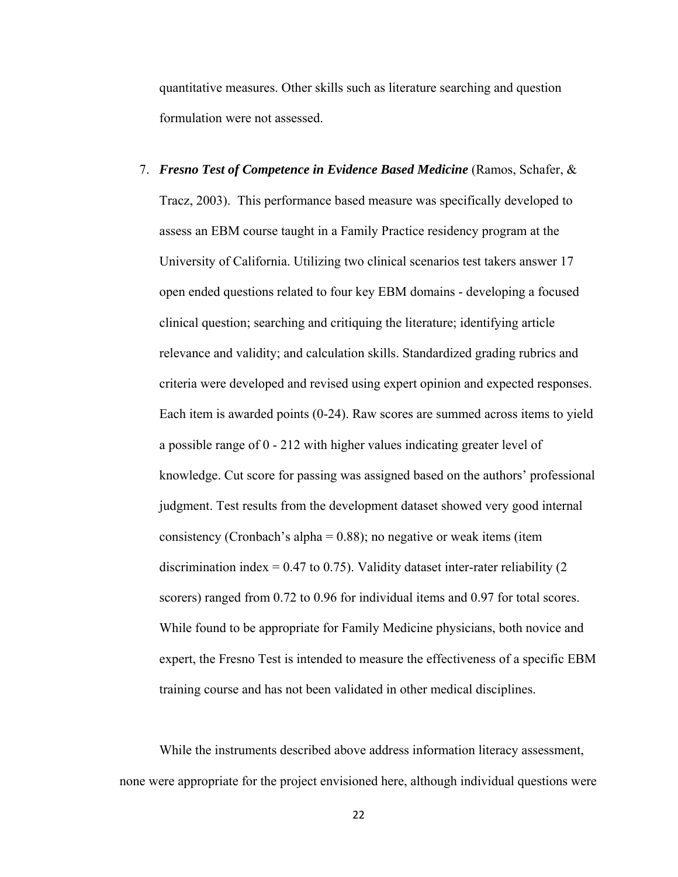quantitative measures. Other skills such as literature searching and question formulation were not assessed.

7. *Fresno Test of Competence in Evidence Based Medicine* (Ramos, Schafer, & Tracz, 2003). This performance based measure was specifically developed to assess an EBM course taught in a Family Practice residency program at the University of California. Utilizing two clinical scenarios test takers answer 17 open ended questions related to four key EBM domains - developing a focused clinical question; searching and critiquing the literature; identifying article relevance and validity; and calculation skills. Standardized grading rubrics and criteria were developed and revised using expert opinion and expected responses. Each item is awarded points (0-24). Raw scores are summed across items to yield a possible range of 0 - 212 with higher values indicating greater level of knowledge. Cut score for passing was assigned based on the authors' professional judgment. Test results from the development dataset showed very good internal consistency (Cronbach's alpha =  $0.88$ ); no negative or weak items (item discrimination index =  $0.47$  to  $0.75$ ). Validity dataset inter-rater reliability (2) scorers) ranged from 0.72 to 0.96 for individual items and 0.97 for total scores. While found to be appropriate for Family Medicine physicians, both novice and expert, the Fresno Test is intended to measure the effectiveness of a specific EBM training course and has not been validated in other medical disciplines.

While the instruments described above address information literacy assessment, none were appropriate for the project envisioned here, although individual questions were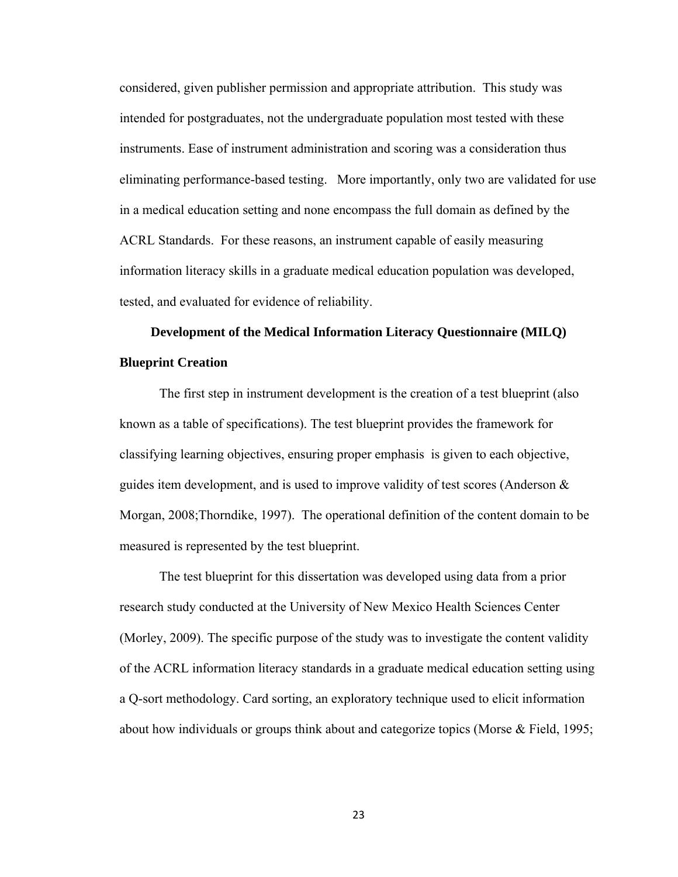considered, given publisher permission and appropriate attribution. This study was intended for postgraduates, not the undergraduate population most tested with these instruments. Ease of instrument administration and scoring was a consideration thus eliminating performance-based testing. More importantly, only two are validated for use in a medical education setting and none encompass the full domain as defined by the ACRL Standards. For these reasons, an instrument capable of easily measuring information literacy skills in a graduate medical education population was developed, tested, and evaluated for evidence of reliability.

# **Development of the Medical Information Literacy Questionnaire (MILQ) Blueprint Creation**

The first step in instrument development is the creation of a test blueprint (also known as a table of specifications). The test blueprint provides the framework for classifying learning objectives, ensuring proper emphasis is given to each objective, guides item development, and is used to improve validity of test scores (Anderson & Morgan, 2008;Thorndike, 1997). The operational definition of the content domain to be measured is represented by the test blueprint.

The test blueprint for this dissertation was developed using data from a prior research study conducted at the University of New Mexico Health Sciences Center (Morley, 2009). The specific purpose of the study was to investigate the content validity of the ACRL information literacy standards in a graduate medical education setting using a Q-sort methodology. Card sorting, an exploratory technique used to elicit information about how individuals or groups think about and categorize topics (Morse & Field, 1995;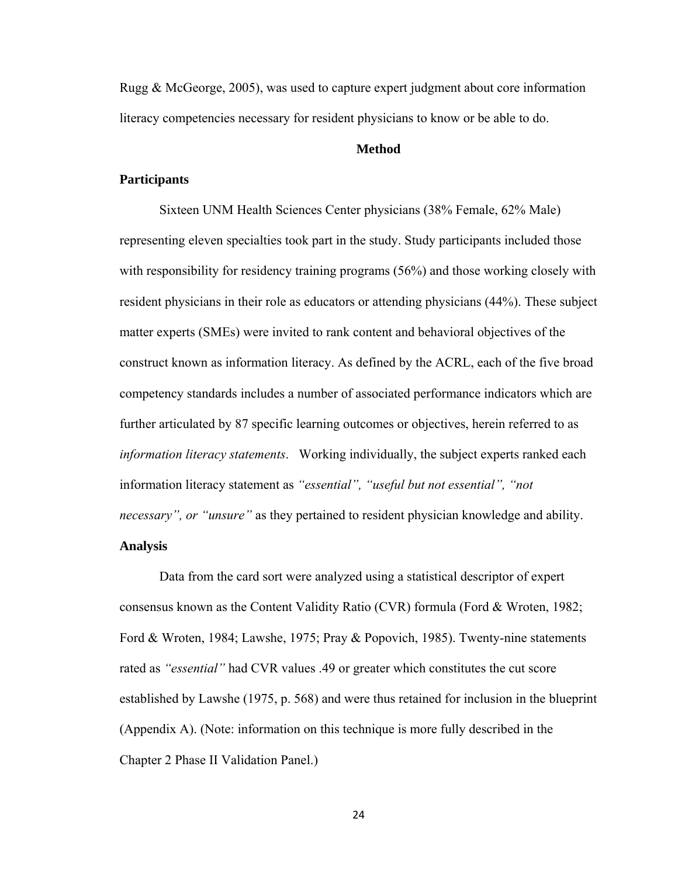Rugg & McGeorge, 2005), was used to capture expert judgment about core information literacy competencies necessary for resident physicians to know or be able to do.

# **Method**

# **Participants**

Sixteen UNM Health Sciences Center physicians (38% Female, 62% Male) representing eleven specialties took part in the study. Study participants included those with responsibility for residency training programs (56%) and those working closely with resident physicians in their role as educators or attending physicians (44%). These subject matter experts (SMEs) were invited to rank content and behavioral objectives of the construct known as information literacy. As defined by the ACRL, each of the five broad competency standards includes a number of associated performance indicators which are further articulated by 87 specific learning outcomes or objectives, herein referred to as *information literacy statements*. Working individually, the subject experts ranked each information literacy statement as *"essential", "useful but not essential", "not necessary", or "unsure"* as they pertained to resident physician knowledge and ability. **Analysis** 

Data from the card sort were analyzed using a statistical descriptor of expert consensus known as the Content Validity Ratio (CVR) formula (Ford & Wroten, 1982; Ford & Wroten, 1984; Lawshe, 1975; Pray & Popovich, 1985). Twenty-nine statements rated as *"essential"* had CVR values .49 or greater which constitutes the cut score established by Lawshe (1975, p. 568) and were thus retained for inclusion in the blueprint (Appendix A). (Note: information on this technique is more fully described in the Chapter 2 Phase II Validation Panel.)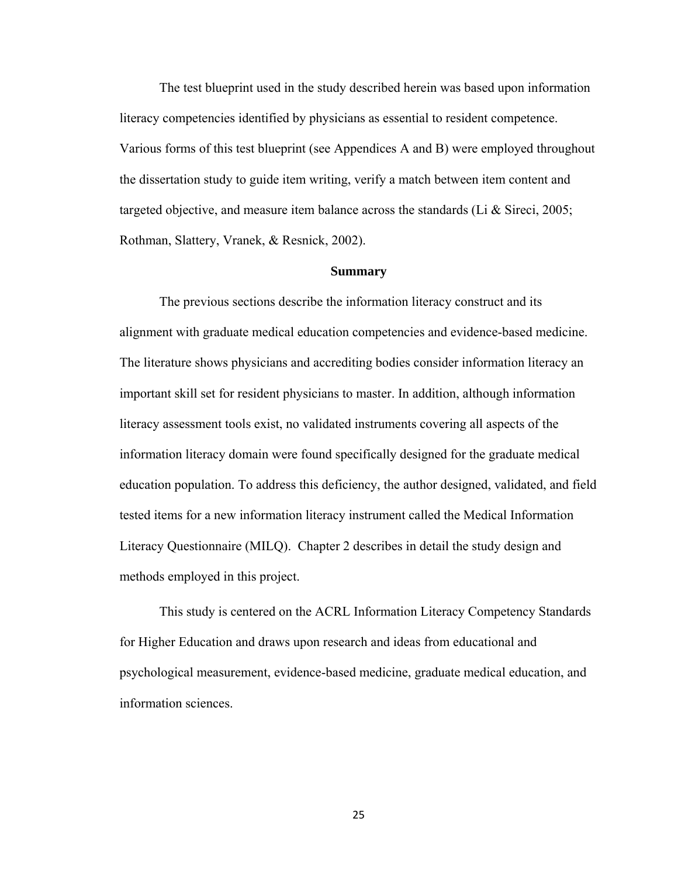The test blueprint used in the study described herein was based upon information literacy competencies identified by physicians as essential to resident competence. Various forms of this test blueprint (see Appendices A and B) were employed throughout the dissertation study to guide item writing, verify a match between item content and targeted objective, and measure item balance across the standards (Li & Sireci, 2005; Rothman, Slattery, Vranek, & Resnick, 2002).

# **Summary**

The previous sections describe the information literacy construct and its alignment with graduate medical education competencies and evidence-based medicine. The literature shows physicians and accrediting bodies consider information literacy an important skill set for resident physicians to master. In addition, although information literacy assessment tools exist, no validated instruments covering all aspects of the information literacy domain were found specifically designed for the graduate medical education population. To address this deficiency, the author designed, validated, and field tested items for a new information literacy instrument called the Medical Information Literacy Questionnaire (MILQ). Chapter 2 describes in detail the study design and methods employed in this project.

This study is centered on the ACRL Information Literacy Competency Standards for Higher Education and draws upon research and ideas from educational and psychological measurement, evidence-based medicine, graduate medical education, and information sciences.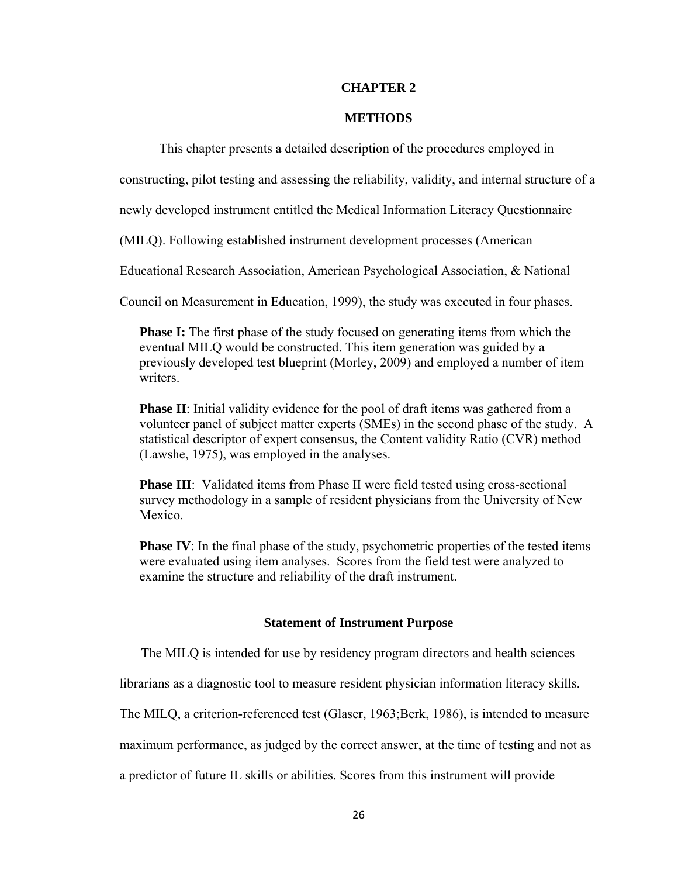# **CHAPTER 2**

# **METHODS**

This chapter presents a detailed description of the procedures employed in

constructing, pilot testing and assessing the reliability, validity, and internal structure of a

newly developed instrument entitled the Medical Information Literacy Questionnaire

(MILQ). Following established instrument development processes (American

Educational Research Association, American Psychological Association, & National

Council on Measurement in Education, 1999), the study was executed in four phases.

**Phase I:** The first phase of the study focused on generating items from which the eventual MILQ would be constructed. This item generation was guided by a previously developed test blueprint (Morley, 2009) and employed a number of item writers.

**Phase II**: Initial validity evidence for the pool of draft items was gathered from a volunteer panel of subject matter experts (SMEs) in the second phase of the study. A statistical descriptor of expert consensus, the Content validity Ratio (CVR) method (Lawshe, 1975), was employed in the analyses.

**Phase III**: Validated items from Phase II were field tested using cross-sectional survey methodology in a sample of resident physicians from the University of New Mexico.

**Phase IV**: In the final phase of the study, psychometric properties of the tested items were evaluated using item analyses. Scores from the field test were analyzed to examine the structure and reliability of the draft instrument.

# **Statement of Instrument Purpose**

The MILQ is intended for use by residency program directors and health sciences

librarians as a diagnostic tool to measure resident physician information literacy skills.

The MILQ, a criterion-referenced test (Glaser, 1963;Berk, 1986), is intended to measure

maximum performance, as judged by the correct answer, at the time of testing and not as

a predictor of future IL skills or abilities. Scores from this instrument will provide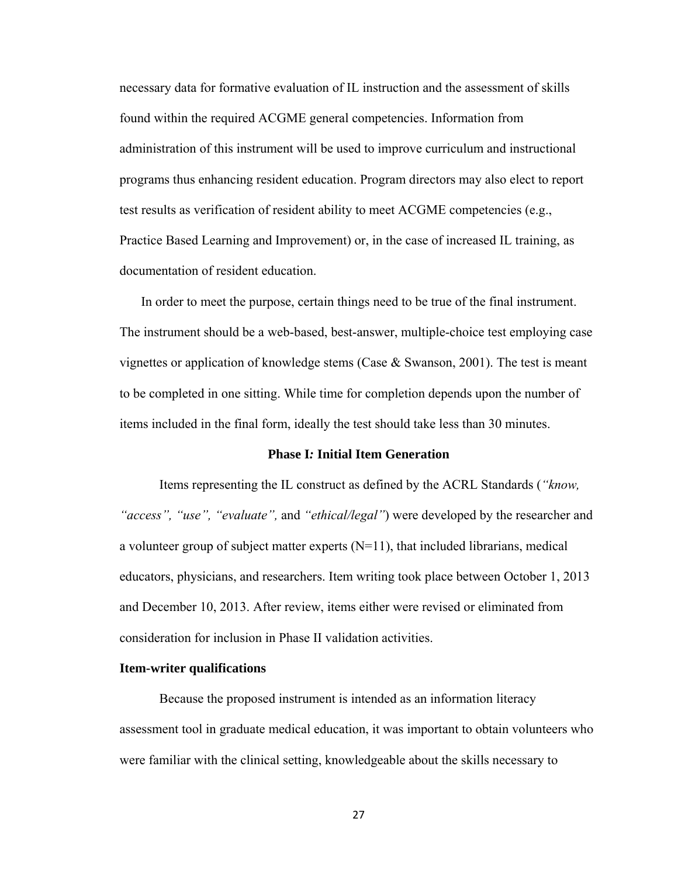necessary data for formative evaluation of IL instruction and the assessment of skills found within the required ACGME general competencies. Information from administration of this instrument will be used to improve curriculum and instructional programs thus enhancing resident education. Program directors may also elect to report test results as verification of resident ability to meet ACGME competencies (e.g., Practice Based Learning and Improvement) or, in the case of increased IL training, as documentation of resident education.

In order to meet the purpose, certain things need to be true of the final instrument. The instrument should be a web-based, best-answer, multiple-choice test employing case vignettes or application of knowledge stems (Case  $\&$  Swanson, 2001). The test is meant to be completed in one sitting. While time for completion depends upon the number of items included in the final form, ideally the test should take less than 30 minutes.

#### **Phase I***:* **Initial Item Generation**

Items representing the IL construct as defined by the ACRL Standards (*"know, "access", "use", "evaluate",* and *"ethical/legal"*) were developed by the researcher and a volunteer group of subject matter experts  $(N=11)$ , that included librarians, medical educators, physicians, and researchers. Item writing took place between October 1, 2013 and December 10, 2013. After review, items either were revised or eliminated from consideration for inclusion in Phase II validation activities.

#### **Item-writer qualifications**

 Because the proposed instrument is intended as an information literacy assessment tool in graduate medical education, it was important to obtain volunteers who were familiar with the clinical setting, knowledgeable about the skills necessary to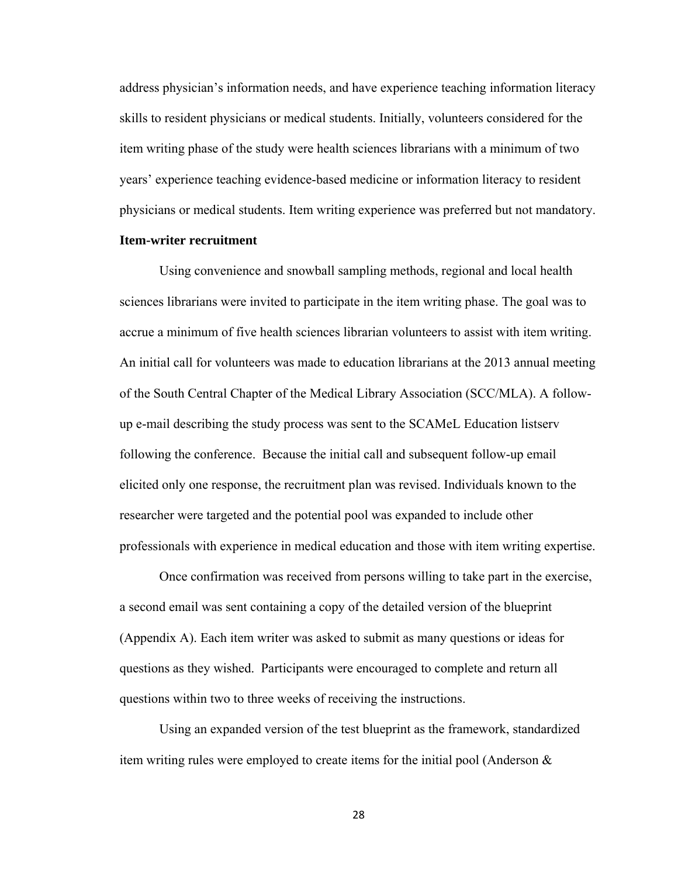address physician's information needs, and have experience teaching information literacy skills to resident physicians or medical students. Initially, volunteers considered for the item writing phase of the study were health sciences librarians with a minimum of two years' experience teaching evidence-based medicine or information literacy to resident physicians or medical students. Item writing experience was preferred but not mandatory.

## **Item-writer recruitment**

Using convenience and snowball sampling methods, regional and local health sciences librarians were invited to participate in the item writing phase. The goal was to accrue a minimum of five health sciences librarian volunteers to assist with item writing. An initial call for volunteers was made to education librarians at the 2013 annual meeting of the South Central Chapter of the Medical Library Association (SCC/MLA). A followup e-mail describing the study process was sent to the SCAMeL Education listserv following the conference. Because the initial call and subsequent follow-up email elicited only one response, the recruitment plan was revised. Individuals known to the researcher were targeted and the potential pool was expanded to include other professionals with experience in medical education and those with item writing expertise.

Once confirmation was received from persons willing to take part in the exercise, a second email was sent containing a copy of the detailed version of the blueprint (Appendix A). Each item writer was asked to submit as many questions or ideas for questions as they wished. Participants were encouraged to complete and return all questions within two to three weeks of receiving the instructions.

Using an expanded version of the test blueprint as the framework, standardized item writing rules were employed to create items for the initial pool (Anderson &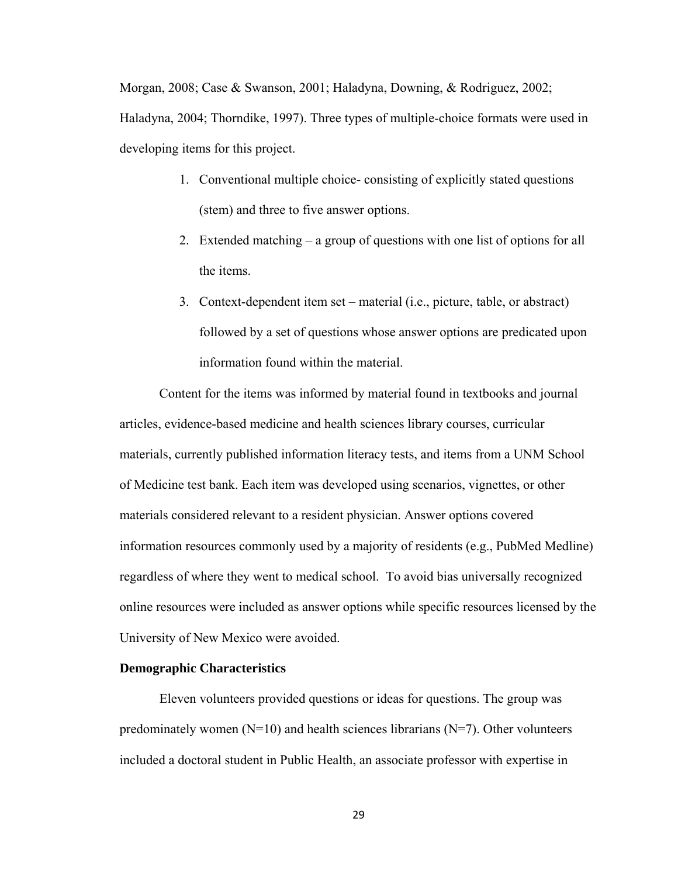Morgan, 2008; Case & Swanson, 2001; Haladyna, Downing, & Rodriguez, 2002; Haladyna, 2004; Thorndike, 1997). Three types of multiple-choice formats were used in developing items for this project.

- 1. Conventional multiple choice- consisting of explicitly stated questions (stem) and three to five answer options.
- 2. Extended matching a group of questions with one list of options for all the items.
- 3. Context-dependent item set material (i.e., picture, table, or abstract) followed by a set of questions whose answer options are predicated upon information found within the material.

Content for the items was informed by material found in textbooks and journal articles, evidence-based medicine and health sciences library courses, curricular materials, currently published information literacy tests, and items from a UNM School of Medicine test bank. Each item was developed using scenarios, vignettes, or other materials considered relevant to a resident physician. Answer options covered information resources commonly used by a majority of residents (e.g., PubMed Medline) regardless of where they went to medical school. To avoid bias universally recognized online resources were included as answer options while specific resources licensed by the University of New Mexico were avoided.

### **Demographic Characteristics**

Eleven volunteers provided questions or ideas for questions. The group was predominately women  $(N=10)$  and health sciences librarians  $(N=7)$ . Other volunteers included a doctoral student in Public Health, an associate professor with expertise in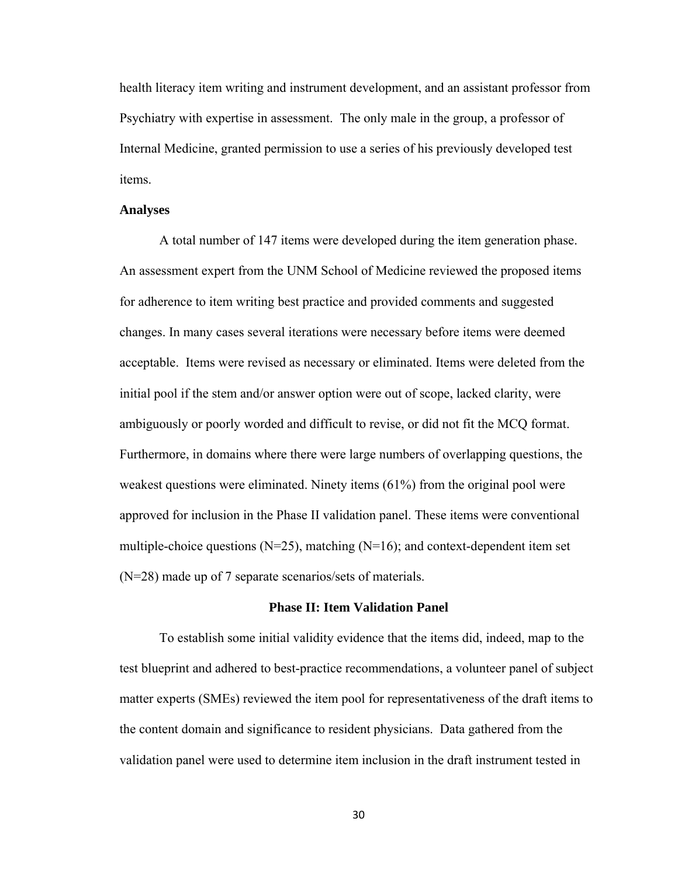health literacy item writing and instrument development, and an assistant professor from Psychiatry with expertise in assessment. The only male in the group, a professor of Internal Medicine, granted permission to use a series of his previously developed test items.

#### **Analyses**

A total number of 147 items were developed during the item generation phase. An assessment expert from the UNM School of Medicine reviewed the proposed items for adherence to item writing best practice and provided comments and suggested changes. In many cases several iterations were necessary before items were deemed acceptable. Items were revised as necessary or eliminated. Items were deleted from the initial pool if the stem and/or answer option were out of scope, lacked clarity, were ambiguously or poorly worded and difficult to revise, or did not fit the MCQ format. Furthermore, in domains where there were large numbers of overlapping questions, the weakest questions were eliminated. Ninety items (61%) from the original pool were approved for inclusion in the Phase II validation panel. These items were conventional multiple-choice questions  $(N=25)$ , matching  $(N=16)$ ; and context-dependent item set (N=28) made up of 7 separate scenarios/sets of materials.

#### **Phase II: Item Validation Panel**

To establish some initial validity evidence that the items did, indeed, map to the test blueprint and adhered to best-practice recommendations, a volunteer panel of subject matter experts (SMEs) reviewed the item pool for representativeness of the draft items to the content domain and significance to resident physicians. Data gathered from the validation panel were used to determine item inclusion in the draft instrument tested in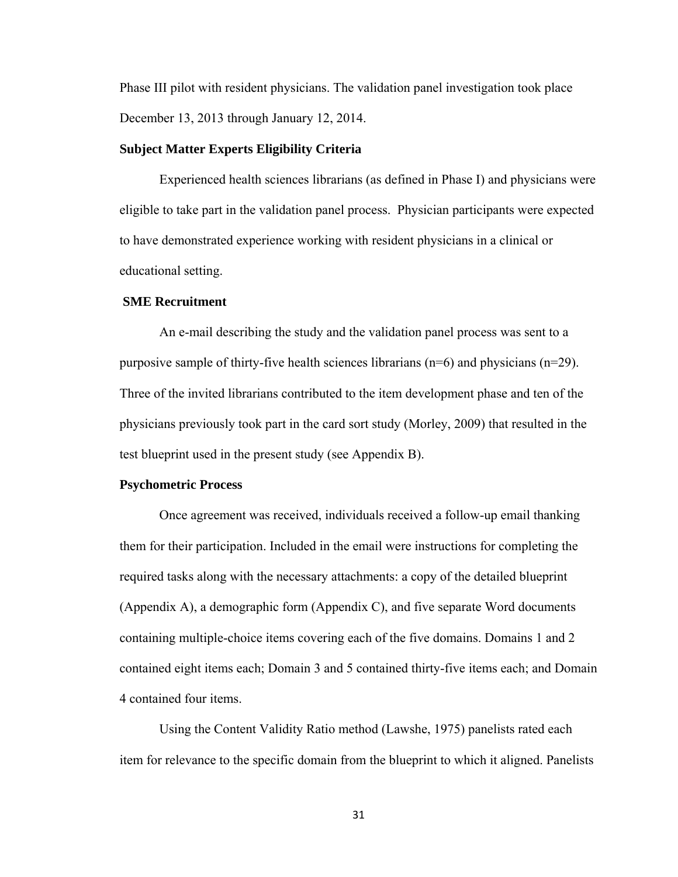Phase III pilot with resident physicians. The validation panel investigation took place December 13, 2013 through January 12, 2014.

## **Subject Matter Experts Eligibility Criteria**

Experienced health sciences librarians (as defined in Phase I) and physicians were eligible to take part in the validation panel process. Physician participants were expected to have demonstrated experience working with resident physicians in a clinical or educational setting.

# **SME Recruitment**

An e-mail describing the study and the validation panel process was sent to a purposive sample of thirty-five health sciences librarians (n=6) and physicians (n=29). Three of the invited librarians contributed to the item development phase and ten of the physicians previously took part in the card sort study (Morley, 2009) that resulted in the test blueprint used in the present study (see Appendix B).

#### **Psychometric Process**

Once agreement was received, individuals received a follow-up email thanking them for their participation. Included in the email were instructions for completing the required tasks along with the necessary attachments: a copy of the detailed blueprint (Appendix A), a demographic form (Appendix C), and five separate Word documents containing multiple-choice items covering each of the five domains. Domains 1 and 2 contained eight items each; Domain 3 and 5 contained thirty-five items each; and Domain 4 contained four items.

Using the Content Validity Ratio method (Lawshe, 1975) panelists rated each item for relevance to the specific domain from the blueprint to which it aligned. Panelists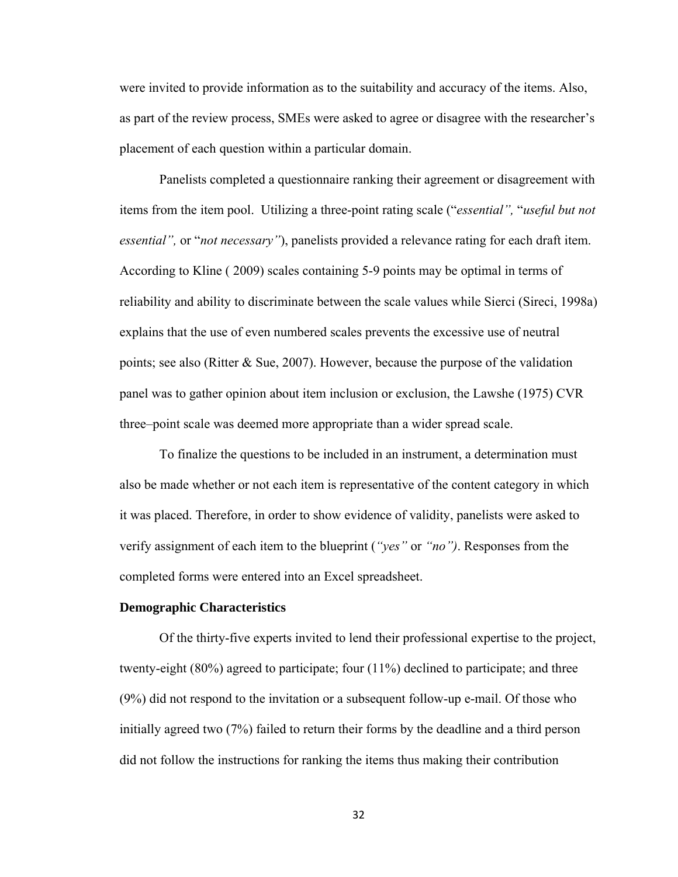were invited to provide information as to the suitability and accuracy of the items. Also, as part of the review process, SMEs were asked to agree or disagree with the researcher's placement of each question within a particular domain.

Panelists completed a questionnaire ranking their agreement or disagreement with items from the item pool. Utilizing a three-point rating scale ("*essential",* "*useful but not essential",* or "*not necessary"*), panelists provided a relevance rating for each draft item. According to Kline ( 2009) scales containing 5-9 points may be optimal in terms of reliability and ability to discriminate between the scale values while Sierci (Sireci, 1998a) explains that the use of even numbered scales prevents the excessive use of neutral points; see also (Ritter & Sue, 2007). However, because the purpose of the validation panel was to gather opinion about item inclusion or exclusion, the Lawshe (1975) CVR three–point scale was deemed more appropriate than a wider spread scale.

To finalize the questions to be included in an instrument, a determination must also be made whether or not each item is representative of the content category in which it was placed. Therefore, in order to show evidence of validity, panelists were asked to verify assignment of each item to the blueprint (*"yes"* or *"no")*. Responses from the completed forms were entered into an Excel spreadsheet.

## **Demographic Characteristics**

Of the thirty-five experts invited to lend their professional expertise to the project, twenty-eight (80%) agreed to participate; four (11%) declined to participate; and three (9%) did not respond to the invitation or a subsequent follow-up e-mail. Of those who initially agreed two (7%) failed to return their forms by the deadline and a third person did not follow the instructions for ranking the items thus making their contribution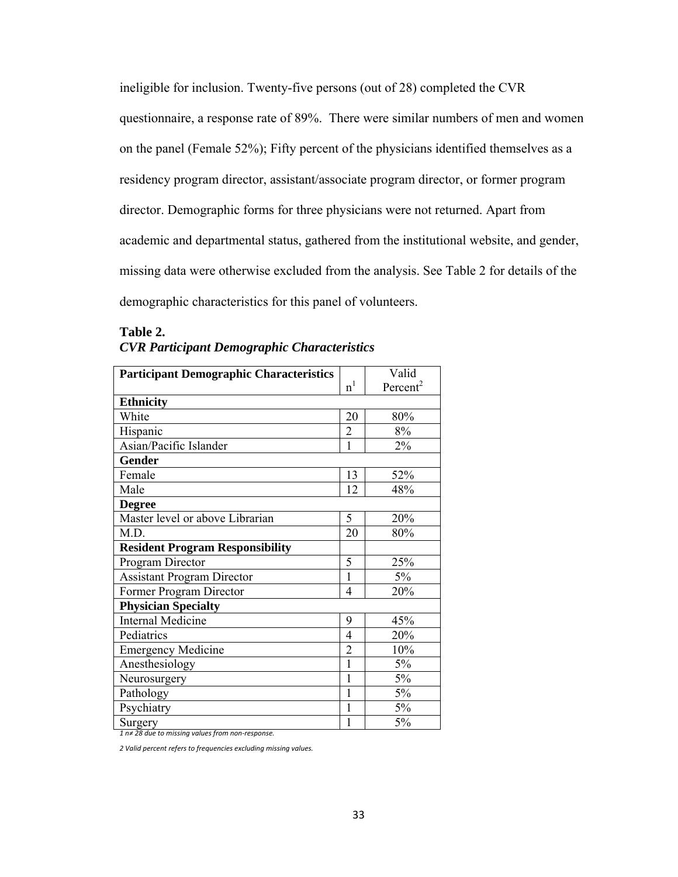ineligible for inclusion. Twenty-five persons (out of 28) completed the CVR questionnaire, a response rate of 89%. There were similar numbers of men and women on the panel (Female 52%); Fifty percent of the physicians identified themselves as a residency program director, assistant/associate program director, or former program director. Demographic forms for three physicians were not returned. Apart from academic and departmental status, gathered from the institutional website, and gender, missing data were otherwise excluded from the analysis. See Table 2 for details of the demographic characteristics for this panel of volunteers.

| <b>Participant Demographic Characteristics</b> |                | Valid                |
|------------------------------------------------|----------------|----------------------|
|                                                | n <sup>1</sup> | Percent <sup>2</sup> |
| <b>Ethnicity</b>                               |                |                      |
| White                                          | 20             | 80%                  |
| Hispanic                                       | $\overline{2}$ | 8%                   |
| Asian/Pacific Islander                         | 1              | 2%                   |
| <b>Gender</b>                                  |                |                      |
| Female                                         | 13             | 52%                  |
| Male                                           | 12             | 48%                  |
| <b>Degree</b>                                  |                |                      |
| Master level or above Librarian                | 5              | 20%                  |
| M.D.                                           | 20             | 80%                  |
| <b>Resident Program Responsibility</b>         |                |                      |
| Program Director                               | 5              | 25%                  |
| <b>Assistant Program Director</b>              | $\mathbf{1}$   | 5%                   |
| Former Program Director                        | 4              | 20%                  |
| <b>Physician Specialty</b>                     |                |                      |
| <b>Internal Medicine</b>                       | 9              | 45%                  |
| Pediatrics                                     | 4              | 20%                  |
| <b>Emergency Medicine</b>                      | $\overline{2}$ | 10%                  |
| Anesthesiology                                 | 1              | 5%                   |
| Neurosurgery                                   | 1              | 5%                   |
| Pathology                                      | 1              | 5%                   |
| Psychiatry                                     | 1              | 5%                   |
| Surgery                                        | 1              | 5%                   |

# **Table 2.**  *CVR Participant Demographic Characteristics*

*1 n≠ 28 due to missing values from non‐response.*

*2 Valid percent refers to frequencies excluding missing values.*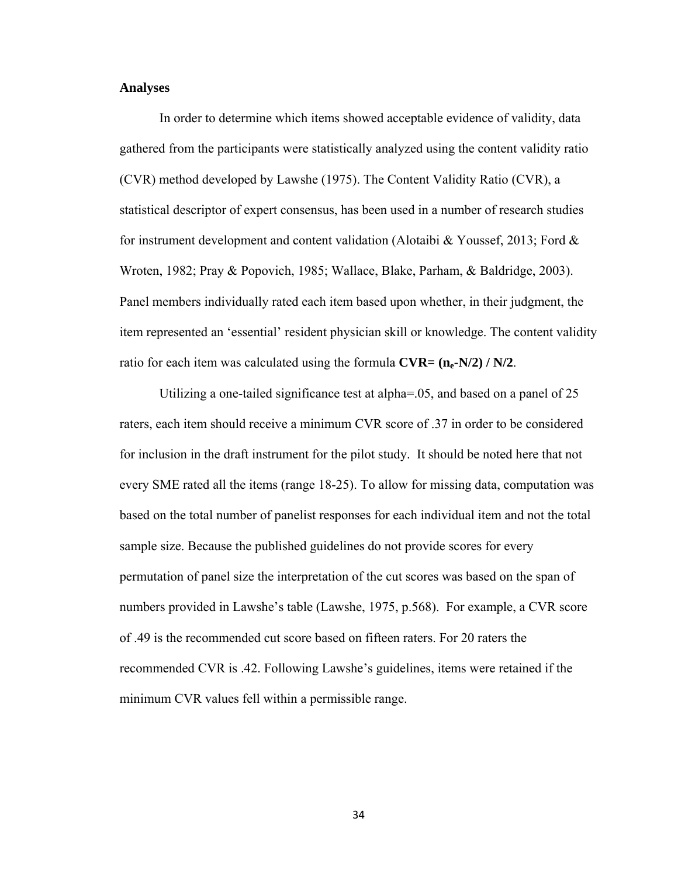#### **Analyses**

In order to determine which items showed acceptable evidence of validity, data gathered from the participants were statistically analyzed using the content validity ratio (CVR) method developed by Lawshe (1975). The Content Validity Ratio (CVR), a statistical descriptor of expert consensus, has been used in a number of research studies for instrument development and content validation (Alotaibi & Youssef, 2013; Ford  $\&$ Wroten, 1982; Pray & Popovich, 1985; Wallace, Blake, Parham, & Baldridge, 2003). Panel members individually rated each item based upon whether, in their judgment, the item represented an 'essential' resident physician skill or knowledge. The content validity ratio for each item was calculated using the formula  $\text{CVR} = (\mathbf{n}_e - \mathbf{N}/2) / \mathbf{N}/2$ .

Utilizing a one-tailed significance test at alpha=.05, and based on a panel of 25 raters, each item should receive a minimum CVR score of .37 in order to be considered for inclusion in the draft instrument for the pilot study. It should be noted here that not every SME rated all the items (range 18-25). To allow for missing data, computation was based on the total number of panelist responses for each individual item and not the total sample size. Because the published guidelines do not provide scores for every permutation of panel size the interpretation of the cut scores was based on the span of numbers provided in Lawshe's table (Lawshe, 1975, p.568). For example, a CVR score of .49 is the recommended cut score based on fifteen raters. For 20 raters the recommended CVR is .42. Following Lawshe's guidelines, items were retained if the minimum CVR values fell within a permissible range.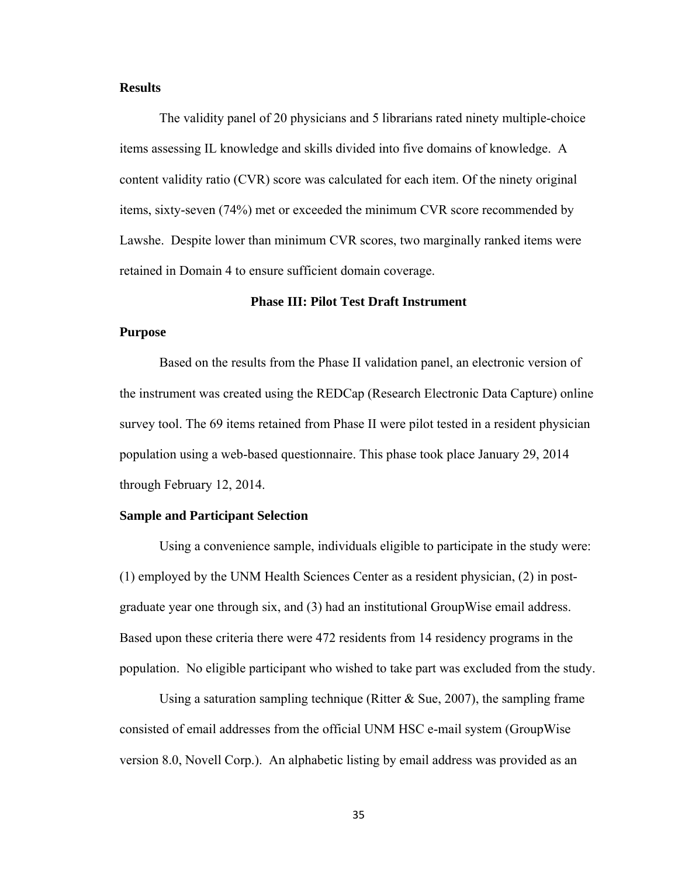## **Results**

The validity panel of 20 physicians and 5 librarians rated ninety multiple-choice items assessing IL knowledge and skills divided into five domains of knowledge. A content validity ratio (CVR) score was calculated for each item. Of the ninety original items, sixty-seven (74%) met or exceeded the minimum CVR score recommended by Lawshe. Despite lower than minimum CVR scores, two marginally ranked items were retained in Domain 4 to ensure sufficient domain coverage.

## **Phase III: Pilot Test Draft Instrument**

## **Purpose**

Based on the results from the Phase II validation panel, an electronic version of the instrument was created using the REDCap (Research Electronic Data Capture) online survey tool. The 69 items retained from Phase II were pilot tested in a resident physician population using a web-based questionnaire. This phase took place January 29, 2014 through February 12, 2014.

#### **Sample and Participant Selection**

Using a convenience sample, individuals eligible to participate in the study were: (1) employed by the UNM Health Sciences Center as a resident physician, (2) in postgraduate year one through six, and (3) had an institutional GroupWise email address. Based upon these criteria there were 472 residents from 14 residency programs in the population. No eligible participant who wished to take part was excluded from the study.

Using a saturation sampling technique (Ritter  $\&$  Sue, 2007), the sampling frame consisted of email addresses from the official UNM HSC e-mail system (GroupWise version 8.0, Novell Corp.). An alphabetic listing by email address was provided as an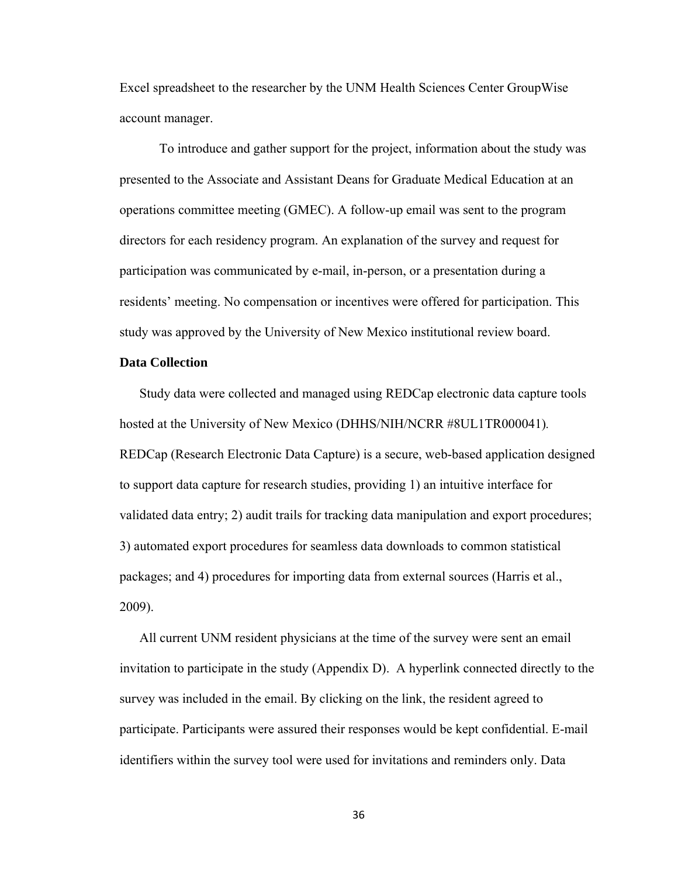Excel spreadsheet to the researcher by the UNM Health Sciences Center GroupWise account manager.

To introduce and gather support for the project, information about the study was presented to the Associate and Assistant Deans for Graduate Medical Education at an operations committee meeting (GMEC). A follow-up email was sent to the program directors for each residency program. An explanation of the survey and request for participation was communicated by e-mail, in-person, or a presentation during a residents' meeting. No compensation or incentives were offered for participation. This study was approved by the University of New Mexico institutional review board.

## **Data Collection**

Study data were collected and managed using REDCap electronic data capture tools hosted at the University of New Mexico (DHHS/NIH/NCRR #8UL1TR000041)*.* REDCap (Research Electronic Data Capture) is a secure, web-based application designed to support data capture for research studies, providing 1) an intuitive interface for validated data entry; 2) audit trails for tracking data manipulation and export procedures; 3) automated export procedures for seamless data downloads to common statistical packages; and 4) procedures for importing data from external sources (Harris et al., 2009).

All current UNM resident physicians at the time of the survey were sent an email invitation to participate in the study (Appendix D). A hyperlink connected directly to the survey was included in the email. By clicking on the link, the resident agreed to participate. Participants were assured their responses would be kept confidential. E-mail identifiers within the survey tool were used for invitations and reminders only. Data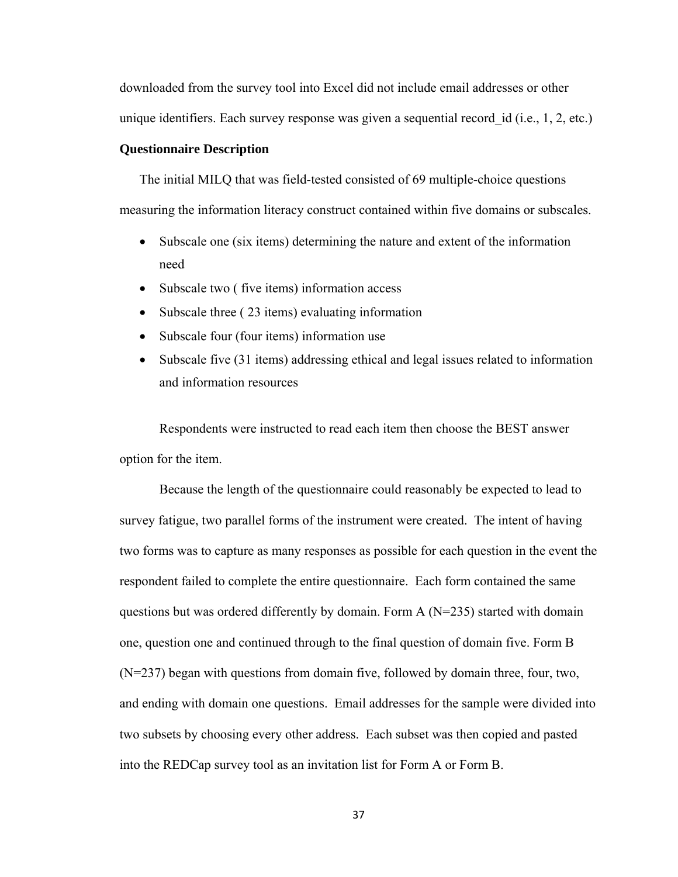downloaded from the survey tool into Excel did not include email addresses or other unique identifiers. Each survey response was given a sequential record id (i.e., 1, 2, etc.)

## **Questionnaire Description**

The initial MILQ that was field-tested consisted of 69 multiple-choice questions measuring the information literacy construct contained within five domains or subscales.

- Subscale one (six items) determining the nature and extent of the information need
- Subscale two (five items) information access
- Subscale three (23 items) evaluating information
- Subscale four (four items) information use
- Subscale five (31 items) addressing ethical and legal issues related to information and information resources

Respondents were instructed to read each item then choose the BEST answer option for the item.

Because the length of the questionnaire could reasonably be expected to lead to survey fatigue, two parallel forms of the instrument were created. The intent of having two forms was to capture as many responses as possible for each question in the event the respondent failed to complete the entire questionnaire. Each form contained the same questions but was ordered differently by domain. Form A (N=235) started with domain one, question one and continued through to the final question of domain five. Form B (N=237) began with questions from domain five, followed by domain three, four, two, and ending with domain one questions. Email addresses for the sample were divided into two subsets by choosing every other address. Each subset was then copied and pasted into the REDCap survey tool as an invitation list for Form A or Form B.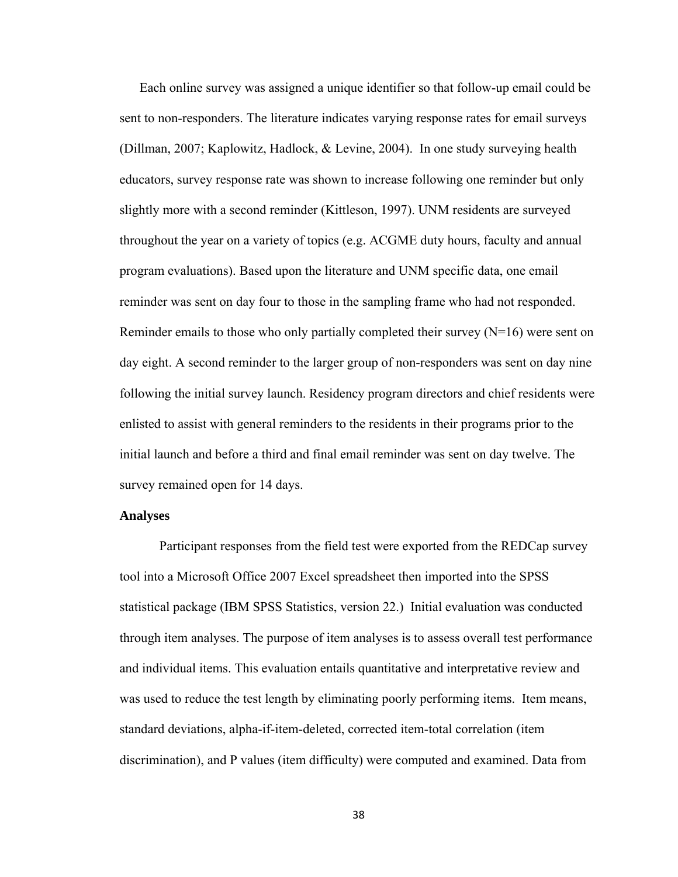Each online survey was assigned a unique identifier so that follow-up email could be sent to non-responders. The literature indicates varying response rates for email surveys (Dillman, 2007; Kaplowitz, Hadlock, & Levine, 2004). In one study surveying health educators, survey response rate was shown to increase following one reminder but only slightly more with a second reminder (Kittleson, 1997). UNM residents are surveyed throughout the year on a variety of topics (e.g. ACGME duty hours, faculty and annual program evaluations). Based upon the literature and UNM specific data, one email reminder was sent on day four to those in the sampling frame who had not responded. Reminder emails to those who only partially completed their survey  $(N=16)$  were sent on day eight. A second reminder to the larger group of non-responders was sent on day nine following the initial survey launch. Residency program directors and chief residents were enlisted to assist with general reminders to the residents in their programs prior to the initial launch and before a third and final email reminder was sent on day twelve. The survey remained open for 14 days.

#### **Analyses**

Participant responses from the field test were exported from the REDCap survey tool into a Microsoft Office 2007 Excel spreadsheet then imported into the SPSS statistical package (IBM SPSS Statistics, version 22.) Initial evaluation was conducted through item analyses. The purpose of item analyses is to assess overall test performance and individual items. This evaluation entails quantitative and interpretative review and was used to reduce the test length by eliminating poorly performing items. Item means, standard deviations, alpha-if-item-deleted, corrected item-total correlation (item discrimination), and P values (item difficulty) were computed and examined. Data from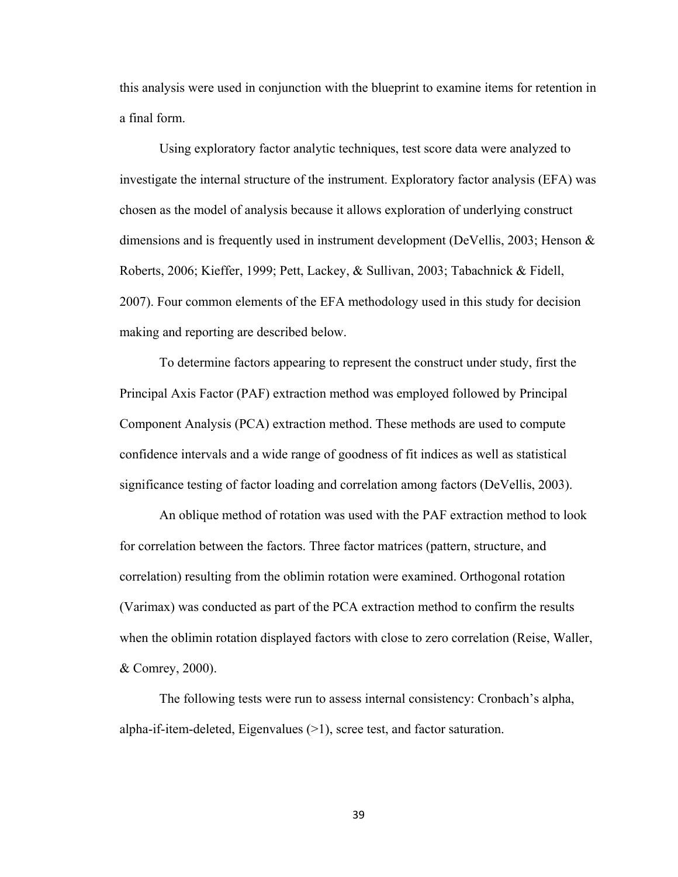this analysis were used in conjunction with the blueprint to examine items for retention in a final form.

Using exploratory factor analytic techniques, test score data were analyzed to investigate the internal structure of the instrument. Exploratory factor analysis (EFA) was chosen as the model of analysis because it allows exploration of underlying construct dimensions and is frequently used in instrument development (DeVellis, 2003; Henson  $\&$ Roberts, 2006; Kieffer, 1999; Pett, Lackey, & Sullivan, 2003; Tabachnick & Fidell, 2007). Four common elements of the EFA methodology used in this study for decision making and reporting are described below.

To determine factors appearing to represent the construct under study, first the Principal Axis Factor (PAF) extraction method was employed followed by Principal Component Analysis (PCA) extraction method. These methods are used to compute confidence intervals and a wide range of goodness of fit indices as well as statistical significance testing of factor loading and correlation among factors (DeVellis, 2003).

An oblique method of rotation was used with the PAF extraction method to look for correlation between the factors. Three factor matrices (pattern, structure, and correlation) resulting from the oblimin rotation were examined. Orthogonal rotation (Varimax) was conducted as part of the PCA extraction method to confirm the results when the oblimin rotation displayed factors with close to zero correlation (Reise, Waller, & Comrey, 2000).

The following tests were run to assess internal consistency: Cronbach's alpha, alpha-if-item-deleted, Eigenvalues (>1), scree test, and factor saturation.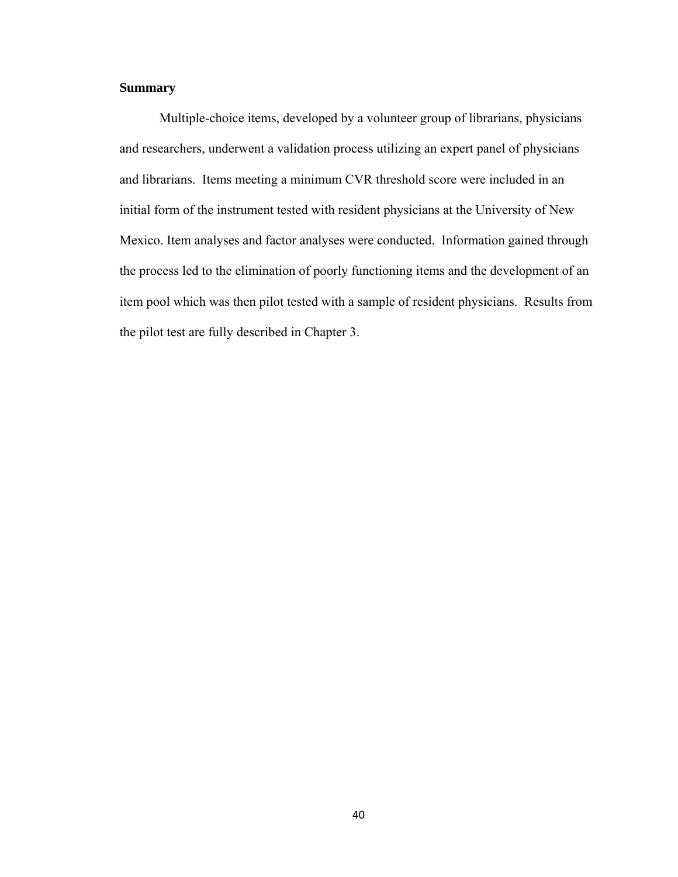# **Summary**

 Multiple-choice items, developed by a volunteer group of librarians, physicians and researchers, underwent a validation process utilizing an expert panel of physicians and librarians. Items meeting a minimum CVR threshold score were included in an initial form of the instrument tested with resident physicians at the University of New Mexico. Item analyses and factor analyses were conducted. Information gained through the process led to the elimination of poorly functioning items and the development of an item pool which was then pilot tested with a sample of resident physicians. Results from the pilot test are fully described in Chapter 3.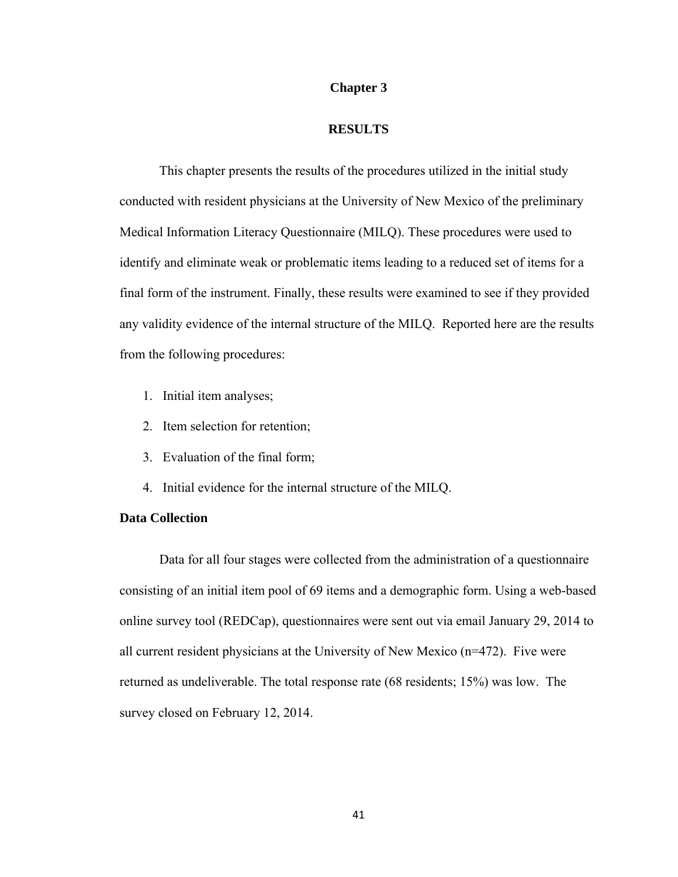### **Chapter 3**

#### **RESULTS**

 This chapter presents the results of the procedures utilized in the initial study conducted with resident physicians at the University of New Mexico of the preliminary Medical Information Literacy Questionnaire (MILQ). These procedures were used to identify and eliminate weak or problematic items leading to a reduced set of items for a final form of the instrument. Finally, these results were examined to see if they provided any validity evidence of the internal structure of the MILQ. Reported here are the results from the following procedures:

- 1. Initial item analyses;
- 2. Item selection for retention;
- 3. Evaluation of the final form;
- 4. Initial evidence for the internal structure of the MILQ.

# **Data Collection**

 Data for all four stages were collected from the administration of a questionnaire consisting of an initial item pool of 69 items and a demographic form. Using a web-based online survey tool (REDCap), questionnaires were sent out via email January 29, 2014 to all current resident physicians at the University of New Mexico (n=472). Five were returned as undeliverable. The total response rate (68 residents; 15%) was low. The survey closed on February 12, 2014.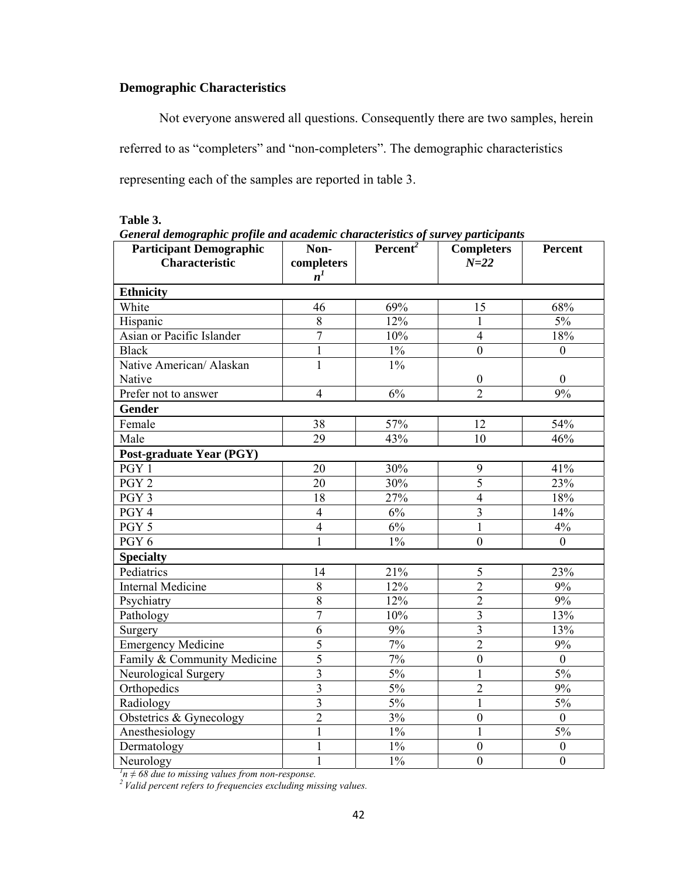# **Demographic Characteristics**

Not everyone answered all questions. Consequently there are two samples, herein referred to as "completers" and "non-completers". The demographic characteristics representing each of the samples are reported in table 3.

| <b>Participant Demographic</b><br><b>Characteristic</b><br><b>Ethnicity</b><br>White<br>Hispanic<br>Asian or Pacific Islander<br><b>Black</b><br>Native American/ Alaskan<br>Native | Non-<br>completers<br>$n^1$<br>46<br>8<br>$\overline{7}$<br>$\mathbf{1}$ | Percent <sup>2</sup><br>69%<br>12%<br>10% | <b>Completers</b><br>$N = 22$<br>15<br>1 | <b>Percent</b><br>68% |  |  |  |
|-------------------------------------------------------------------------------------------------------------------------------------------------------------------------------------|--------------------------------------------------------------------------|-------------------------------------------|------------------------------------------|-----------------------|--|--|--|
|                                                                                                                                                                                     |                                                                          |                                           |                                          |                       |  |  |  |
|                                                                                                                                                                                     |                                                                          |                                           |                                          |                       |  |  |  |
|                                                                                                                                                                                     |                                                                          |                                           |                                          |                       |  |  |  |
|                                                                                                                                                                                     |                                                                          |                                           |                                          |                       |  |  |  |
|                                                                                                                                                                                     |                                                                          |                                           |                                          | $5\%$                 |  |  |  |
|                                                                                                                                                                                     |                                                                          |                                           | $\overline{4}$                           | 18%                   |  |  |  |
|                                                                                                                                                                                     |                                                                          | $\overline{1\%}$                          | $\overline{0}$                           | $\theta$              |  |  |  |
|                                                                                                                                                                                     | $\mathbf{1}$                                                             | $1\%$                                     |                                          |                       |  |  |  |
|                                                                                                                                                                                     |                                                                          |                                           | $\boldsymbol{0}$                         | $\overline{0}$        |  |  |  |
| Prefer not to answer                                                                                                                                                                | $\overline{4}$                                                           | 6%                                        | $\overline{2}$                           | 9%                    |  |  |  |
| Gender                                                                                                                                                                              |                                                                          |                                           |                                          |                       |  |  |  |
| Female                                                                                                                                                                              | 38                                                                       | 57%                                       | 12                                       | 54%                   |  |  |  |
| Male                                                                                                                                                                                | 29                                                                       | 43%                                       | 10                                       | 46%                   |  |  |  |
| Post-graduate Year (PGY)                                                                                                                                                            |                                                                          |                                           |                                          |                       |  |  |  |
| PGY 1                                                                                                                                                                               | 20                                                                       | 30%                                       | 9                                        | 41%                   |  |  |  |
| PGY <sub>2</sub>                                                                                                                                                                    | 20                                                                       | 30%                                       | $\overline{5}$                           | 23%                   |  |  |  |
| PGY 3                                                                                                                                                                               | 18                                                                       | 27%                                       | $\overline{4}$                           | 18%                   |  |  |  |
| PGY 4                                                                                                                                                                               | $\overline{4}$                                                           | 6%                                        | $\overline{3}$                           | 14%                   |  |  |  |
| PGY 5                                                                                                                                                                               | $\overline{4}$                                                           | 6%                                        | 1                                        | $4\%$                 |  |  |  |
| PGY 6                                                                                                                                                                               | $\mathbf{1}$                                                             | $1\%$                                     | $\boldsymbol{0}$                         | $\boldsymbol{0}$      |  |  |  |
| <b>Specialty</b>                                                                                                                                                                    |                                                                          |                                           |                                          |                       |  |  |  |
| Pediatrics                                                                                                                                                                          | 14                                                                       | 21%                                       | 5                                        | 23%                   |  |  |  |
| <b>Internal Medicine</b>                                                                                                                                                            | 8                                                                        | 12%                                       | $\overline{2}$                           | 9%                    |  |  |  |
| Psychiatry                                                                                                                                                                          | 8                                                                        | 12%                                       | $\overline{2}$                           | 9%                    |  |  |  |
| Pathology                                                                                                                                                                           | $\overline{7}$                                                           | 10%                                       | $\overline{3}$                           | 13%                   |  |  |  |
| Surgery                                                                                                                                                                             | 6                                                                        | 9%                                        | $\overline{3}$                           | 13%                   |  |  |  |
| <b>Emergency Medicine</b>                                                                                                                                                           | $\overline{5}$                                                           | 7%                                        | $\overline{2}$                           | 9%                    |  |  |  |
| Family & Community Medicine                                                                                                                                                         | $\overline{5}$                                                           | $7\%$                                     | $\mathbf{0}$                             | $\boldsymbol{0}$      |  |  |  |
| Neurological Surgery                                                                                                                                                                | $\overline{3}$                                                           | $5\%$                                     |                                          | 5%                    |  |  |  |
| Orthopedics                                                                                                                                                                         | $\overline{3}$                                                           | 5%                                        | $\overline{2}$                           | 9%                    |  |  |  |
| Radiology                                                                                                                                                                           | $\overline{3}$                                                           | 5%                                        | $\mathbf{1}$                             | 5%                    |  |  |  |
| Obstetrics & Gynecology                                                                                                                                                             | $\overline{2}$                                                           | 3%                                        | $\mathbf{0}$                             | $\overline{0}$        |  |  |  |
| Anesthesiology                                                                                                                                                                      | $\mathbf{1}$                                                             | $1\%$                                     | $\mathbf{1}$                             | 5%                    |  |  |  |
| Dermatology                                                                                                                                                                         | 1                                                                        | $1\%$                                     | $\boldsymbol{0}$                         | $\boldsymbol{0}$      |  |  |  |
| Neurology                                                                                                                                                                           | 1                                                                        | $1\%$                                     | $\mathbf{0}$                             | $\boldsymbol{0}$      |  |  |  |
| $n1n \neq 68$ due to missing values from non-response.<br>$2$ Valid percent refers to frequencies excluding missing values.                                                         |                                                                          |                                           |                                          |                       |  |  |  |

**Table 3.** 

*General demographic profile and academic characteristics of survey participants*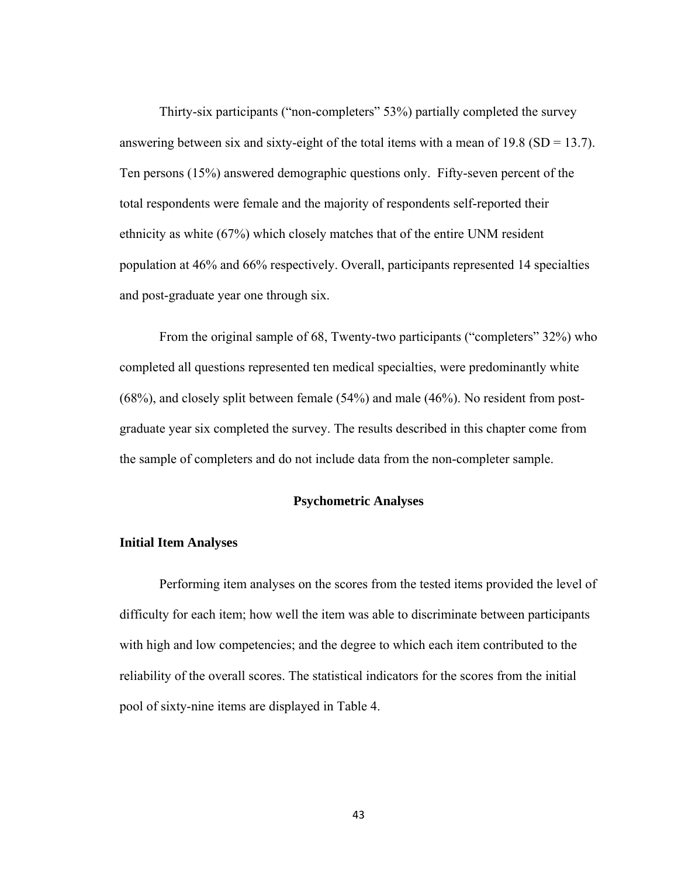Thirty-six participants ("non-completers" 53%) partially completed the survey answering between six and sixty-eight of the total items with a mean of 19.8 ( $SD = 13.7$ ). Ten persons (15%) answered demographic questions only. Fifty-seven percent of the total respondents were female and the majority of respondents self-reported their ethnicity as white (67%) which closely matches that of the entire UNM resident population at 46% and 66% respectively. Overall, participants represented 14 specialties and post-graduate year one through six.

From the original sample of 68, Twenty-two participants ("completers" 32%) who completed all questions represented ten medical specialties, were predominantly white (68%), and closely split between female (54%) and male (46%). No resident from postgraduate year six completed the survey. The results described in this chapter come from the sample of completers and do not include data from the non-completer sample.

#### **Psychometric Analyses**

#### **Initial Item Analyses**

Performing item analyses on the scores from the tested items provided the level of difficulty for each item; how well the item was able to discriminate between participants with high and low competencies; and the degree to which each item contributed to the reliability of the overall scores. The statistical indicators for the scores from the initial pool of sixty-nine items are displayed in Table 4.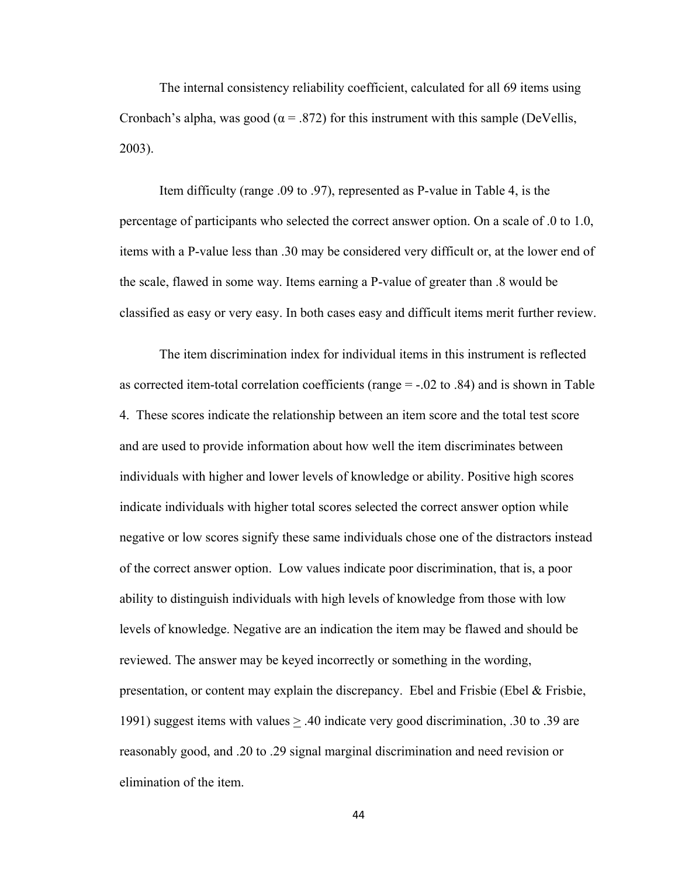The internal consistency reliability coefficient, calculated for all 69 items using Cronbach's alpha, was good ( $\alpha$  = .872) for this instrument with this sample (DeVellis, 2003).

Item difficulty (range .09 to .97), represented as P-value in Table 4, is the percentage of participants who selected the correct answer option. On a scale of .0 to 1.0, items with a P-value less than .30 may be considered very difficult or, at the lower end of the scale, flawed in some way. Items earning a P-value of greater than .8 would be classified as easy or very easy. In both cases easy and difficult items merit further review.

The item discrimination index for individual items in this instrument is reflected as corrected item-total correlation coefficients (range = -.02 to .84) and is shown in Table 4. These scores indicate the relationship between an item score and the total test score and are used to provide information about how well the item discriminates between individuals with higher and lower levels of knowledge or ability. Positive high scores indicate individuals with higher total scores selected the correct answer option while negative or low scores signify these same individuals chose one of the distractors instead of the correct answer option. Low values indicate poor discrimination, that is, a poor ability to distinguish individuals with high levels of knowledge from those with low levels of knowledge. Negative are an indication the item may be flawed and should be reviewed. The answer may be keyed incorrectly or something in the wording, presentation, or content may explain the discrepancy. Ebel and Frisbie (Ebel & Frisbie, 1991) suggest items with values > .40 indicate very good discrimination, .30 to .39 are reasonably good, and .20 to .29 signal marginal discrimination and need revision or elimination of the item.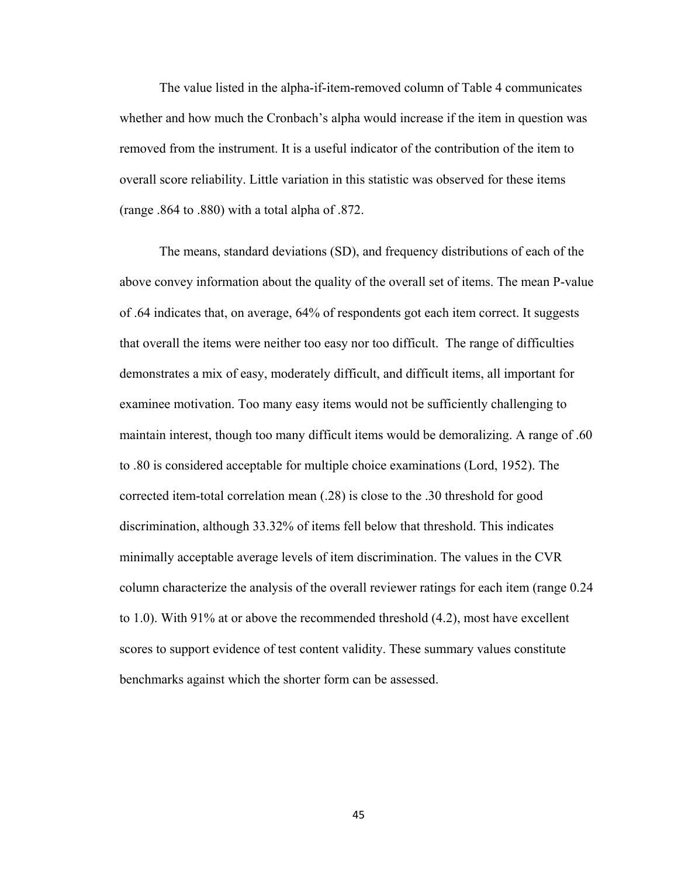The value listed in the alpha-if-item-removed column of Table 4 communicates whether and how much the Cronbach's alpha would increase if the item in question was removed from the instrument. It is a useful indicator of the contribution of the item to overall score reliability. Little variation in this statistic was observed for these items (range .864 to .880) with a total alpha of .872.

The means, standard deviations (SD), and frequency distributions of each of the above convey information about the quality of the overall set of items. The mean P-value of .64 indicates that, on average, 64% of respondents got each item correct. It suggests that overall the items were neither too easy nor too difficult. The range of difficulties demonstrates a mix of easy, moderately difficult, and difficult items, all important for examinee motivation. Too many easy items would not be sufficiently challenging to maintain interest, though too many difficult items would be demoralizing. A range of .60 to .80 is considered acceptable for multiple choice examinations (Lord, 1952). The corrected item-total correlation mean (.28) is close to the .30 threshold for good discrimination, although 33.32% of items fell below that threshold. This indicates minimally acceptable average levels of item discrimination. The values in the CVR column characterize the analysis of the overall reviewer ratings for each item (range 0.24 to 1.0). With 91% at or above the recommended threshold (4.2), most have excellent scores to support evidence of test content validity. These summary values constitute benchmarks against which the shorter form can be assessed.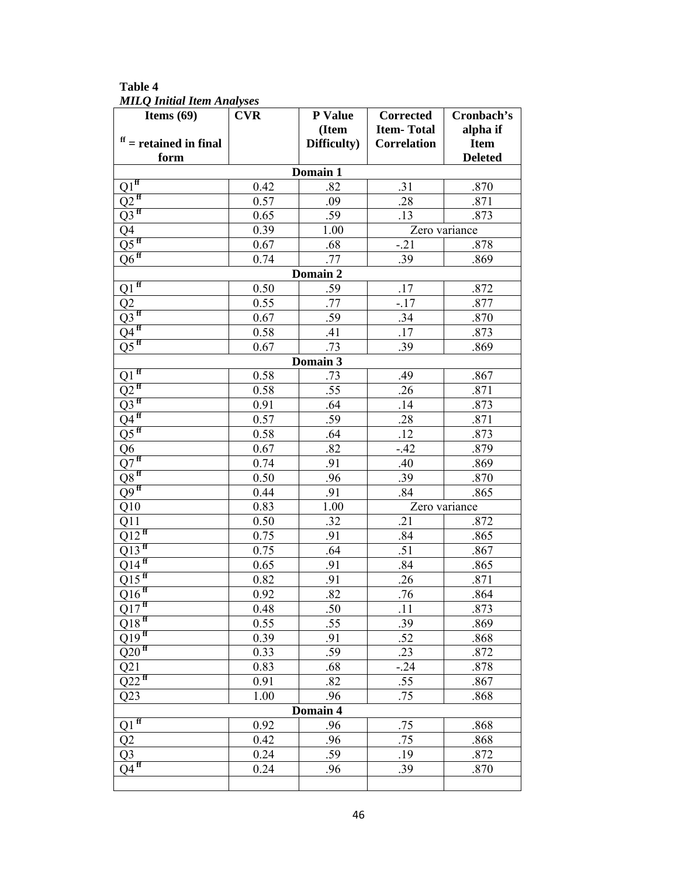**Table 4**  *MILQ Initial Item Analyses* 

| Items $(69)$                           | <b>CVR</b> | P Value     | <b>Corrected</b>   | Cronbach's     |  |  |  |
|----------------------------------------|------------|-------------|--------------------|----------------|--|--|--|
|                                        |            | (Item       | <b>Item-Total</b>  | alpha if       |  |  |  |
| $\mathbf{f}$ = retained in final       |            | Difficulty) | <b>Correlation</b> | <b>Item</b>    |  |  |  |
| form                                   |            |             |                    | <b>Deleted</b> |  |  |  |
| Domain 1                               |            |             |                    |                |  |  |  |
| $Q1^{ff}$                              | 0.42       | .82         | .31                | .870           |  |  |  |
| $Q2^{ff}$                              | 0.57       | .09         | .28                | .871           |  |  |  |
| $Q3$ <sup>ff</sup>                     | 0.65       | .59         | .13                | .873           |  |  |  |
| $Q\overline{4}$                        | 0.39       | 1.00        |                    | Zero variance  |  |  |  |
| $\overline{Q5}^{ff}$                   | 0.67       | .68         | $-.21$             | .878           |  |  |  |
| $Q\overline{6}$ ff                     | 0.74       | .77         | .39                | .869           |  |  |  |
|                                        |            | Domain 2    |                    |                |  |  |  |
| $\overline{Q1}^{ff}$                   | 0.50       | .59         | .17                | .872           |  |  |  |
| Q2                                     | 0.55       | .77         | $-.17$             | .877           |  |  |  |
| $Q3$ <sup>ff</sup>                     | 0.67       | .59         | .34                | .870           |  |  |  |
| $Q\overline{4}$ <sup>ff</sup>          | 0.58       | .41         | .17                | .873           |  |  |  |
| $\overline{\mathrm{Q5}}^{\mathrm{ff}}$ | 0.67       | .73         | .39                | .869           |  |  |  |
|                                        |            | Domain 3    |                    |                |  |  |  |
| $Q1$ <sup>ff</sup>                     | 0.58       | .73         | .49                | .867           |  |  |  |
| $Q2^{ff}$                              | 0.58       | .55         | .26                | .871           |  |  |  |
| $Q3$ <sup>ff</sup>                     | 0.91       | .64         | .14                | .873           |  |  |  |
| $Q\overline{4^{ff}}$                   | 0.57       | .59         | .28                | .871           |  |  |  |
| $\overline{Q5}^{ff}$                   | 0.58       | .64         | .12                | .873           |  |  |  |
| $\overline{\mathrm{Q6}}$               | 0.67       | .82         | $-.42$             | .879           |  |  |  |
| Q7 <sup>ff</sup>                       | 0.74       | .91         | .40                | .869           |  |  |  |
| $\overline{\text{Q8}}^{\text{ff}}$     | 0.50       | .96         | .39                | .870           |  |  |  |
| $Q9$ <sup>ff</sup>                     | 0.44       | .91         | .84                | .865           |  |  |  |
| Q10                                    | 0.83       | 1.00        | Zero variance      |                |  |  |  |
| Q11                                    | 0.50       | .32         | .21                | .872           |  |  |  |
| $Q12^{ff}$                             | 0.75       | .91         | .84                | .865           |  |  |  |
| $Q13$ <sup>ff</sup>                    | 0.75       | .64         | .51                | .867           |  |  |  |
| $Q14^{ff}$                             | 0.65       | .91         | .84                | .865           |  |  |  |
| $Q15$ <sup>ff</sup>                    | 0.82       | .91         | .26                | .871           |  |  |  |
| $Q16$ <sup>ff</sup>                    | 0.92       | .82         | .76                | .864           |  |  |  |
| $Q17$ <sup>ff</sup>                    | 0.48       | .50         | .11                | .873           |  |  |  |
| $Q18$ <sup>ff</sup>                    | 0.55       | .55         | .39                | .869           |  |  |  |
| $Q\overline{19}$ ff                    | 0.39       | .91         | .52                | .868           |  |  |  |
| $Q20$ <sup>ff</sup>                    | 0.33       | .59         | .23                | .872           |  |  |  |
| Q21                                    | 0.83       | .68         | $-.24$             | .878           |  |  |  |
| $Q22$ <sup>ff</sup>                    | 0.91       | .82         | .55                | .867           |  |  |  |
| Q23                                    | 1.00       | .96         | .75                | .868           |  |  |  |
| Domain 4                               |            |             |                    |                |  |  |  |
| $Q1$ <sup>ff</sup>                     | 0.92       | .96         | .75                | .868           |  |  |  |
| Q2                                     | 0.42       | .96         | .75                | .868           |  |  |  |
| Q <sub>3</sub>                         | 0.24       | .59         | .19                | .872           |  |  |  |
| $Q\overline{4}^{ff}$                   | 0.24       | .96         | .39                | .870           |  |  |  |
|                                        |            |             |                    |                |  |  |  |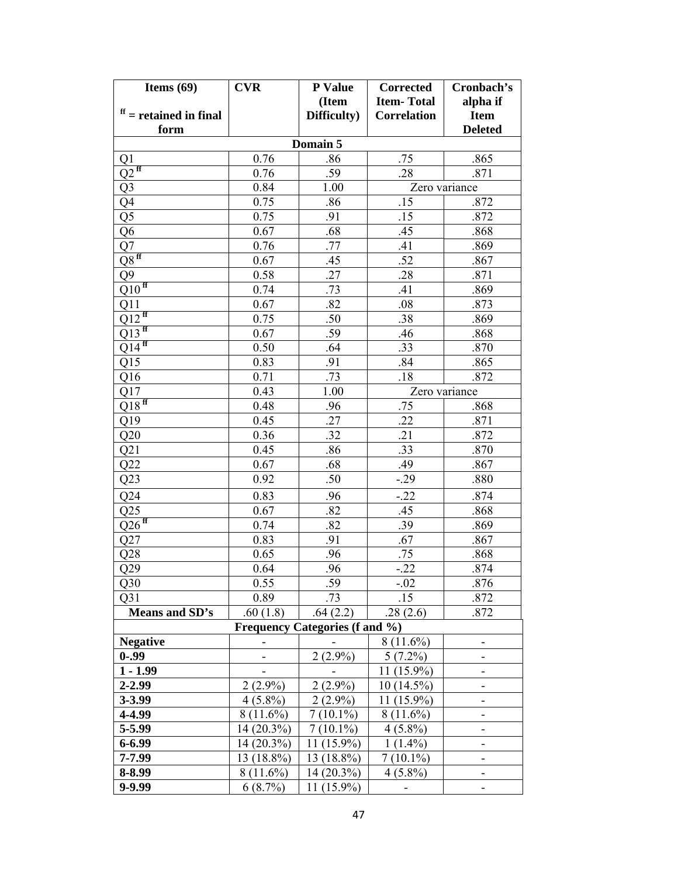| Items $(69)$                         | <b>CVR</b>                            | P Value     | <b>Corrected</b>   | Cronbach's     |  |  |  |  |
|--------------------------------------|---------------------------------------|-------------|--------------------|----------------|--|--|--|--|
|                                      |                                       | (Item       | <b>Item-Total</b>  | alpha if       |  |  |  |  |
| $f f =$ retained in final            |                                       | Difficulty) | <b>Correlation</b> | <b>Item</b>    |  |  |  |  |
| form                                 |                                       |             |                    | <b>Deleted</b> |  |  |  |  |
| Domain 5                             |                                       |             |                    |                |  |  |  |  |
| Q1                                   | 0.76                                  | .86         | .75                | .865           |  |  |  |  |
| $Q2^{ff}$                            | 0.76                                  | .59         | .28                | .871           |  |  |  |  |
| Q <sub>3</sub>                       | 0.84                                  | 1.00        |                    | Zero variance  |  |  |  |  |
| Q4                                   | 0.75                                  | .86         | .15                | .872           |  |  |  |  |
| Q5                                   | 0.75                                  | .91         | .15                | .872           |  |  |  |  |
| Q <sub>6</sub>                       | 0.67                                  | .68         | .45                | .868           |  |  |  |  |
| Q7                                   | 0.76                                  | .77         | .41                | .869           |  |  |  |  |
| $\overline{\mathrm{Q8}}^{\text{ff}}$ | 0.67                                  | .45         | .52                | .867           |  |  |  |  |
| Q <sub>9</sub>                       | 0.58                                  | .27         | .28                | .871           |  |  |  |  |
| $Q\overline{10^{ff}}$                | 0.74                                  | .73         | .41                | .869           |  |  |  |  |
| $Q1\bar{1}$                          | 0.67                                  | .82         | .08                | .873           |  |  |  |  |
| $Q12$ <sup>ff</sup>                  | 0.75                                  | .50         | .38                | .869           |  |  |  |  |
| $Q13$ <sup>ff</sup>                  | 0.67                                  | .59         | .46                | .868           |  |  |  |  |
| $Q14^{\text{ff}}$                    | 0.50                                  | .64         | .33                | .870           |  |  |  |  |
| Q15                                  | 0.83                                  | .91         | .84                | .865           |  |  |  |  |
| Q16                                  | 0.71                                  | .73         | .18                | .872           |  |  |  |  |
| Q17                                  | 0.43                                  | 1.00        |                    | Zero variance  |  |  |  |  |
| $Q18^{ff}$                           | 0.48                                  | .96         | .75                | .868           |  |  |  |  |
| Q19                                  | 0.45                                  | .27         | .22                | .871           |  |  |  |  |
| Q20                                  | 0.36                                  | .32         | .21                | .872           |  |  |  |  |
| Q21                                  | 0.45                                  | .86         | .33                | .870           |  |  |  |  |
| Q22                                  | 0.67                                  | .68         | .49                | .867           |  |  |  |  |
| Q23                                  | 0.92                                  | .50         | $-.29$             | .880           |  |  |  |  |
| Q24                                  | 0.83                                  | .96         | $-.22$             | .874           |  |  |  |  |
| Q25                                  | 0.67                                  | .82         | .45                | .868           |  |  |  |  |
| $Q26$ <sup>ff</sup>                  | 0.74                                  | .82         | .39                | .869           |  |  |  |  |
| Q27                                  | 0.83                                  | .91         | .67                | .867           |  |  |  |  |
| Q28                                  | 0.65                                  | .96         | .75                | .868           |  |  |  |  |
| Q29                                  | 0.64                                  | .96         | $-.22$             | .874           |  |  |  |  |
| Q30                                  | 0.55                                  | .59         | $-.02$             | .876           |  |  |  |  |
| Q <sub>31</sub>                      | 0.89                                  | .73         | .15                | .872           |  |  |  |  |
| Means and SD's                       | .60(1.8)                              | .64(2.2)    | .28(2.6)           | .872           |  |  |  |  |
|                                      | <b>Frequency Categories (f and %)</b> |             |                    |                |  |  |  |  |
| <b>Negative</b>                      |                                       |             | $8(11.6\%)$        |                |  |  |  |  |
| $0 - .99$                            |                                       | $2(2.9\%)$  | $5(7.2\%)$         |                |  |  |  |  |
| $1 - 1.99$                           |                                       |             | 11 (15.9%)         |                |  |  |  |  |
| 2-2.99                               | $2(2.9\%)$                            | $2(2.9\%)$  | $10(14.5\%)$       |                |  |  |  |  |
| 3-3.99                               | $4(5.8\%)$                            | $2(2.9\%)$  | $(15.9\%)$<br>11   | ۰              |  |  |  |  |
| 4-4.99                               | $8(11.6\%)$                           | $7(10.1\%)$ | $8(11.6\%)$        | -              |  |  |  |  |
| 5-5.99                               | 14 (20.3%)                            | $7(10.1\%)$ | $4(5.8\%)$         |                |  |  |  |  |
| $6 - 6.99$                           | 14 (20.3%)                            | 11 (15.9%)  | $1(1.4\%)$         |                |  |  |  |  |
| 7-7.99                               | 13 (18.8%)                            | 13 (18.8%)  | $7(10.1\%)$        |                |  |  |  |  |
| 8-8.99                               | $8(11.6\%)$                           | 14 (20.3%)  | $4(5.8\%)$         | ۰              |  |  |  |  |
| 9-9.99                               | $6(8.7\%)$                            | 11 (15.9%)  |                    | -              |  |  |  |  |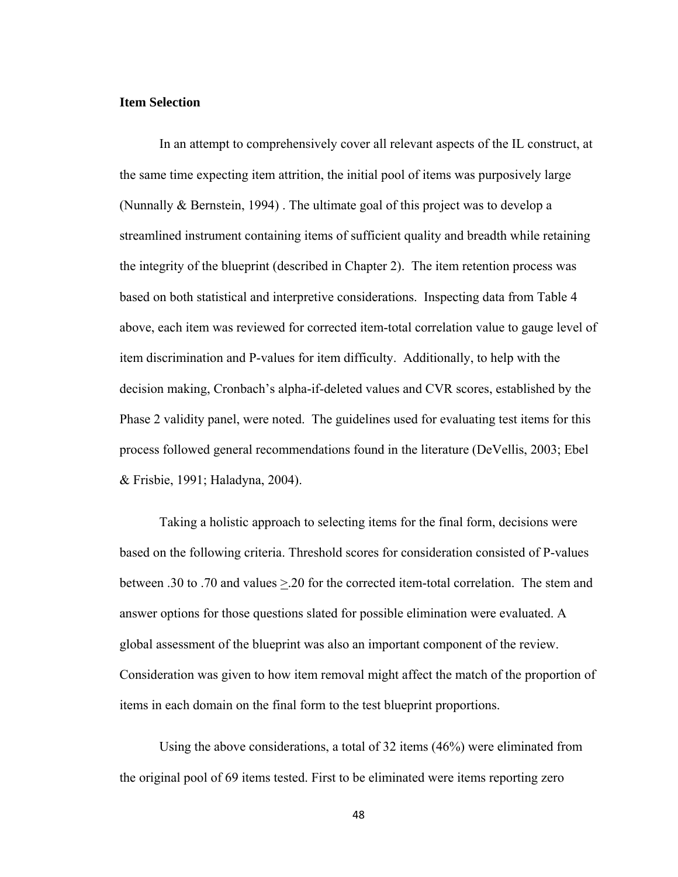## **Item Selection**

 In an attempt to comprehensively cover all relevant aspects of the IL construct, at the same time expecting item attrition, the initial pool of items was purposively large (Nunnally & Bernstein, 1994) . The ultimate goal of this project was to develop a streamlined instrument containing items of sufficient quality and breadth while retaining the integrity of the blueprint (described in Chapter 2). The item retention process was based on both statistical and interpretive considerations. Inspecting data from Table 4 above, each item was reviewed for corrected item-total correlation value to gauge level of item discrimination and P-values for item difficulty. Additionally, to help with the decision making, Cronbach's alpha-if-deleted values and CVR scores, established by the Phase 2 validity panel, were noted. The guidelines used for evaluating test items for this process followed general recommendations found in the literature (DeVellis, 2003; Ebel & Frisbie, 1991; Haladyna, 2004).

Taking a holistic approach to selecting items for the final form, decisions were based on the following criteria. Threshold scores for consideration consisted of P-values between .30 to .70 and values >.20 for the corrected item-total correlation. The stem and answer options for those questions slated for possible elimination were evaluated. A global assessment of the blueprint was also an important component of the review. Consideration was given to how item removal might affect the match of the proportion of items in each domain on the final form to the test blueprint proportions.

 Using the above considerations, a total of 32 items (46%) were eliminated from the original pool of 69 items tested. First to be eliminated were items reporting zero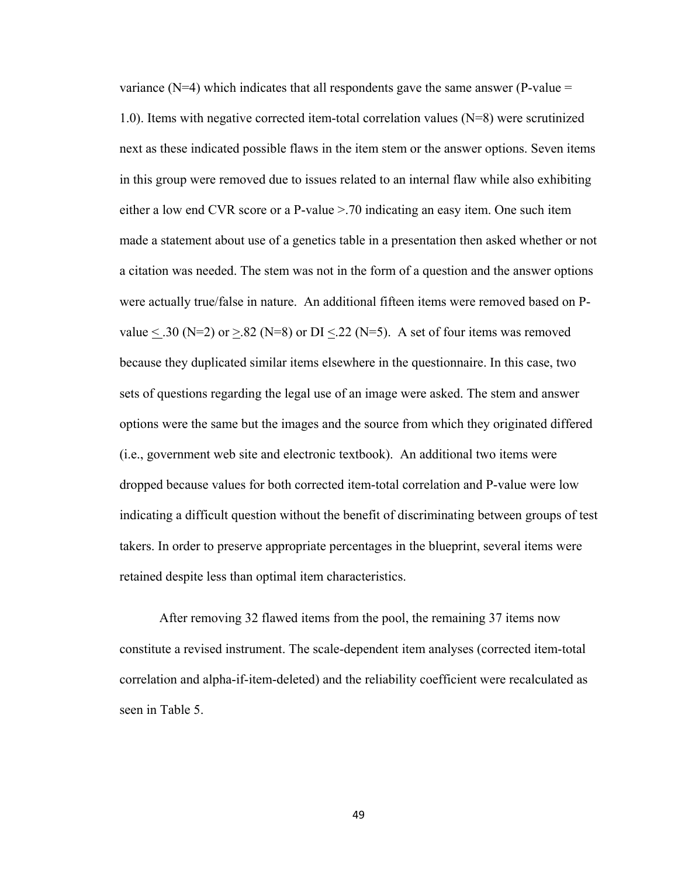variance  $(N=4)$  which indicates that all respondents gave the same answer (P-value  $=$ 1.0). Items with negative corrected item-total correlation values (N=8) were scrutinized next as these indicated possible flaws in the item stem or the answer options. Seven items in this group were removed due to issues related to an internal flaw while also exhibiting either a low end CVR score or a P-value >.70 indicating an easy item. One such item made a statement about use of a genetics table in a presentation then asked whether or not a citation was needed. The stem was not in the form of a question and the answer options were actually true/false in nature. An additional fifteen items were removed based on Pvalue  $\le$  .30 (N=2) or  $\ge$  82 (N=8) or DI $\le$  22 (N=5). A set of four items was removed because they duplicated similar items elsewhere in the questionnaire. In this case, two sets of questions regarding the legal use of an image were asked. The stem and answer options were the same but the images and the source from which they originated differed (i.e., government web site and electronic textbook). An additional two items were dropped because values for both corrected item-total correlation and P-value were low indicating a difficult question without the benefit of discriminating between groups of test takers. In order to preserve appropriate percentages in the blueprint, several items were retained despite less than optimal item characteristics.

 After removing 32 flawed items from the pool, the remaining 37 items now constitute a revised instrument. The scale-dependent item analyses (corrected item-total correlation and alpha-if-item-deleted) and the reliability coefficient were recalculated as seen in Table 5.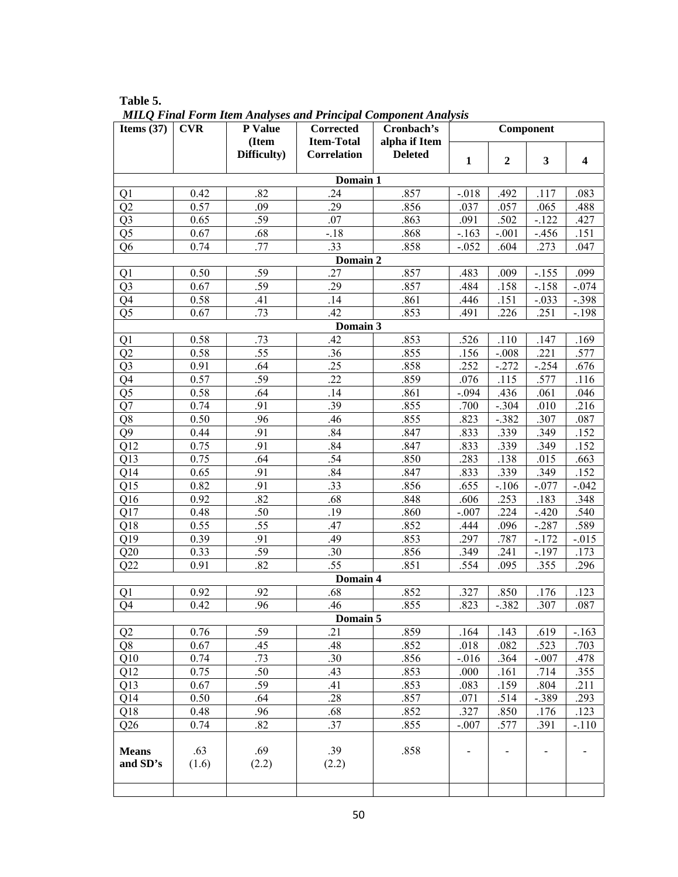| Items $(37)$                     | <b>CVR</b>   | P Value      | Corrected          | Cronbach's     | Component    |                  |              |                         |  |  |
|----------------------------------|--------------|--------------|--------------------|----------------|--------------|------------------|--------------|-------------------------|--|--|
|                                  |              | (Item        | <b>Item-Total</b>  | alpha if Item  |              |                  |              |                         |  |  |
|                                  |              | Difficulty)  | <b>Correlation</b> | <b>Deleted</b> | $\mathbf{1}$ | $\boldsymbol{2}$ | 3            | $\overline{\mathbf{4}}$ |  |  |
|                                  |              |              | Domain 1           |                |              |                  |              |                         |  |  |
| Q1                               | 0.42         | .82          | .24                | .857           | $-0.018$     | .492             | .117         | .083                    |  |  |
| Q2                               | 0.57         | .09          | .29                | .856           | .037         | .057             | .065         | .488                    |  |  |
| Q <sub>3</sub>                   | 0.65         | .59          | .07                | .863           | .091         | .502             | $-122$       | .427                    |  |  |
| Q <sub>5</sub>                   | 0.67         | .68          | $-.18$             | .868           | $-.163$      | $-.001$          | $-.456$      | .151                    |  |  |
| Q <sub>6</sub>                   | 0.74         | .77          | .33                | .858           | $-0.052$     | .604             | .273         | .047                    |  |  |
|                                  |              |              | Domain 2           |                |              |                  |              |                         |  |  |
| Q1                               | 0.50         | .59          | .27                | .857           | .483         | .009             | $-.155$      | .099                    |  |  |
| Q <sub>3</sub>                   | 0.67         | .59          | .29                | .857           | .484         | .158             | $-.158$      | $-.074$                 |  |  |
| Q4                               | 0.58         | .41          | .14                | .861           | .446         | .151             | $-.033$      | $-.398$                 |  |  |
| Q <sub>5</sub>                   | 0.67         | .73          | .42                | .853           | .491         | .226             | .251         | $-.198$                 |  |  |
|                                  |              |              | Domain 3           |                |              |                  |              |                         |  |  |
| Q1                               | 0.58         | .73          | .42                | .853           | .526         | .110             | .147         | .169                    |  |  |
| Q2                               | 0.58         | .55          | .36                | .855           | .156         | $-.008$          | .221         | .577                    |  |  |
| Q <sub>3</sub>                   | 0.91         | .64          | .25                | .858           | .252         | $-.272$          | $-.254$      | .676                    |  |  |
| Q4                               | 0.57         | .59          | .22                | .859           | .076         | .115             | .577         | .116                    |  |  |
| Q <sub>5</sub>                   | 0.58         | .64          | .14                | .861           | $-.094$      | .436             | .061         | .046                    |  |  |
| Q7                               | 0.74         | .91          | .39                | .855           | .700         | $-.304$          | .010         | .216                    |  |  |
| Q <sub>8</sub><br>Q <sub>9</sub> | 0.50         | .96<br>.91   | .46<br>.84         | .855           | .823         | $-.382$          | .307         | .087                    |  |  |
| Q12                              | 0.44<br>0.75 | .91          | .84                | .847<br>.847   | .833<br>.833 | .339             | .349<br>.349 | .152<br>.152            |  |  |
| Q13                              | 0.75         | .64          | .54                | .850           | .283         | .339<br>.138     | .015         | .663                    |  |  |
| Q14                              | 0.65         | .91          | .84                | .847           | .833         | .339             | .349         | .152                    |  |  |
| Q15                              | 0.82         | .91          | .33                | .856           | .655         | $-.106$          | $-.077$      | $-.042$                 |  |  |
| Q16                              | 0.92         | .82          | .68                | .848           | .606         | .253             | .183         | .348                    |  |  |
| Q17                              | 0.48         | .50          | .19                | .860           | $-.007$      | .224             | $-.420$      | .540                    |  |  |
| Q18                              | 0.55         | .55          | .47                | .852           | .444         | .096             | $-.287$      | .589                    |  |  |
| Q19                              | 0.39         | .91          | .49                | .853           | .297         | .787             | $-.172$      | $-0.015$                |  |  |
| Q20                              | 0.33         | .59          | .30                | .856           | .349         | .241             | $-.197$      | .173                    |  |  |
| Q22                              | 0.91         | .82          | .55                | .851           | .554         | .095             | .355         | .296                    |  |  |
|                                  |              |              | Domain 4           |                |              |                  |              |                         |  |  |
| Q1                               | 0.92         | .92          | .68                | .852           | .327         | .850             | .176         | .123                    |  |  |
| Q4                               | 0.42         | .96          | .46                | .855           | .823         | $-.382$          | .307         | .087                    |  |  |
|                                  |              |              | Domain 5           |                |              |                  |              |                         |  |  |
| Q <sub>2</sub>                   | 0.76         | .59          | .21                | .859           | .164         | .143             | .619         | $-.163$                 |  |  |
| Q <sub>8</sub>                   | 0.67         | .45          | .48                | .852           | .018         | .082             | .523         | .703                    |  |  |
| Q10                              | 0.74         | .73          | .30                | .856           | $-0.016$     | .364             | $-.007$      | .478                    |  |  |
| Q12                              | 0.75         | .50          | .43                | .853           | .000         | .161             | .714         | .355                    |  |  |
| Q13                              | 0.67         | .59          | .41                | .853           | .083         | .159             | .804         | .211                    |  |  |
| Q14                              | 0.50         | .64          | .28                | .857           | .071         | .514             | $-.389$      | .293                    |  |  |
| Q <sub>18</sub>                  | 0.48         | .96          | .68                | .852           | .327         | .850             | .176         | .123                    |  |  |
| Q26                              | 0.74         | .82          | .37                | .855           | $-.007$      | .577             | .391         | $-.110$                 |  |  |
| <b>Means</b><br>and SD's         | .63<br>(1.6) | .69<br>(2.2) | .39<br>(2.2)       | .858           |              |                  |              |                         |  |  |
|                                  |              |              |                    |                |              |                  |              |                         |  |  |

**Table 5.**   *MILQ Final Form Item Analyses and Principal Component Analysis*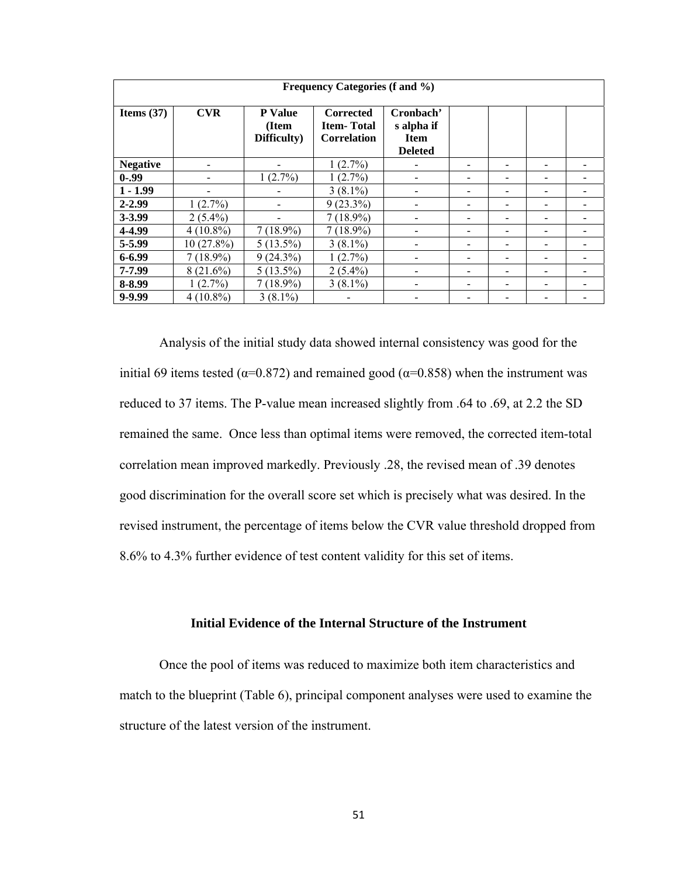| Frequency Categories (f and %) |              |                                        |                                                             |                                                          |  |  |  |  |
|--------------------------------|--------------|----------------------------------------|-------------------------------------------------------------|----------------------------------------------------------|--|--|--|--|
| Items $(37)$                   | <b>CVR</b>   | <b>P</b> Value<br>(Item<br>Difficulty) | <b>Corrected</b><br><b>Item-Total</b><br><b>Correlation</b> | Cronbach'<br>s alpha if<br><b>Item</b><br><b>Deleted</b> |  |  |  |  |
| <b>Negative</b>                |              |                                        | 1(2.7%)                                                     |                                                          |  |  |  |  |
| $0 - .99$                      |              | $1(2.7\%)$                             | $1(2.7\%)$                                                  |                                                          |  |  |  |  |
| $1 - 1.99$                     |              |                                        | $3(8.1\%)$                                                  |                                                          |  |  |  |  |
| $2 - 2.99$                     | $1(2.7\%)$   |                                        | $9(23.3\%)$                                                 |                                                          |  |  |  |  |
| 3-3.99                         | $2(5.4\%)$   |                                        | $7(18.9\%)$                                                 |                                                          |  |  |  |  |
| 4-4.99                         | $4(10.8\%)$  | $7(18.9\%)$                            | $7(18.9\%)$                                                 |                                                          |  |  |  |  |
| 5-5.99                         | $10(27.8\%)$ | $5(13.5\%)$                            | $3(8.1\%)$                                                  |                                                          |  |  |  |  |
| 6-6.99                         | $7(18.9\%)$  | $9(24.3\%)$                            | $1(2.7\%)$                                                  |                                                          |  |  |  |  |
| 7-7.99                         | $8(21.6\%)$  | $5(13.5\%)$                            | $2(5.4\%)$                                                  |                                                          |  |  |  |  |
| 8-8.99                         | 1(2.7%)      | $7(18.9\%)$                            | $3(8.1\%)$                                                  |                                                          |  |  |  |  |
| 9-9.99                         | $4(10.8\%)$  | $3(8.1\%)$                             |                                                             |                                                          |  |  |  |  |

Analysis of the initial study data showed internal consistency was good for the initial 69 items tested ( $α=0.872$ ) and remained good ( $α=0.858$ ) when the instrument was reduced to 37 items. The P-value mean increased slightly from .64 to .69, at 2.2 the SD remained the same. Once less than optimal items were removed, the corrected item-total correlation mean improved markedly. Previously .28, the revised mean of .39 denotes good discrimination for the overall score set which is precisely what was desired. In the revised instrument, the percentage of items below the CVR value threshold dropped from 8.6% to 4.3% further evidence of test content validity for this set of items.

# **Initial Evidence of the Internal Structure of the Instrument**

Once the pool of items was reduced to maximize both item characteristics and match to the blueprint (Table 6), principal component analyses were used to examine the structure of the latest version of the instrument.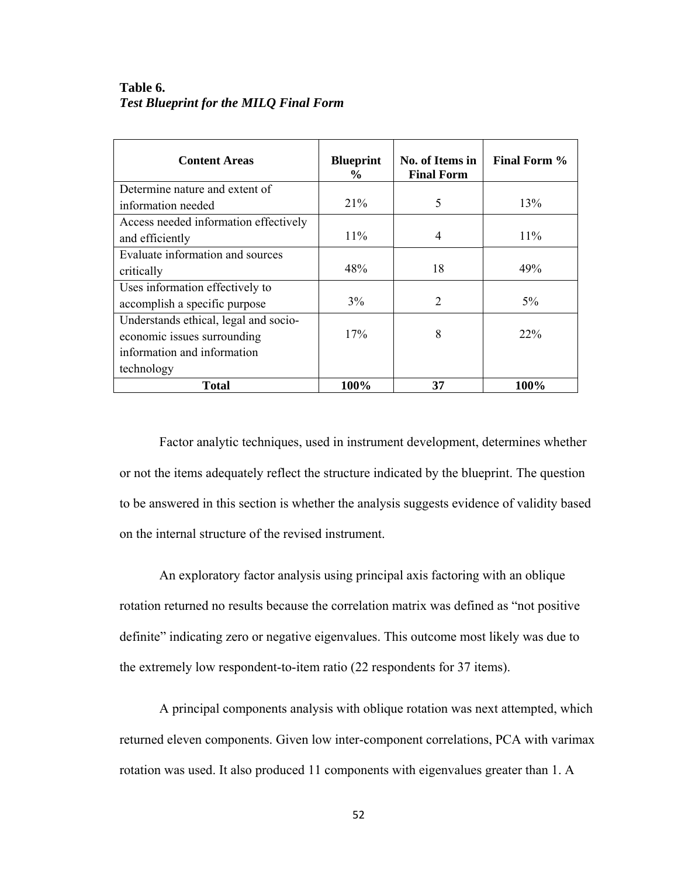# **Table 6.**  *Test Blueprint for the MILQ Final Form*

| <b>Content Areas</b>                  | <b>Blueprint</b><br>$\frac{6}{10}$ | No. of Items in<br><b>Final Form</b> | Final Form % |
|---------------------------------------|------------------------------------|--------------------------------------|--------------|
| Determine nature and extent of        |                                    |                                      |              |
| information needed                    | 21%                                | 5                                    | 13%          |
| Access needed information effectively |                                    |                                      |              |
| and efficiently                       | $11\%$                             | 4                                    | $11\%$       |
| Evaluate information and sources      |                                    |                                      |              |
| critically                            | 48%                                | 18                                   | 49%          |
| Uses information effectively to       |                                    |                                      |              |
| accomplish a specific purpose         | 3%                                 | 2                                    | $5\%$        |
| Understands ethical, legal and socio- |                                    |                                      |              |
| economic issues surrounding           | 17%                                | 8                                    | $22\%$       |
| information and information           |                                    |                                      |              |
| technology                            |                                    |                                      |              |
| Total                                 | 100%                               | 37                                   | 100%         |

Factor analytic techniques, used in instrument development, determines whether or not the items adequately reflect the structure indicated by the blueprint. The question to be answered in this section is whether the analysis suggests evidence of validity based on the internal structure of the revised instrument.

An exploratory factor analysis using principal axis factoring with an oblique rotation returned no results because the correlation matrix was defined as "not positive definite" indicating zero or negative eigenvalues. This outcome most likely was due to the extremely low respondent-to-item ratio (22 respondents for 37 items).

A principal components analysis with oblique rotation was next attempted, which returned eleven components. Given low inter-component correlations, PCA with varimax rotation was used. It also produced 11 components with eigenvalues greater than 1. A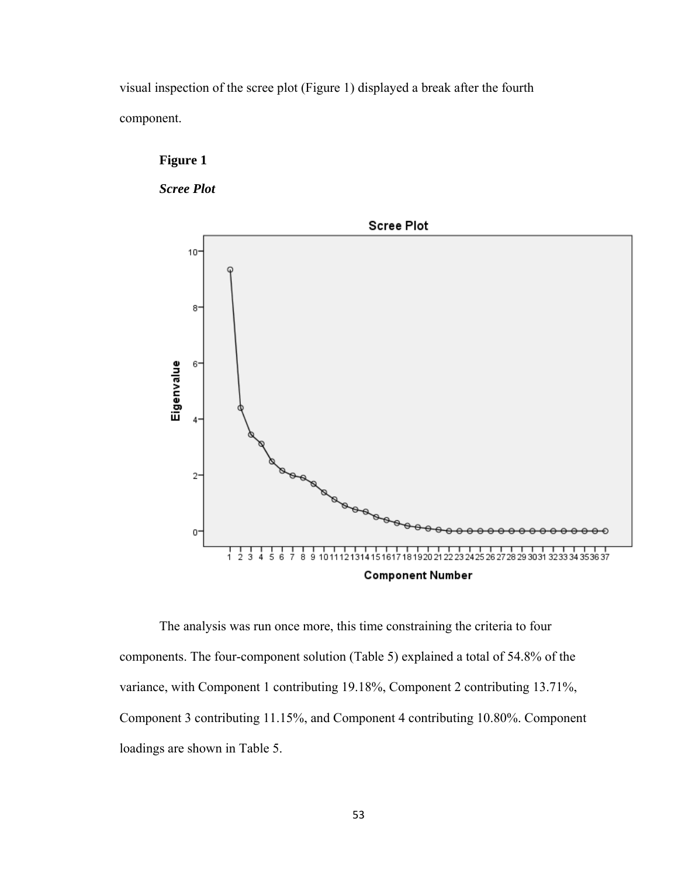visual inspection of the scree plot (Figure 1) displayed a break after the fourth component.



*Scree Plot* 



The analysis was run once more, this time constraining the criteria to four components. The four-component solution (Table 5) explained a total of 54.8% of the variance, with Component 1 contributing 19.18%, Component 2 contributing 13.71%, Component 3 contributing 11.15%, and Component 4 contributing 10.80%. Component loadings are shown in Table 5.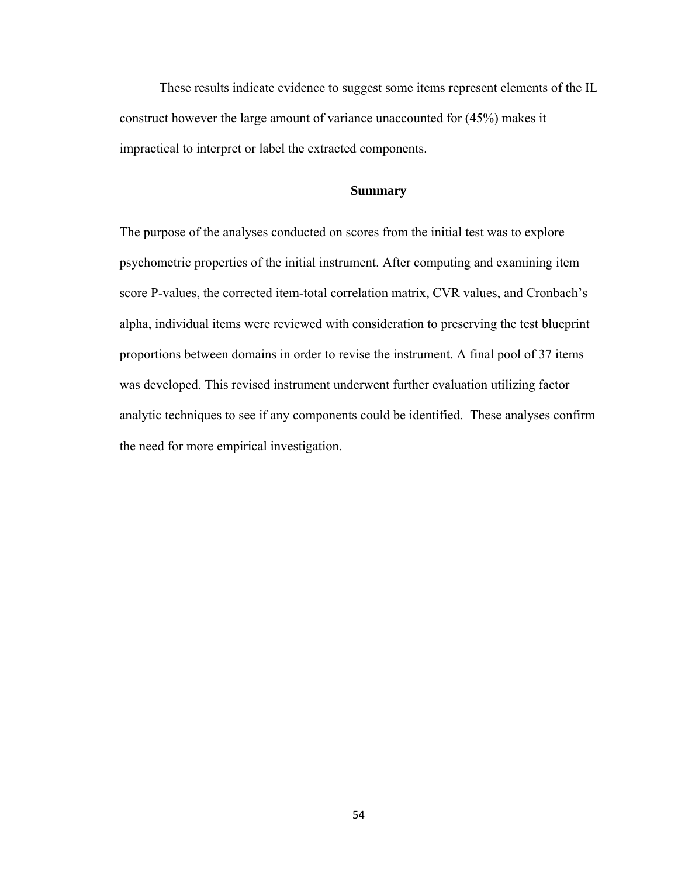These results indicate evidence to suggest some items represent elements of the IL construct however the large amount of variance unaccounted for (45%) makes it impractical to interpret or label the extracted components.

## **Summary**

The purpose of the analyses conducted on scores from the initial test was to explore psychometric properties of the initial instrument. After computing and examining item score P-values, the corrected item-total correlation matrix, CVR values, and Cronbach's alpha, individual items were reviewed with consideration to preserving the test blueprint proportions between domains in order to revise the instrument. A final pool of 37 items was developed. This revised instrument underwent further evaluation utilizing factor analytic techniques to see if any components could be identified. These analyses confirm the need for more empirical investigation.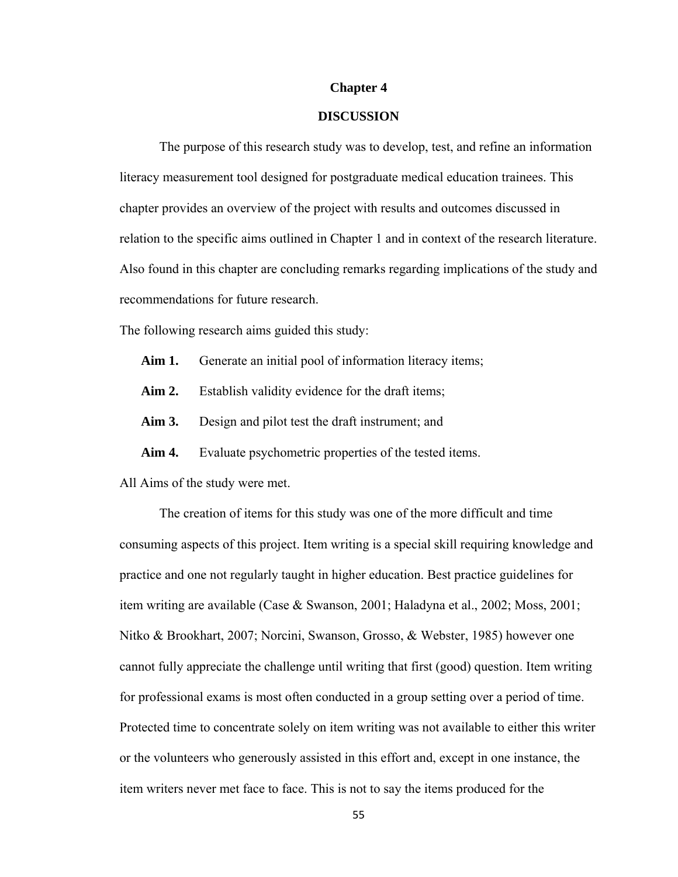#### **Chapter 4**

## **DISCUSSION**

The purpose of this research study was to develop, test, and refine an information literacy measurement tool designed for postgraduate medical education trainees. This chapter provides an overview of the project with results and outcomes discussed in relation to the specific aims outlined in Chapter 1 and in context of the research literature. Also found in this chapter are concluding remarks regarding implications of the study and recommendations for future research.

The following research aims guided this study:

- Aim 1. Generate an initial pool of information literacy items;
- Aim 2. Establish validity evidence for the draft items;
- **Aim 3.** Design and pilot test the draft instrument; and
- Aim 4. Evaluate psychometric properties of the tested items.
- All Aims of the study were met.

 The creation of items for this study was one of the more difficult and time consuming aspects of this project. Item writing is a special skill requiring knowledge and practice and one not regularly taught in higher education. Best practice guidelines for item writing are available (Case & Swanson, 2001; Haladyna et al., 2002; Moss, 2001; Nitko & Brookhart, 2007; Norcini, Swanson, Grosso, & Webster, 1985) however one cannot fully appreciate the challenge until writing that first (good) question. Item writing for professional exams is most often conducted in a group setting over a period of time. Protected time to concentrate solely on item writing was not available to either this writer or the volunteers who generously assisted in this effort and, except in one instance, the item writers never met face to face. This is not to say the items produced for the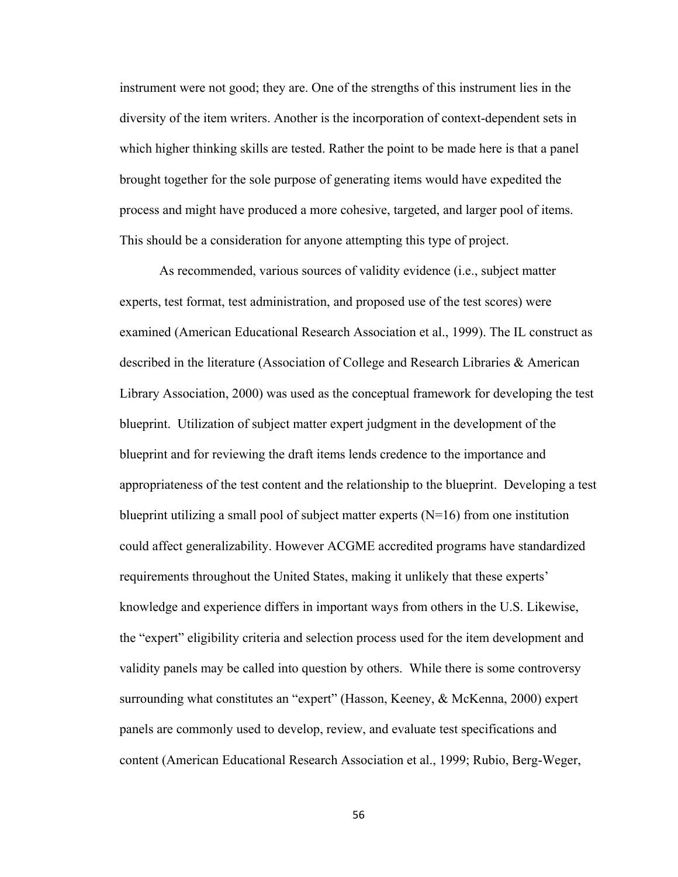instrument were not good; they are. One of the strengths of this instrument lies in the diversity of the item writers. Another is the incorporation of context-dependent sets in which higher thinking skills are tested. Rather the point to be made here is that a panel brought together for the sole purpose of generating items would have expedited the process and might have produced a more cohesive, targeted, and larger pool of items. This should be a consideration for anyone attempting this type of project.

As recommended, various sources of validity evidence (i.e., subject matter experts, test format, test administration, and proposed use of the test scores) were examined (American Educational Research Association et al., 1999). The IL construct as described in the literature (Association of College and Research Libraries & American Library Association, 2000) was used as the conceptual framework for developing the test blueprint. Utilization of subject matter expert judgment in the development of the blueprint and for reviewing the draft items lends credence to the importance and appropriateness of the test content and the relationship to the blueprint. Developing a test blueprint utilizing a small pool of subject matter experts  $(N=16)$  from one institution could affect generalizability. However ACGME accredited programs have standardized requirements throughout the United States, making it unlikely that these experts' knowledge and experience differs in important ways from others in the U.S. Likewise, the "expert" eligibility criteria and selection process used for the item development and validity panels may be called into question by others. While there is some controversy surrounding what constitutes an "expert" (Hasson, Keeney, & McKenna, 2000) expert panels are commonly used to develop, review, and evaluate test specifications and content (American Educational Research Association et al., 1999; Rubio, Berg-Weger,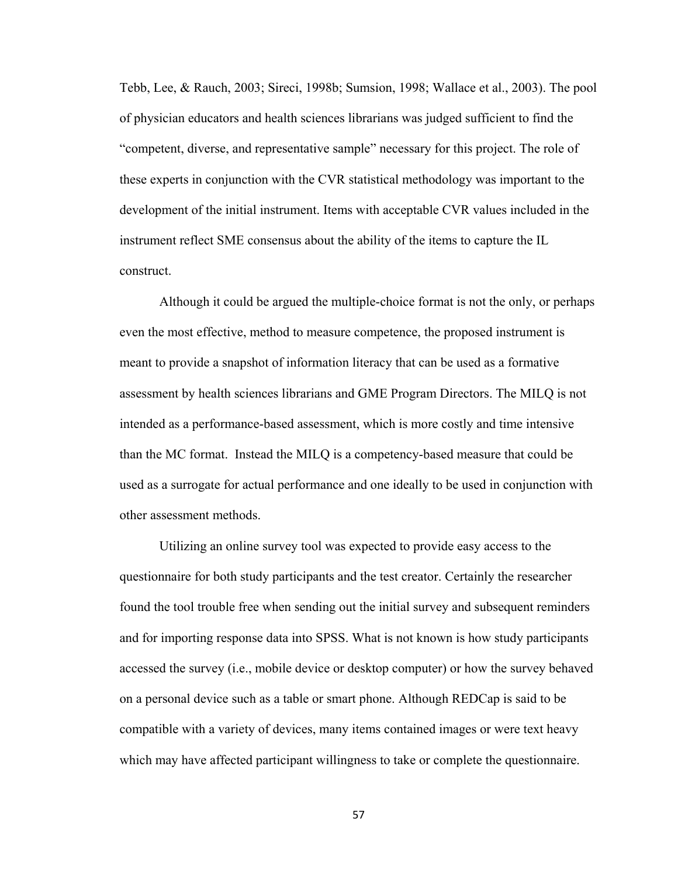Tebb, Lee, & Rauch, 2003; Sireci, 1998b; Sumsion, 1998; Wallace et al., 2003). The pool of physician educators and health sciences librarians was judged sufficient to find the "competent, diverse, and representative sample" necessary for this project. The role of these experts in conjunction with the CVR statistical methodology was important to the development of the initial instrument. Items with acceptable CVR values included in the instrument reflect SME consensus about the ability of the items to capture the IL construct.

Although it could be argued the multiple-choice format is not the only, or perhaps even the most effective, method to measure competence, the proposed instrument is meant to provide a snapshot of information literacy that can be used as a formative assessment by health sciences librarians and GME Program Directors. The MILQ is not intended as a performance-based assessment, which is more costly and time intensive than the MC format. Instead the MILQ is a competency-based measure that could be used as a surrogate for actual performance and one ideally to be used in conjunction with other assessment methods.

Utilizing an online survey tool was expected to provide easy access to the questionnaire for both study participants and the test creator. Certainly the researcher found the tool trouble free when sending out the initial survey and subsequent reminders and for importing response data into SPSS. What is not known is how study participants accessed the survey (i.e., mobile device or desktop computer) or how the survey behaved on a personal device such as a table or smart phone. Although REDCap is said to be compatible with a variety of devices, many items contained images or were text heavy which may have affected participant willingness to take or complete the questionnaire.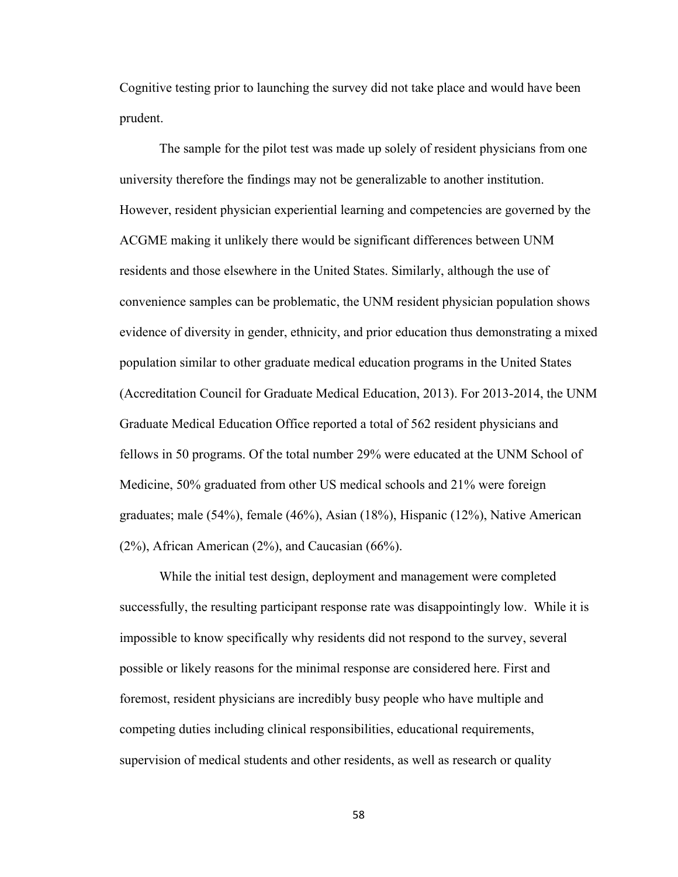Cognitive testing prior to launching the survey did not take place and would have been prudent.

The sample for the pilot test was made up solely of resident physicians from one university therefore the findings may not be generalizable to another institution. However, resident physician experiential learning and competencies are governed by the ACGME making it unlikely there would be significant differences between UNM residents and those elsewhere in the United States. Similarly, although the use of convenience samples can be problematic, the UNM resident physician population shows evidence of diversity in gender, ethnicity, and prior education thus demonstrating a mixed population similar to other graduate medical education programs in the United States (Accreditation Council for Graduate Medical Education, 2013). For 2013-2014, the UNM Graduate Medical Education Office reported a total of 562 resident physicians and fellows in 50 programs. Of the total number 29% were educated at the UNM School of Medicine, 50% graduated from other US medical schools and 21% were foreign graduates; male (54%), female (46%), Asian (18%), Hispanic (12%), Native American (2%), African American (2%), and Caucasian (66%).

While the initial test design, deployment and management were completed successfully, the resulting participant response rate was disappointingly low. While it is impossible to know specifically why residents did not respond to the survey, several possible or likely reasons for the minimal response are considered here. First and foremost, resident physicians are incredibly busy people who have multiple and competing duties including clinical responsibilities, educational requirements, supervision of medical students and other residents, as well as research or quality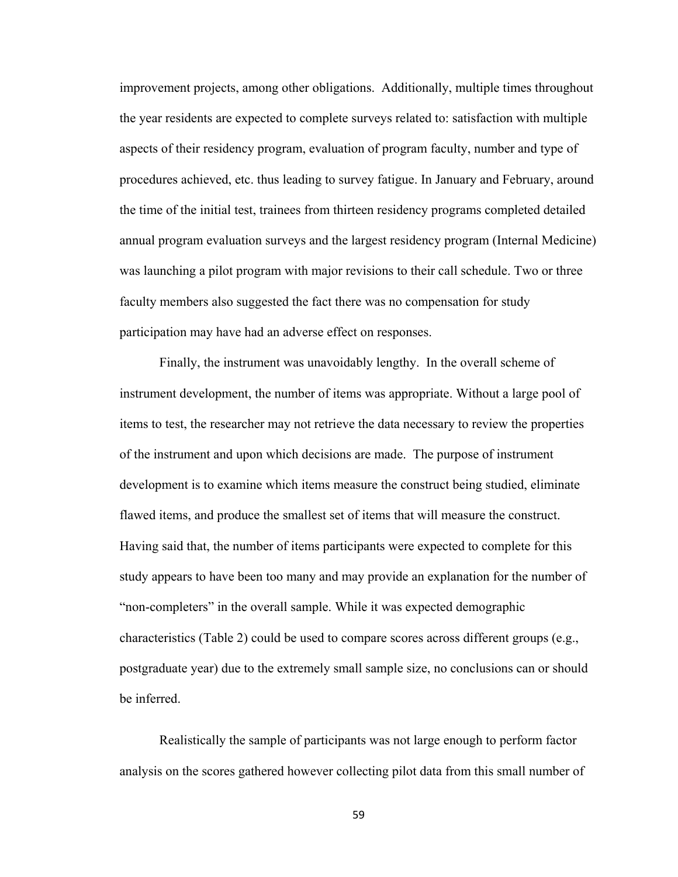improvement projects, among other obligations. Additionally, multiple times throughout the year residents are expected to complete surveys related to: satisfaction with multiple aspects of their residency program, evaluation of program faculty, number and type of procedures achieved, etc. thus leading to survey fatigue. In January and February, around the time of the initial test, trainees from thirteen residency programs completed detailed annual program evaluation surveys and the largest residency program (Internal Medicine) was launching a pilot program with major revisions to their call schedule. Two or three faculty members also suggested the fact there was no compensation for study participation may have had an adverse effect on responses.

Finally, the instrument was unavoidably lengthy. In the overall scheme of instrument development, the number of items was appropriate. Without a large pool of items to test, the researcher may not retrieve the data necessary to review the properties of the instrument and upon which decisions are made. The purpose of instrument development is to examine which items measure the construct being studied, eliminate flawed items, and produce the smallest set of items that will measure the construct. Having said that, the number of items participants were expected to complete for this study appears to have been too many and may provide an explanation for the number of "non-completers" in the overall sample. While it was expected demographic characteristics (Table 2) could be used to compare scores across different groups (e.g., postgraduate year) due to the extremely small sample size, no conclusions can or should be inferred.

Realistically the sample of participants was not large enough to perform factor analysis on the scores gathered however collecting pilot data from this small number of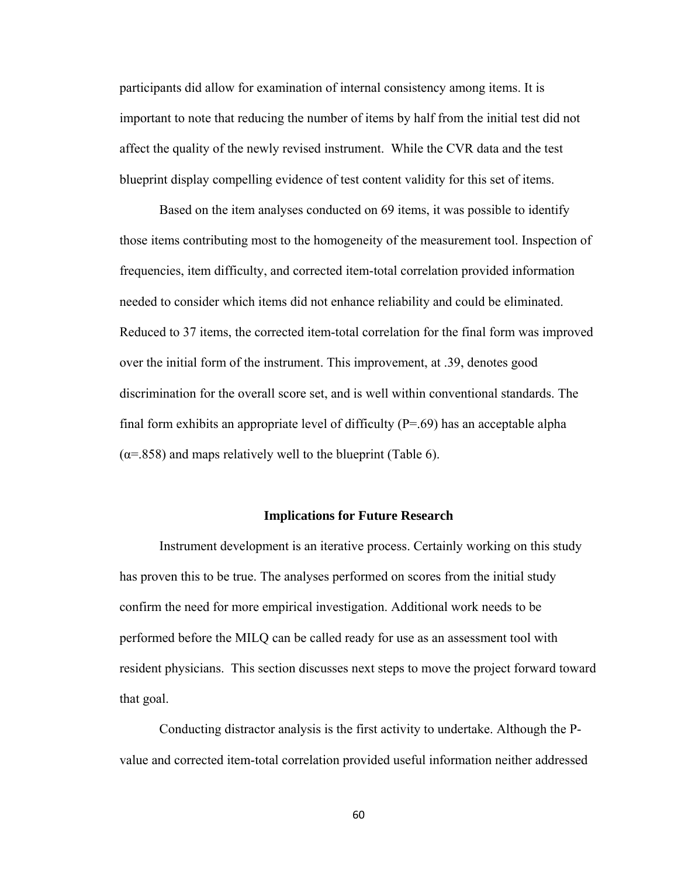participants did allow for examination of internal consistency among items. It is important to note that reducing the number of items by half from the initial test did not affect the quality of the newly revised instrument. While the CVR data and the test blueprint display compelling evidence of test content validity for this set of items.

Based on the item analyses conducted on 69 items, it was possible to identify those items contributing most to the homogeneity of the measurement tool. Inspection of frequencies, item difficulty, and corrected item-total correlation provided information needed to consider which items did not enhance reliability and could be eliminated. Reduced to 37 items, the corrected item-total correlation for the final form was improved over the initial form of the instrument. This improvement, at .39, denotes good discrimination for the overall score set, and is well within conventional standards. The final form exhibits an appropriate level of difficulty (P=.69) has an acceptable alpha  $(\alpha = 0.858)$  and maps relatively well to the blueprint (Table 6).

#### **Implications for Future Research**

Instrument development is an iterative process. Certainly working on this study has proven this to be true. The analyses performed on scores from the initial study confirm the need for more empirical investigation. Additional work needs to be performed before the MILQ can be called ready for use as an assessment tool with resident physicians. This section discusses next steps to move the project forward toward that goal.

Conducting distractor analysis is the first activity to undertake. Although the Pvalue and corrected item-total correlation provided useful information neither addressed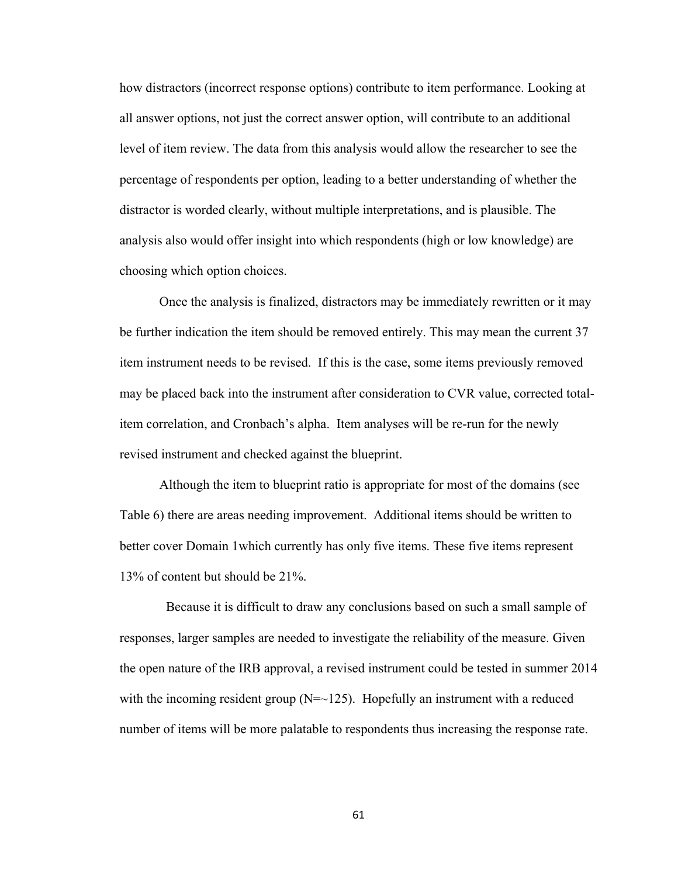how distractors (incorrect response options) contribute to item performance. Looking at all answer options, not just the correct answer option, will contribute to an additional level of item review. The data from this analysis would allow the researcher to see the percentage of respondents per option, leading to a better understanding of whether the distractor is worded clearly, without multiple interpretations, and is plausible. The analysis also would offer insight into which respondents (high or low knowledge) are choosing which option choices.

Once the analysis is finalized, distractors may be immediately rewritten or it may be further indication the item should be removed entirely. This may mean the current 37 item instrument needs to be revised. If this is the case, some items previously removed may be placed back into the instrument after consideration to CVR value, corrected totalitem correlation, and Cronbach's alpha. Item analyses will be re-run for the newly revised instrument and checked against the blueprint.

Although the item to blueprint ratio is appropriate for most of the domains (see Table 6) there are areas needing improvement. Additional items should be written to better cover Domain 1which currently has only five items. These five items represent 13% of content but should be 21%.

 Because it is difficult to draw any conclusions based on such a small sample of responses, larger samples are needed to investigate the reliability of the measure. Given the open nature of the IRB approval, a revised instrument could be tested in summer 2014 with the incoming resident group  $(N=-125)$ . Hopefully an instrument with a reduced number of items will be more palatable to respondents thus increasing the response rate.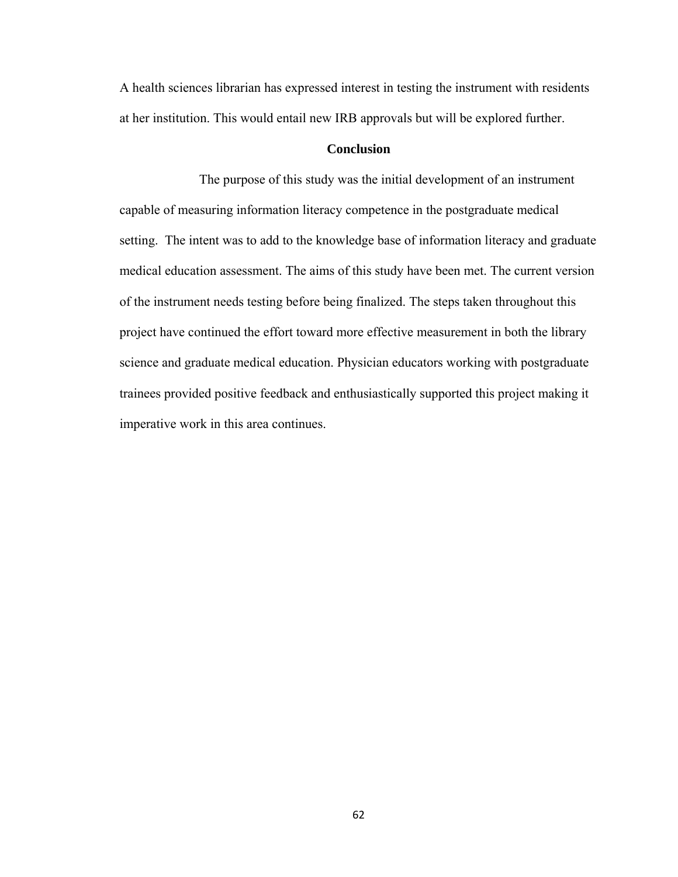A health sciences librarian has expressed interest in testing the instrument with residents at her institution. This would entail new IRB approvals but will be explored further.

# **Conclusion**

 The purpose of this study was the initial development of an instrument capable of measuring information literacy competence in the postgraduate medical setting. The intent was to add to the knowledge base of information literacy and graduate medical education assessment. The aims of this study have been met. The current version of the instrument needs testing before being finalized. The steps taken throughout this project have continued the effort toward more effective measurement in both the library science and graduate medical education. Physician educators working with postgraduate trainees provided positive feedback and enthusiastically supported this project making it imperative work in this area continues.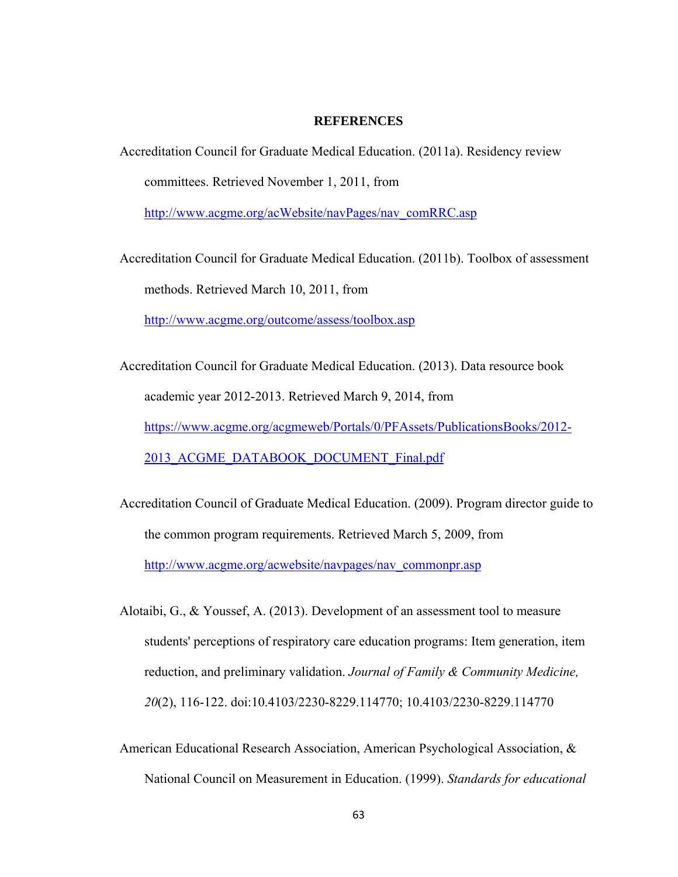### **REFERENCES**

Accreditation Council for Graduate Medical Education. (2011a). Residency review committees. Retrieved November 1, 2011, from

http://www.acgme.org/acWebsite/navPages/nav\_comRRC.asp

Accreditation Council for Graduate Medical Education. (2011b). Toolbox of assessment methods. Retrieved March 10, 2011, from

http://www.acgme.org/outcome/assess/toolbox.asp

Accreditation Council for Graduate Medical Education. (2013). Data resource book academic year 2012-2013. Retrieved March 9, 2014, from https://www.acgme.org/acgmeweb/Portals/0/PFAssets/PublicationsBooks/2012- 2013\_ACGME\_DATABOOK\_DOCUMENT\_Final.pdf

Accreditation Council of Graduate Medical Education. (2009). Program director guide to the common program requirements. Retrieved March 5, 2009, from http://www.acgme.org/acwebsite/navpages/nav\_commonpr.asp

Alotaibi, G., & Youssef, A. (2013). Development of an assessment tool to measure students' perceptions of respiratory care education programs: Item generation, item reduction, and preliminary validation. *Journal of Family & Community Medicine, 20*(2), 116-122. doi:10.4103/2230-8229.114770; 10.4103/2230-8229.114770

American Educational Research Association, American Psychological Association, & National Council on Measurement in Education. (1999). *Standards for educational*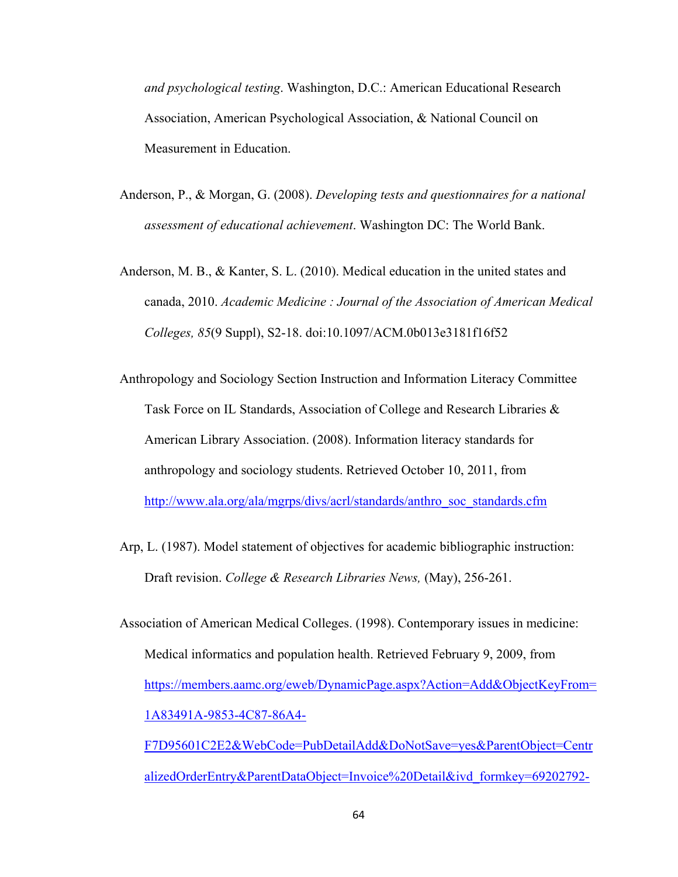*and psychological testing*. Washington, D.C.: American Educational Research Association, American Psychological Association, & National Council on Measurement in Education.

- Anderson, P., & Morgan, G. (2008). *Developing tests and questionnaires for a national assessment of educational achievement*. Washington DC: The World Bank.
- Anderson, M. B., & Kanter, S. L. (2010). Medical education in the united states and canada, 2010. *Academic Medicine : Journal of the Association of American Medical Colleges, 85*(9 Suppl), S2-18. doi:10.1097/ACM.0b013e3181f16f52
- Anthropology and Sociology Section Instruction and Information Literacy Committee Task Force on IL Standards, Association of College and Research Libraries & American Library Association. (2008). Information literacy standards for anthropology and sociology students. Retrieved October 10, 2011, from http://www.ala.org/ala/mgrps/divs/acrl/standards/anthro\_soc\_standards.cfm
- Arp, L. (1987). Model statement of objectives for academic bibliographic instruction: Draft revision. *College & Research Libraries News,* (May), 256-261.
- Association of American Medical Colleges. (1998). Contemporary issues in medicine: Medical informatics and population health. Retrieved February 9, 2009, from https://members.aamc.org/eweb/DynamicPage.aspx?Action=Add&ObjectKeyFrom= 1A83491A-9853-4C87-86A4- F7D95601C2E2&WebCode=PubDetailAdd&DoNotSave=yes&ParentObject=Centr alizedOrderEntry&ParentDataObject=Invoice%20Detail&ivd\_formkey=69202792-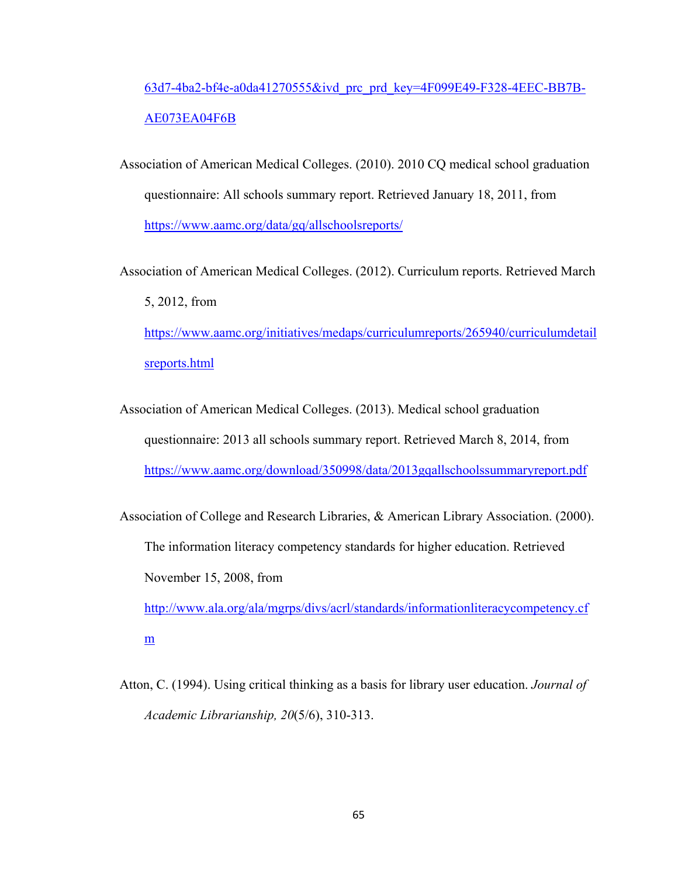# 63d7-4ba2-bf4e-a0da41270555&ivd\_prc\_prd\_key=4F099E49-F328-4EEC-BB7B-AE073EA04F6B

Association of American Medical Colleges. (2010). 2010 CQ medical school graduation questionnaire: All schools summary report. Retrieved January 18, 2011, from https://www.aamc.org/data/gq/allschoolsreports/

Association of American Medical Colleges. (2012). Curriculum reports. Retrieved March 5, 2012, from https://www.aamc.org/initiatives/medaps/curriculumreports/265940/curriculumdetail

sreports.html

Association of American Medical Colleges. (2013). Medical school graduation questionnaire: 2013 all schools summary report. Retrieved March 8, 2014, from https://www.aamc.org/download/350998/data/2013gqallschoolssummaryreport.pdf

Association of College and Research Libraries, & American Library Association. (2000). The information literacy competency standards for higher education. Retrieved November 15, 2008, from http://www.ala.org/ala/mgrps/divs/acrl/standards/informationliteracycompetency.cf

m

Atton, C. (1994). Using critical thinking as a basis for library user education. *Journal of Academic Librarianship, 20*(5/6), 310-313.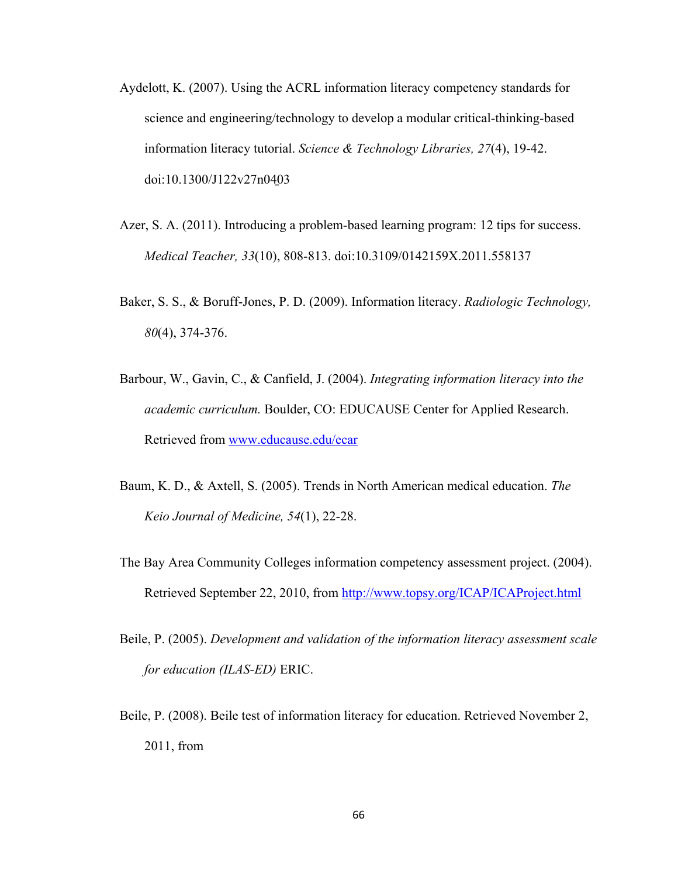- Aydelott, K. (2007). Using the ACRL information literacy competency standards for science and engineering/technology to develop a modular critical-thinking-based information literacy tutorial. *Science & Technology Libraries, 27*(4), 19-42. doi:10.1300/J122v27n04̱03
- Azer, S. A. (2011). Introducing a problem-based learning program: 12 tips for success. *Medical Teacher, 33*(10), 808-813. doi:10.3109/0142159X.2011.558137
- Baker, S. S., & Boruff-Jones, P. D. (2009). Information literacy. *Radiologic Technology, 80*(4), 374-376.
- Barbour, W., Gavin, C., & Canfield, J. (2004). *Integrating information literacy into the academic curriculum.* Boulder, CO: EDUCAUSE Center for Applied Research. Retrieved from www.educause.edu/ecar
- Baum, K. D., & Axtell, S. (2005). Trends in North American medical education. *The Keio Journal of Medicine, 54*(1), 22-28.
- The Bay Area Community Colleges information competency assessment project. (2004). Retrieved September 22, 2010, from http://www.topsy.org/ICAP/ICAProject.html
- Beile, P. (2005). *Development and validation of the information literacy assessment scale for education (ILAS-ED)* ERIC.
- Beile, P. (2008). Beile test of information literacy for education. Retrieved November 2, 2011, from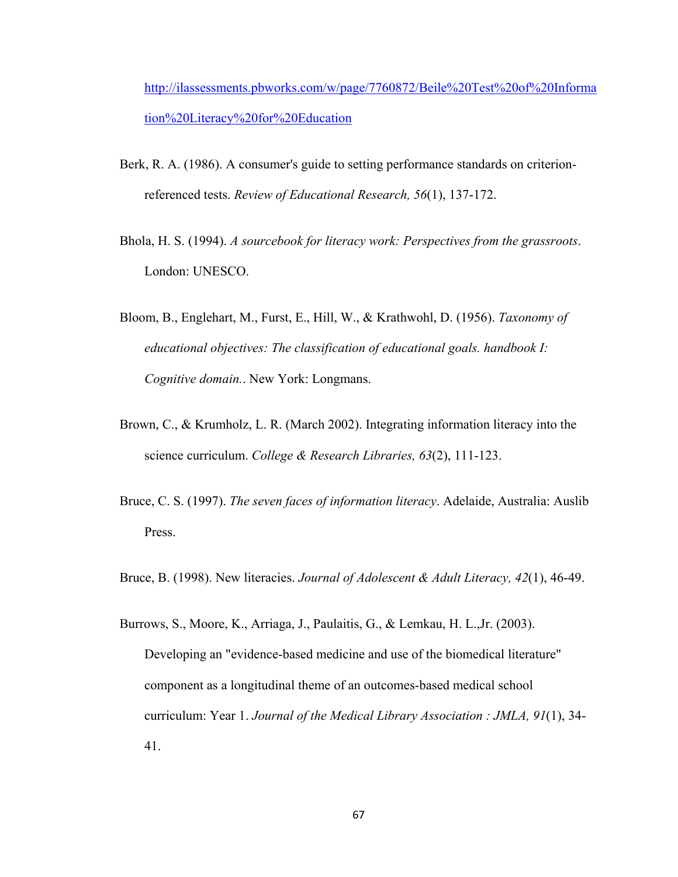http://ilassessments.pbworks.com/w/page/7760872/Beile%20Test%20of%20Informa tion%20Literacy%20for%20Education

- Berk, R. A. (1986). A consumer's guide to setting performance standards on criterionreferenced tests. *Review of Educational Research, 56*(1), 137-172.
- Bhola, H. S. (1994). *A sourcebook for literacy work: Perspectives from the grassroots*. London: UNESCO.
- Bloom, B., Englehart, M., Furst, E., Hill, W., & Krathwohl, D. (1956). *Taxonomy of educational objectives: The classification of educational goals. handbook I: Cognitive domain.*. New York: Longmans.
- Brown, C., & Krumholz, L. R. (March 2002). Integrating information literacy into the science curriculum. *College & Research Libraries, 63*(2), 111-123.
- Bruce, C. S. (1997). *The seven faces of information literacy*. Adelaide, Australia: Auslib Press.
- Bruce, B. (1998). New literacies. *Journal of Adolescent & Adult Literacy, 42*(1), 46-49.
- Burrows, S., Moore, K., Arriaga, J., Paulaitis, G., & Lemkau, H. L.,Jr. (2003). Developing an "evidence-based medicine and use of the biomedical literature" component as a longitudinal theme of an outcomes-based medical school curriculum: Year 1. *Journal of the Medical Library Association : JMLA, 91*(1), 34- 41.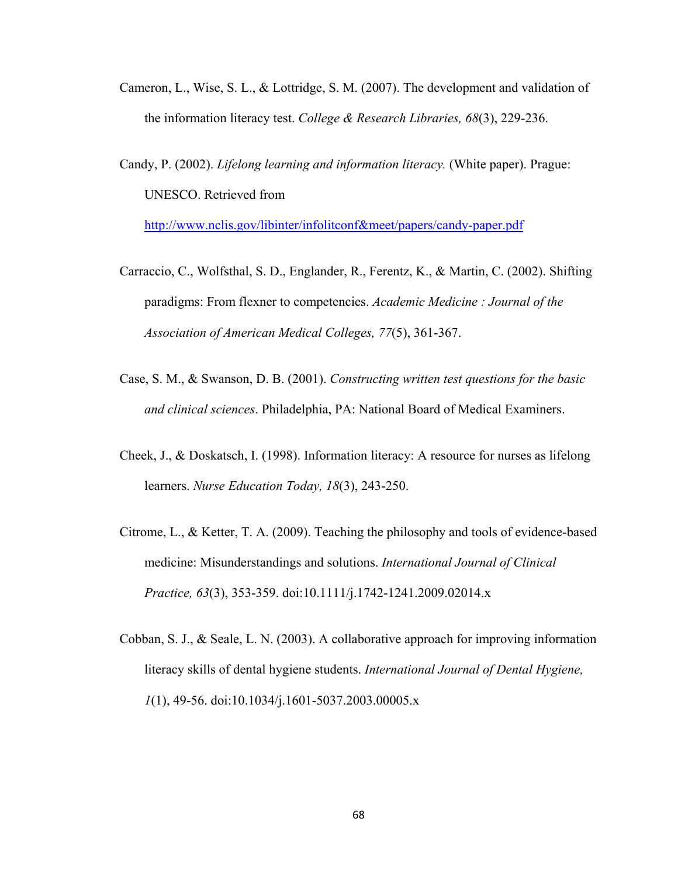- Cameron, L., Wise, S. L., & Lottridge, S. M. (2007). The development and validation of the information literacy test. *College & Research Libraries, 68*(3), 229-236.
- Candy, P. (2002). *Lifelong learning and information literacy.* (White paper). Prague: UNESCO. Retrieved from

http://www.nclis.gov/libinter/infolitconf&meet/papers/candy-paper.pdf

- Carraccio, C., Wolfsthal, S. D., Englander, R., Ferentz, K., & Martin, C. (2002). Shifting paradigms: From flexner to competencies. *Academic Medicine : Journal of the Association of American Medical Colleges, 77*(5), 361-367.
- Case, S. M., & Swanson, D. B. (2001). *Constructing written test questions for the basic and clinical sciences*. Philadelphia, PA: National Board of Medical Examiners.
- Cheek, J., & Doskatsch, I. (1998). Information literacy: A resource for nurses as lifelong learners. *Nurse Education Today, 18*(3), 243-250.
- Citrome, L., & Ketter, T. A. (2009). Teaching the philosophy and tools of evidence-based medicine: Misunderstandings and solutions. *International Journal of Clinical Practice, 63*(3), 353-359. doi:10.1111/j.1742-1241.2009.02014.x
- Cobban, S. J., & Seale, L. N. (2003). A collaborative approach for improving information literacy skills of dental hygiene students. *International Journal of Dental Hygiene, 1*(1), 49-56. doi:10.1034/j.1601-5037.2003.00005.x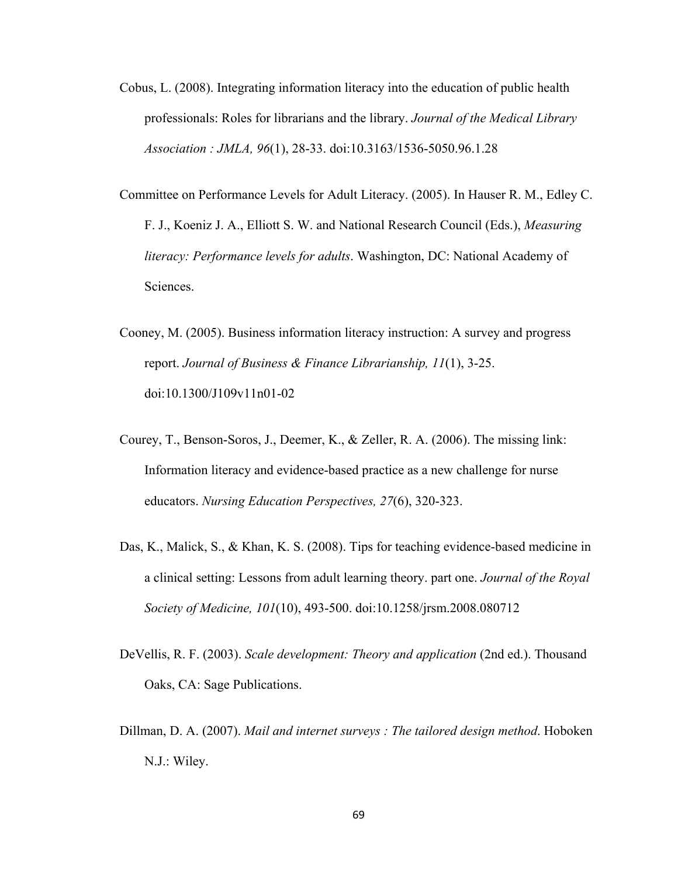- Cobus, L. (2008). Integrating information literacy into the education of public health professionals: Roles for librarians and the library. *Journal of the Medical Library Association : JMLA, 96*(1), 28-33. doi:10.3163/1536-5050.96.1.28
- Committee on Performance Levels for Adult Literacy. (2005). In Hauser R. M., Edley C. F. J., Koeniz J. A., Elliott S. W. and National Research Council (Eds.), *Measuring literacy: Performance levels for adults*. Washington, DC: National Academy of Sciences.
- Cooney, M. (2005). Business information literacy instruction: A survey and progress report. *Journal of Business & Finance Librarianship, 11*(1), 3-25. doi:10.1300/J109v11n01-02
- Courey, T., Benson-Soros, J., Deemer, K., & Zeller, R. A. (2006). The missing link: Information literacy and evidence-based practice as a new challenge for nurse educators. *Nursing Education Perspectives, 27*(6), 320-323.
- Das, K., Malick, S., & Khan, K. S. (2008). Tips for teaching evidence-based medicine in a clinical setting: Lessons from adult learning theory. part one. *Journal of the Royal Society of Medicine, 101*(10), 493-500. doi:10.1258/jrsm.2008.080712
- DeVellis, R. F. (2003). *Scale development: Theory and application* (2nd ed.). Thousand Oaks, CA: Sage Publications.
- Dillman, D. A. (2007). *Mail and internet surveys : The tailored design method*. Hoboken N.J.: Wiley.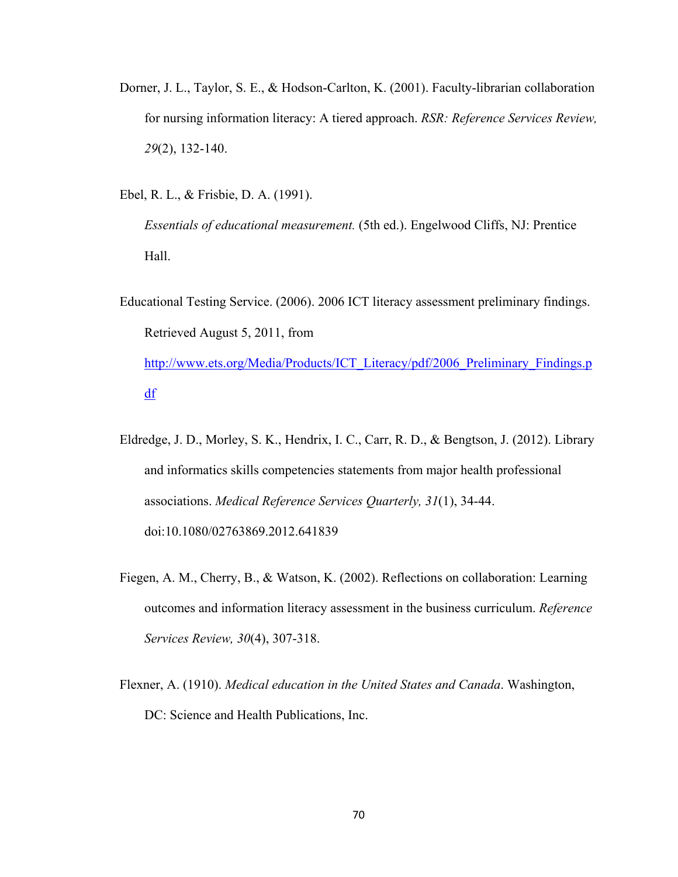Dorner, J. L., Taylor, S. E., & Hodson-Carlton, K. (2001). Faculty-librarian collaboration for nursing information literacy: A tiered approach. *RSR: Reference Services Review, 29*(2), 132-140.

Ebel, R. L., & Frisbie, D. A. (1991).

*Essentials of educational measurement.* (5th ed.). Engelwood Cliffs, NJ: Prentice Hall.

- Educational Testing Service. (2006). 2006 ICT literacy assessment preliminary findings. Retrieved August 5, 2011, from http://www.ets.org/Media/Products/ICT\_Literacy/pdf/2006\_Preliminary\_Findings.p df
- Eldredge, J. D., Morley, S. K., Hendrix, I. C., Carr, R. D., & Bengtson, J. (2012). Library and informatics skills competencies statements from major health professional associations. *Medical Reference Services Quarterly, 31*(1), 34-44. doi:10.1080/02763869.2012.641839
- Fiegen, A. M., Cherry, B., & Watson, K. (2002). Reflections on collaboration: Learning outcomes and information literacy assessment in the business curriculum. *Reference Services Review, 30*(4), 307-318.
- Flexner, A. (1910). *Medical education in the United States and Canada*. Washington, DC: Science and Health Publications, Inc.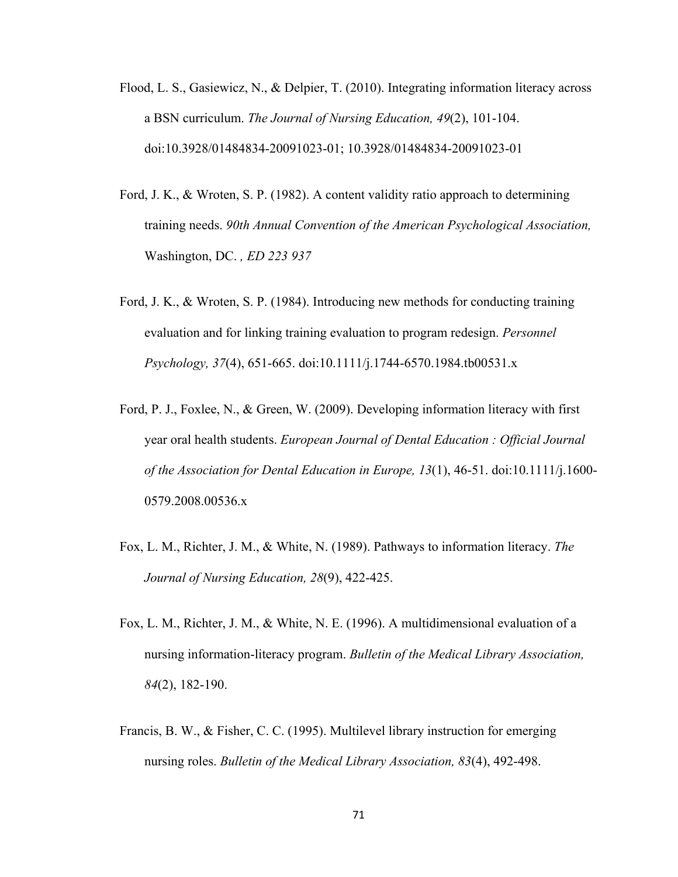- Flood, L. S., Gasiewicz, N., & Delpier, T. (2010). Integrating information literacy across a BSN curriculum. *The Journal of Nursing Education, 49*(2), 101-104. doi:10.3928/01484834-20091023-01; 10.3928/01484834-20091023-01
- Ford, J. K., & Wroten, S. P. (1982). A content validity ratio approach to determining training needs. *90th Annual Convention of the American Psychological Association,*  Washington, DC. *, ED 223 937*
- Ford, J. K., & Wroten, S. P. (1984). Introducing new methods for conducting training evaluation and for linking training evaluation to program redesign. *Personnel Psychology, 37*(4), 651-665. doi:10.1111/j.1744-6570.1984.tb00531.x
- Ford, P. J., Foxlee, N., & Green, W. (2009). Developing information literacy with first year oral health students. *European Journal of Dental Education : Official Journal of the Association for Dental Education in Europe, 13*(1), 46-51. doi:10.1111/j.1600- 0579.2008.00536.x
- Fox, L. M., Richter, J. M., & White, N. (1989). Pathways to information literacy. *The Journal of Nursing Education, 28*(9), 422-425.
- Fox, L. M., Richter, J. M., & White, N. E. (1996). A multidimensional evaluation of a nursing information-literacy program. *Bulletin of the Medical Library Association, 84*(2), 182-190.
- Francis, B. W., & Fisher, C. C. (1995). Multilevel library instruction for emerging nursing roles. *Bulletin of the Medical Library Association, 83*(4), 492-498.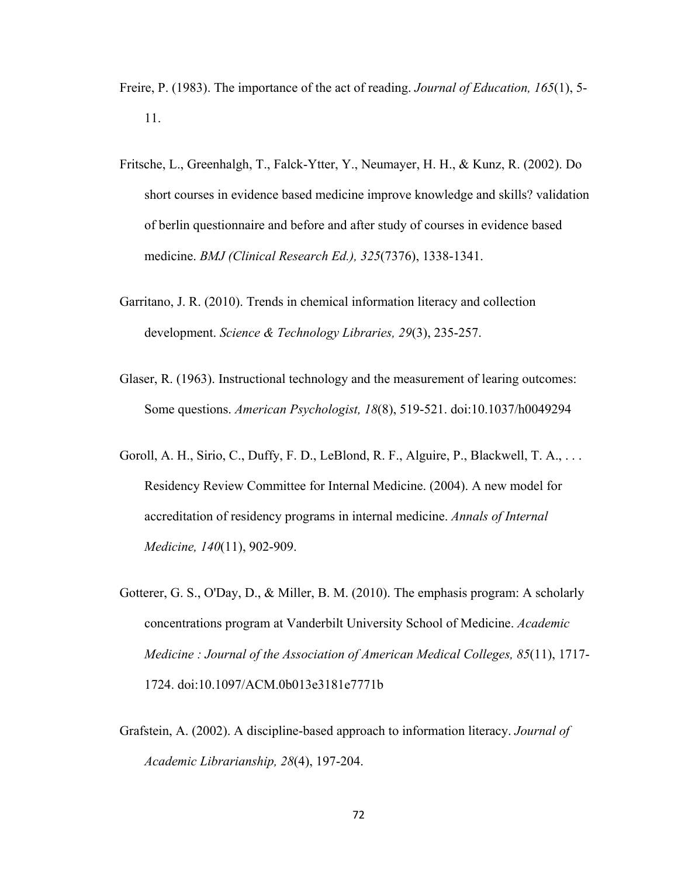- Freire, P. (1983). The importance of the act of reading. *Journal of Education, 165*(1), 5- 11.
- Fritsche, L., Greenhalgh, T., Falck-Ytter, Y., Neumayer, H. H., & Kunz, R. (2002). Do short courses in evidence based medicine improve knowledge and skills? validation of berlin questionnaire and before and after study of courses in evidence based medicine. *BMJ (Clinical Research Ed.), 325*(7376), 1338-1341.
- Garritano, J. R. (2010). Trends in chemical information literacy and collection development. *Science & Technology Libraries, 29*(3), 235-257.
- Glaser, R. (1963). Instructional technology and the measurement of learing outcomes: Some questions. *American Psychologist, 18*(8), 519-521. doi:10.1037/h0049294
- Goroll, A. H., Sirio, C., Duffy, F. D., LeBlond, R. F., Alguire, P., Blackwell, T. A., . . . Residency Review Committee for Internal Medicine. (2004). A new model for accreditation of residency programs in internal medicine. *Annals of Internal Medicine, 140*(11), 902-909.
- Gotterer, G. S., O'Day, D., & Miller, B. M. (2010). The emphasis program: A scholarly concentrations program at Vanderbilt University School of Medicine. *Academic Medicine : Journal of the Association of American Medical Colleges, 85*(11), 1717- 1724. doi:10.1097/ACM.0b013e3181e7771b
- Grafstein, A. (2002). A discipline-based approach to information literacy. *Journal of Academic Librarianship, 28*(4), 197-204.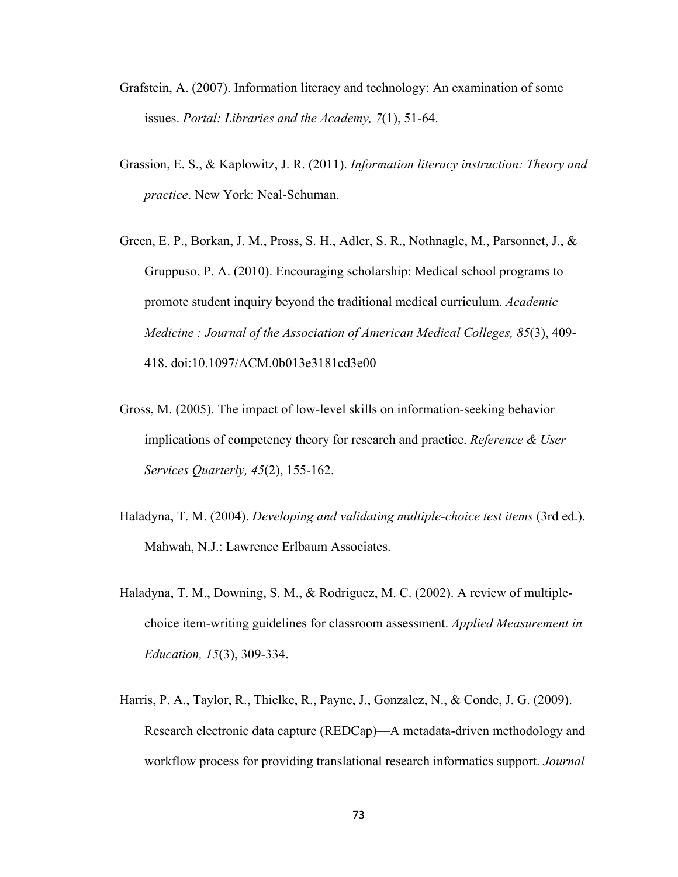- Grafstein, A. (2007). Information literacy and technology: An examination of some issues. *Portal: Libraries and the Academy, 7*(1), 51-64.
- Grassion, E. S., & Kaplowitz, J. R. (2011). *Information literacy instruction: Theory and practice*. New York: Neal-Schuman.
- Green, E. P., Borkan, J. M., Pross, S. H., Adler, S. R., Nothnagle, M., Parsonnet, J., & Gruppuso, P. A. (2010). Encouraging scholarship: Medical school programs to promote student inquiry beyond the traditional medical curriculum. *Academic Medicine : Journal of the Association of American Medical Colleges, 85*(3), 409- 418. doi:10.1097/ACM.0b013e3181cd3e00
- Gross, M. (2005). The impact of low-level skills on information-seeking behavior implications of competency theory for research and practice. *Reference & User Services Quarterly, 45*(2), 155-162.
- Haladyna, T. M. (2004). *Developing and validating multiple-choice test items* (3rd ed.). Mahwah, N.J.: Lawrence Erlbaum Associates.
- Haladyna, T. M., Downing, S. M., & Rodriguez, M. C. (2002). A review of multiplechoice item-writing guidelines for classroom assessment. *Applied Measurement in Education, 15*(3), 309-334.
- Harris, P. A., Taylor, R., Thielke, R., Payne, J., Gonzalez, N., & Conde, J. G. (2009). Research electronic data capture (REDCap)—A metadata-driven methodology and workflow process for providing translational research informatics support. *Journal*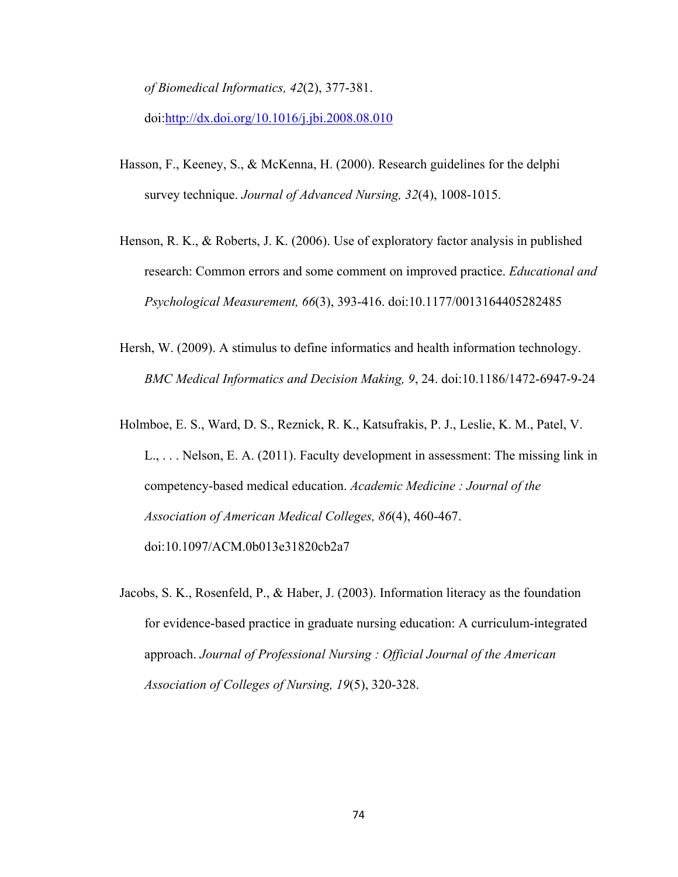*of Biomedical Informatics, 42*(2), 377-381.

doi:http://dx.doi.org/10.1016/j.jbi.2008.08.010

- Hasson, F., Keeney, S., & McKenna, H. (2000). Research guidelines for the delphi survey technique. *Journal of Advanced Nursing, 32*(4), 1008-1015.
- Henson, R. K., & Roberts, J. K. (2006). Use of exploratory factor analysis in published research: Common errors and some comment on improved practice. *Educational and Psychological Measurement, 66*(3), 393-416. doi:10.1177/0013164405282485
- Hersh, W. (2009). A stimulus to define informatics and health information technology. *BMC Medical Informatics and Decision Making, 9*, 24. doi:10.1186/1472-6947-9-24
- Holmboe, E. S., Ward, D. S., Reznick, R. K., Katsufrakis, P. J., Leslie, K. M., Patel, V. L., . . . Nelson, E. A. (2011). Faculty development in assessment: The missing link in competency-based medical education. *Academic Medicine : Journal of the Association of American Medical Colleges, 86*(4), 460-467. doi:10.1097/ACM.0b013e31820cb2a7
- Jacobs, S. K., Rosenfeld, P., & Haber, J. (2003). Information literacy as the foundation for evidence-based practice in graduate nursing education: A curriculum-integrated approach. *Journal of Professional Nursing : Official Journal of the American Association of Colleges of Nursing, 19*(5), 320-328.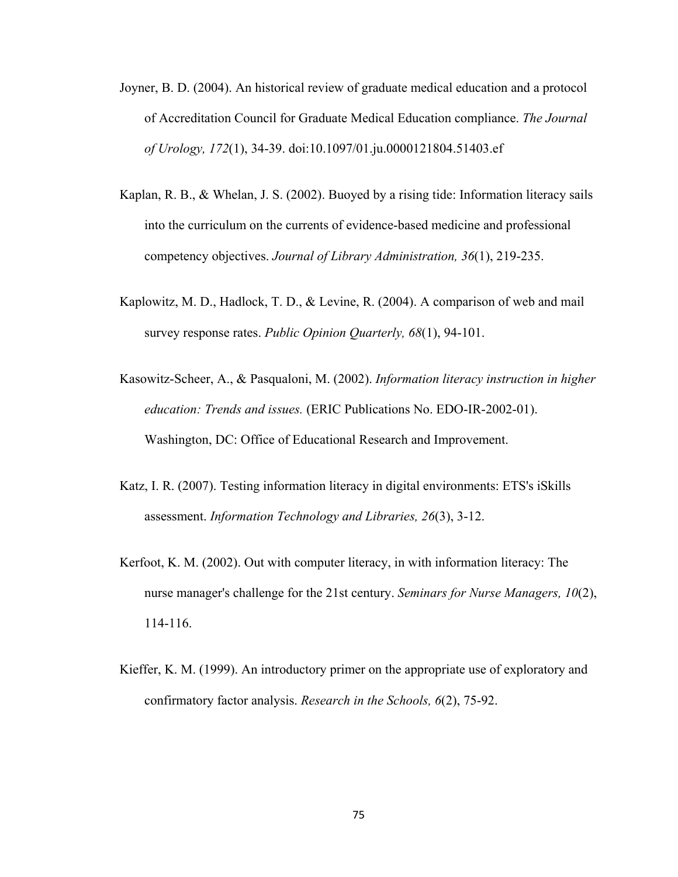- Joyner, B. D. (2004). An historical review of graduate medical education and a protocol of Accreditation Council for Graduate Medical Education compliance. *The Journal of Urology, 172*(1), 34-39. doi:10.1097/01.ju.0000121804.51403.ef
- Kaplan, R. B., & Whelan, J. S. (2002). Buoyed by a rising tide: Information literacy sails into the curriculum on the currents of evidence-based medicine and professional competency objectives. *Journal of Library Administration, 36*(1), 219-235.
- Kaplowitz, M. D., Hadlock, T. D., & Levine, R. (2004). A comparison of web and mail survey response rates. *Public Opinion Quarterly, 68*(1), 94-101.
- Kasowitz-Scheer, A., & Pasqualoni, M. (2002). *Information literacy instruction in higher education: Trends and issues.* (ERIC Publications No. EDO-IR-2002-01). Washington, DC: Office of Educational Research and Improvement.
- Katz, I. R. (2007). Testing information literacy in digital environments: ETS's iSkills assessment. *Information Technology and Libraries, 26*(3), 3-12.
- Kerfoot, K. M. (2002). Out with computer literacy, in with information literacy: The nurse manager's challenge for the 21st century. *Seminars for Nurse Managers, 10*(2), 114-116.
- Kieffer, K. M. (1999). An introductory primer on the appropriate use of exploratory and confirmatory factor analysis. *Research in the Schools, 6*(2), 75-92.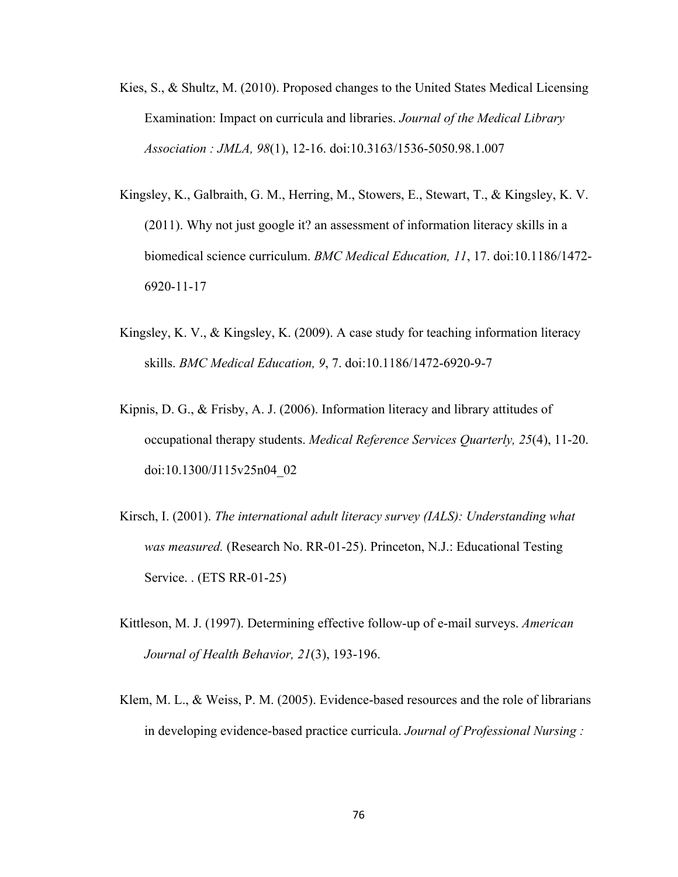- Kies, S., & Shultz, M. (2010). Proposed changes to the United States Medical Licensing Examination: Impact on curricula and libraries. *Journal of the Medical Library Association : JMLA, 98*(1), 12-16. doi:10.3163/1536-5050.98.1.007
- Kingsley, K., Galbraith, G. M., Herring, M., Stowers, E., Stewart, T., & Kingsley, K. V. (2011). Why not just google it? an assessment of information literacy skills in a biomedical science curriculum. *BMC Medical Education, 11*, 17. doi:10.1186/1472- 6920-11-17
- Kingsley, K. V., & Kingsley, K. (2009). A case study for teaching information literacy skills. *BMC Medical Education, 9*, 7. doi:10.1186/1472-6920-9-7
- Kipnis, D. G., & Frisby, A. J. (2006). Information literacy and library attitudes of occupational therapy students. *Medical Reference Services Quarterly, 25*(4), 11-20. doi:10.1300/J115v25n04\_02
- Kirsch, I. (2001). *The international adult literacy survey (IALS): Understanding what was measured.* (Research No. RR-01-25). Princeton, N.J.: Educational Testing Service. . (ETS RR-01-25)
- Kittleson, M. J. (1997). Determining effective follow-up of e-mail surveys. *American Journal of Health Behavior, 21*(3), 193-196.
- Klem, M. L., & Weiss, P. M. (2005). Evidence-based resources and the role of librarians in developing evidence-based practice curricula. *Journal of Professional Nursing :*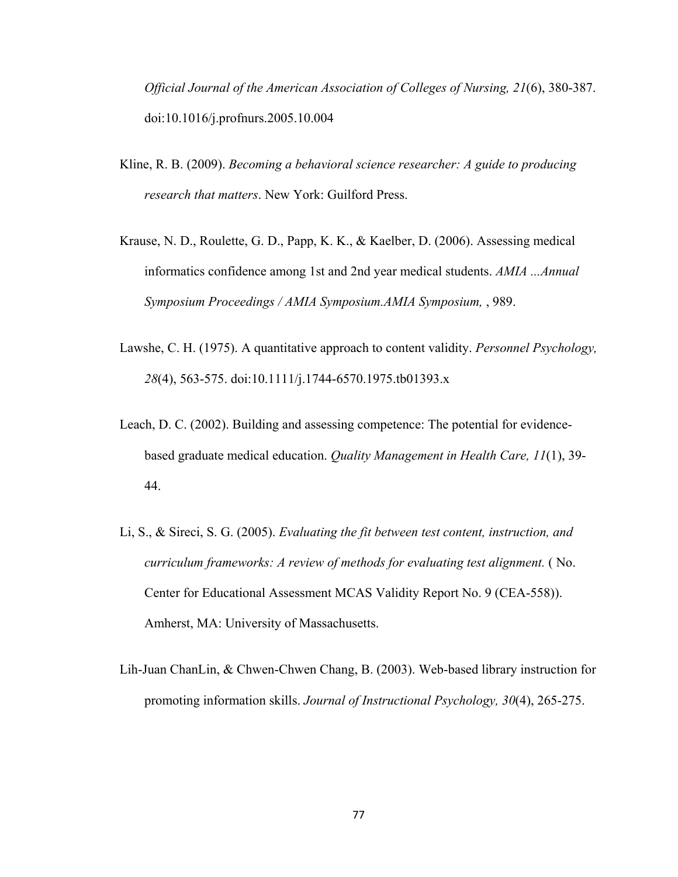*Official Journal of the American Association of Colleges of Nursing, 21*(6), 380-387. doi:10.1016/j.profnurs.2005.10.004

- Kline, R. B. (2009). *Becoming a behavioral science researcher: A guide to producing research that matters*. New York: Guilford Press.
- Krause, N. D., Roulette, G. D., Papp, K. K., & Kaelber, D. (2006). Assessing medical informatics confidence among 1st and 2nd year medical students. *AMIA ...Annual Symposium Proceedings / AMIA Symposium.AMIA Symposium,* , 989.
- Lawshe, C. H. (1975). A quantitative approach to content validity. *Personnel Psychology, 28*(4), 563-575. doi:10.1111/j.1744-6570.1975.tb01393.x
- Leach, D. C. (2002). Building and assessing competence: The potential for evidencebased graduate medical education. *Quality Management in Health Care, 11*(1), 39- 44.
- Li, S., & Sireci, S. G. (2005). *Evaluating the fit between test content, instruction, and curriculum frameworks: A review of methods for evaluating test alignment.* ( No. Center for Educational Assessment MCAS Validity Report No. 9 (CEA-558)). Amherst, MA: University of Massachusetts.
- Lih-Juan ChanLin, & Chwen-Chwen Chang, B. (2003). Web-based library instruction for promoting information skills. *Journal of Instructional Psychology, 30*(4), 265-275.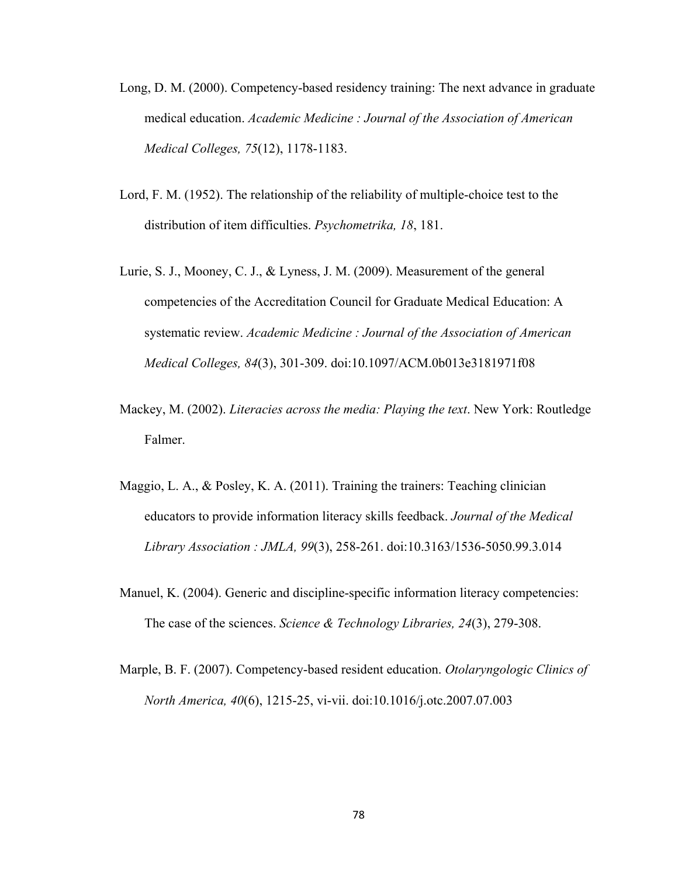- Long, D. M. (2000). Competency-based residency training: The next advance in graduate medical education. *Academic Medicine : Journal of the Association of American Medical Colleges, 75*(12), 1178-1183.
- Lord, F. M. (1952). The relationship of the reliability of multiple-choice test to the distribution of item difficulties. *Psychometrika, 18*, 181.
- Lurie, S. J., Mooney, C. J., & Lyness, J. M. (2009). Measurement of the general competencies of the Accreditation Council for Graduate Medical Education: A systematic review. *Academic Medicine : Journal of the Association of American Medical Colleges, 84*(3), 301-309. doi:10.1097/ACM.0b013e3181971f08
- Mackey, M. (2002). *Literacies across the media: Playing the text*. New York: Routledge Falmer.
- Maggio, L. A., & Posley, K. A. (2011). Training the trainers: Teaching clinician educators to provide information literacy skills feedback. *Journal of the Medical Library Association : JMLA, 99*(3), 258-261. doi:10.3163/1536-5050.99.3.014
- Manuel, K. (2004). Generic and discipline-specific information literacy competencies: The case of the sciences. *Science & Technology Libraries, 24*(3), 279-308.
- Marple, B. F. (2007). Competency-based resident education. *Otolaryngologic Clinics of North America, 40*(6), 1215-25, vi-vii. doi:10.1016/j.otc.2007.07.003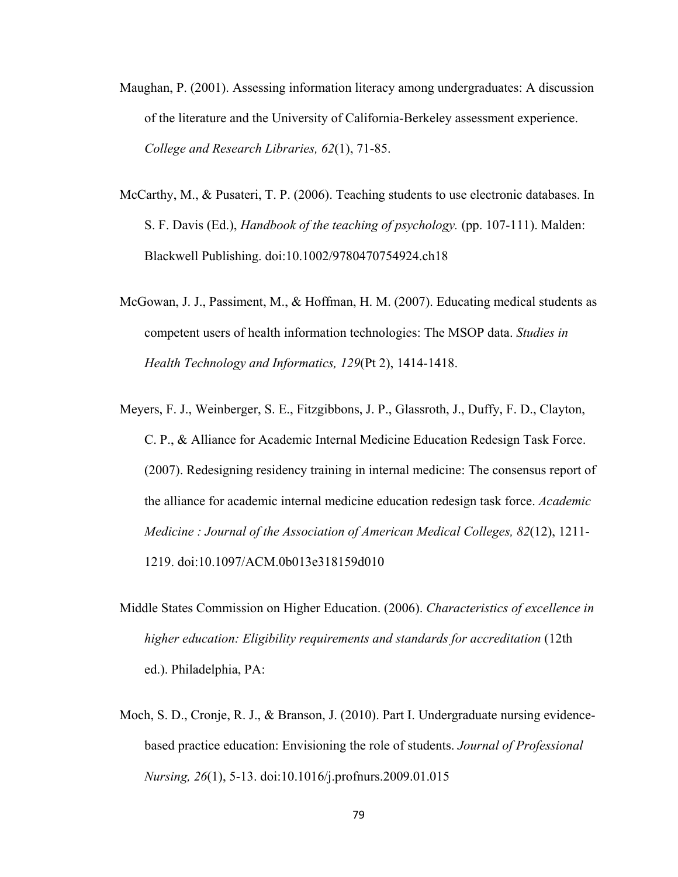- Maughan, P. (2001). Assessing information literacy among undergraduates: A discussion of the literature and the University of California-Berkeley assessment experience. *College and Research Libraries, 62*(1), 71-85.
- McCarthy, M., & Pusateri, T. P. (2006). Teaching students to use electronic databases. In S. F. Davis (Ed.), *Handbook of the teaching of psychology.* (pp. 107-111). Malden: Blackwell Publishing. doi:10.1002/9780470754924.ch18
- McGowan, J. J., Passiment, M., & Hoffman, H. M. (2007). Educating medical students as competent users of health information technologies: The MSOP data. *Studies in Health Technology and Informatics, 129*(Pt 2), 1414-1418.
- Meyers, F. J., Weinberger, S. E., Fitzgibbons, J. P., Glassroth, J., Duffy, F. D., Clayton, C. P., & Alliance for Academic Internal Medicine Education Redesign Task Force. (2007). Redesigning residency training in internal medicine: The consensus report of the alliance for academic internal medicine education redesign task force. *Academic Medicine : Journal of the Association of American Medical Colleges, 82*(12), 1211- 1219. doi:10.1097/ACM.0b013e318159d010
- Middle States Commission on Higher Education. (2006). *Characteristics of excellence in higher education: Eligibility requirements and standards for accreditation* (12th ed.). Philadelphia, PA:
- Moch, S. D., Cronje, R. J., & Branson, J. (2010). Part I. Undergraduate nursing evidencebased practice education: Envisioning the role of students. *Journal of Professional Nursing, 26*(1), 5-13. doi:10.1016/j.profnurs.2009.01.015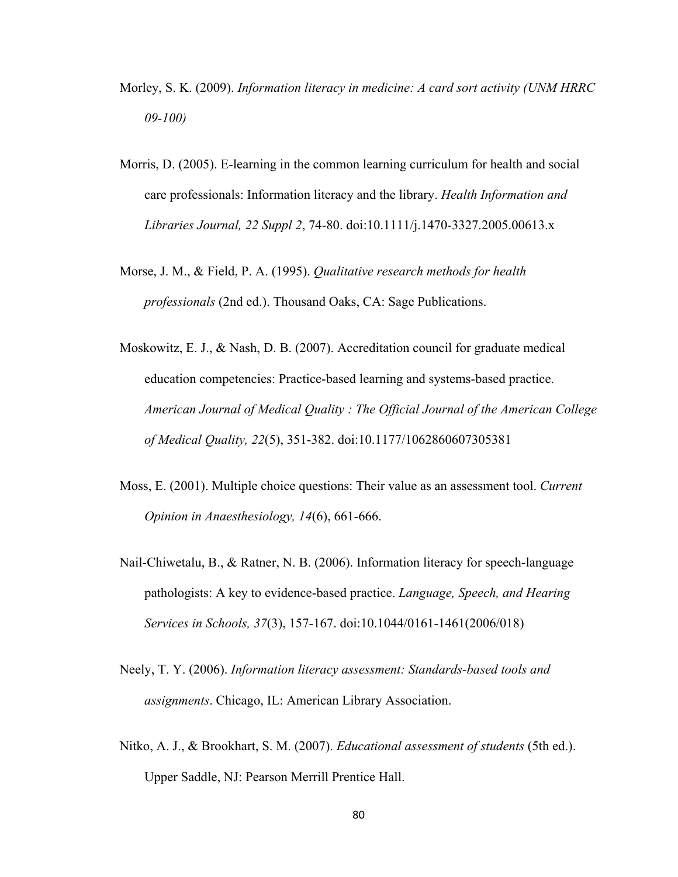- Morley, S. K. (2009). *Information literacy in medicine: A card sort activity (UNM HRRC 09-100)*
- Morris, D. (2005). E-learning in the common learning curriculum for health and social care professionals: Information literacy and the library. *Health Information and Libraries Journal, 22 Suppl 2*, 74-80. doi:10.1111/j.1470-3327.2005.00613.x
- Morse, J. M., & Field, P. A. (1995). *Qualitative research methods for health professionals* (2nd ed.). Thousand Oaks, CA: Sage Publications.
- Moskowitz, E. J., & Nash, D. B. (2007). Accreditation council for graduate medical education competencies: Practice-based learning and systems-based practice. *American Journal of Medical Quality : The Official Journal of the American College of Medical Quality, 22*(5), 351-382. doi:10.1177/1062860607305381
- Moss, E. (2001). Multiple choice questions: Their value as an assessment tool. *Current Opinion in Anaesthesiology, 14*(6), 661-666.
- Nail-Chiwetalu, B., & Ratner, N. B. (2006). Information literacy for speech-language pathologists: A key to evidence-based practice. *Language, Speech, and Hearing Services in Schools, 37*(3), 157-167. doi:10.1044/0161-1461(2006/018)
- Neely, T. Y. (2006). *Information literacy assessment: Standards-based tools and assignments*. Chicago, IL: American Library Association.
- Nitko, A. J., & Brookhart, S. M. (2007). *Educational assessment of students* (5th ed.). Upper Saddle, NJ: Pearson Merrill Prentice Hall.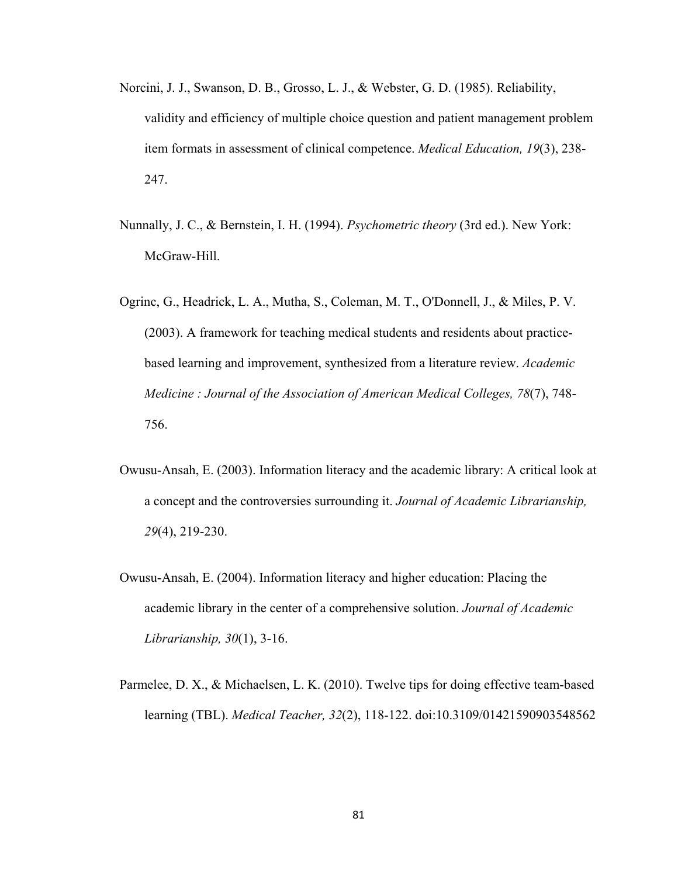- Norcini, J. J., Swanson, D. B., Grosso, L. J., & Webster, G. D. (1985). Reliability, validity and efficiency of multiple choice question and patient management problem item formats in assessment of clinical competence. *Medical Education, 19*(3), 238- 247.
- Nunnally, J. C., & Bernstein, I. H. (1994). *Psychometric theory* (3rd ed.). New York: McGraw-Hill.
- Ogrinc, G., Headrick, L. A., Mutha, S., Coleman, M. T., O'Donnell, J., & Miles, P. V. (2003). A framework for teaching medical students and residents about practicebased learning and improvement, synthesized from a literature review. *Academic Medicine : Journal of the Association of American Medical Colleges, 78*(7), 748- 756.
- Owusu-Ansah, E. (2003). Information literacy and the academic library: A critical look at a concept and the controversies surrounding it. *Journal of Academic Librarianship, 29*(4), 219-230.
- Owusu-Ansah, E. (2004). Information literacy and higher education: Placing the academic library in the center of a comprehensive solution. *Journal of Academic Librarianship, 30*(1), 3-16.
- Parmelee, D. X., & Michaelsen, L. K. (2010). Twelve tips for doing effective team-based learning (TBL). *Medical Teacher, 32*(2), 118-122. doi:10.3109/01421590903548562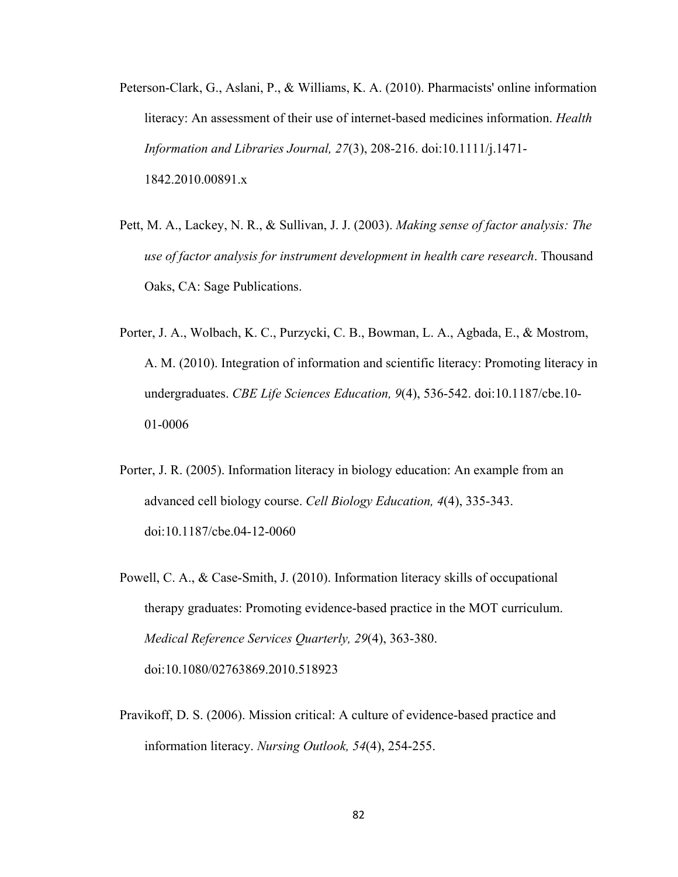- Peterson-Clark, G., Aslani, P., & Williams, K. A. (2010). Pharmacists' online information literacy: An assessment of their use of internet-based medicines information. *Health Information and Libraries Journal, 27*(3), 208-216. doi:10.1111/j.1471- 1842.2010.00891.x
- Pett, M. A., Lackey, N. R., & Sullivan, J. J. (2003). *Making sense of factor analysis: The use of factor analysis for instrument development in health care research*. Thousand Oaks, CA: Sage Publications.
- Porter, J. A., Wolbach, K. C., Purzycki, C. B., Bowman, L. A., Agbada, E., & Mostrom, A. M. (2010). Integration of information and scientific literacy: Promoting literacy in undergraduates. *CBE Life Sciences Education, 9*(4), 536-542. doi:10.1187/cbe.10- 01-0006
- Porter, J. R. (2005). Information literacy in biology education: An example from an advanced cell biology course. *Cell Biology Education, 4*(4), 335-343. doi:10.1187/cbe.04-12-0060
- Powell, C. A., & Case-Smith, J. (2010). Information literacy skills of occupational therapy graduates: Promoting evidence-based practice in the MOT curriculum. *Medical Reference Services Quarterly, 29*(4), 363-380. doi:10.1080/02763869.2010.518923
- Pravikoff, D. S. (2006). Mission critical: A culture of evidence-based practice and information literacy. *Nursing Outlook, 54*(4), 254-255.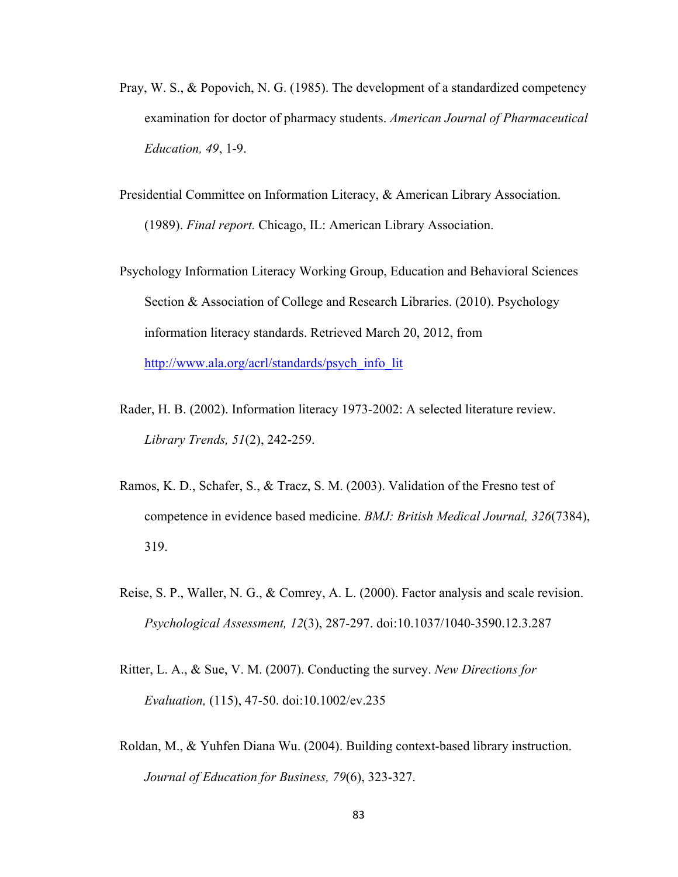- Pray, W. S., & Popovich, N. G. (1985). The development of a standardized competency examination for doctor of pharmacy students. *American Journal of Pharmaceutical Education, 49*, 1-9.
- Presidential Committee on Information Literacy, & American Library Association. (1989). *Final report.* Chicago, IL: American Library Association.
- Psychology Information Literacy Working Group, Education and Behavioral Sciences Section & Association of College and Research Libraries. (2010). Psychology information literacy standards. Retrieved March 20, 2012, from http://www.ala.org/acrl/standards/psych\_info\_lit
- Rader, H. B. (2002). Information literacy 1973-2002: A selected literature review. *Library Trends, 51*(2), 242-259.
- Ramos, K. D., Schafer, S., & Tracz, S. M. (2003). Validation of the Fresno test of competence in evidence based medicine. *BMJ: British Medical Journal, 326*(7384), 319.
- Reise, S. P., Waller, N. G., & Comrey, A. L. (2000). Factor analysis and scale revision. *Psychological Assessment, 12*(3), 287-297. doi:10.1037/1040-3590.12.3.287
- Ritter, L. A., & Sue, V. M. (2007). Conducting the survey. *New Directions for Evaluation,* (115), 47-50. doi:10.1002/ev.235
- Roldan, M., & Yuhfen Diana Wu. (2004). Building context-based library instruction. *Journal of Education for Business, 79*(6), 323-327.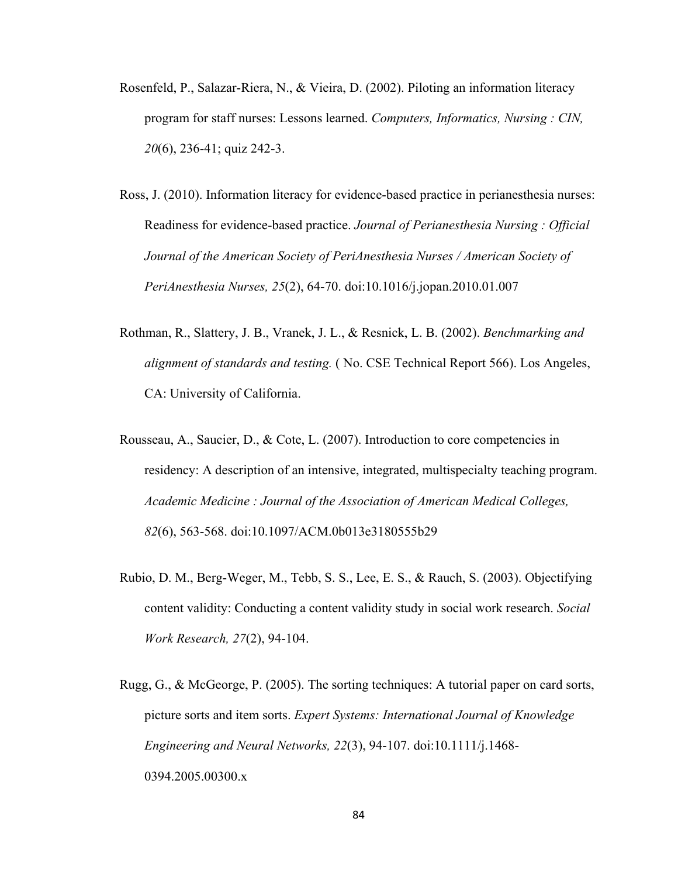- Rosenfeld, P., Salazar-Riera, N., & Vieira, D. (2002). Piloting an information literacy program for staff nurses: Lessons learned. *Computers, Informatics, Nursing : CIN, 20*(6), 236-41; quiz 242-3.
- Ross, J. (2010). Information literacy for evidence-based practice in perianesthesia nurses: Readiness for evidence-based practice. *Journal of Perianesthesia Nursing : Official Journal of the American Society of PeriAnesthesia Nurses / American Society of PeriAnesthesia Nurses, 25*(2), 64-70. doi:10.1016/j.jopan.2010.01.007
- Rothman, R., Slattery, J. B., Vranek, J. L., & Resnick, L. B. (2002). *Benchmarking and alignment of standards and testing.* ( No. CSE Technical Report 566). Los Angeles, CA: University of California.
- Rousseau, A., Saucier, D., & Cote, L. (2007). Introduction to core competencies in residency: A description of an intensive, integrated, multispecialty teaching program. *Academic Medicine : Journal of the Association of American Medical Colleges, 82*(6), 563-568. doi:10.1097/ACM.0b013e3180555b29
- Rubio, D. M., Berg-Weger, M., Tebb, S. S., Lee, E. S., & Rauch, S. (2003). Objectifying content validity: Conducting a content validity study in social work research. *Social Work Research, 27*(2), 94-104.
- Rugg, G., & McGeorge, P. (2005). The sorting techniques: A tutorial paper on card sorts, picture sorts and item sorts. *Expert Systems: International Journal of Knowledge Engineering and Neural Networks, 22*(3), 94-107. doi:10.1111/j.1468- 0394.2005.00300.x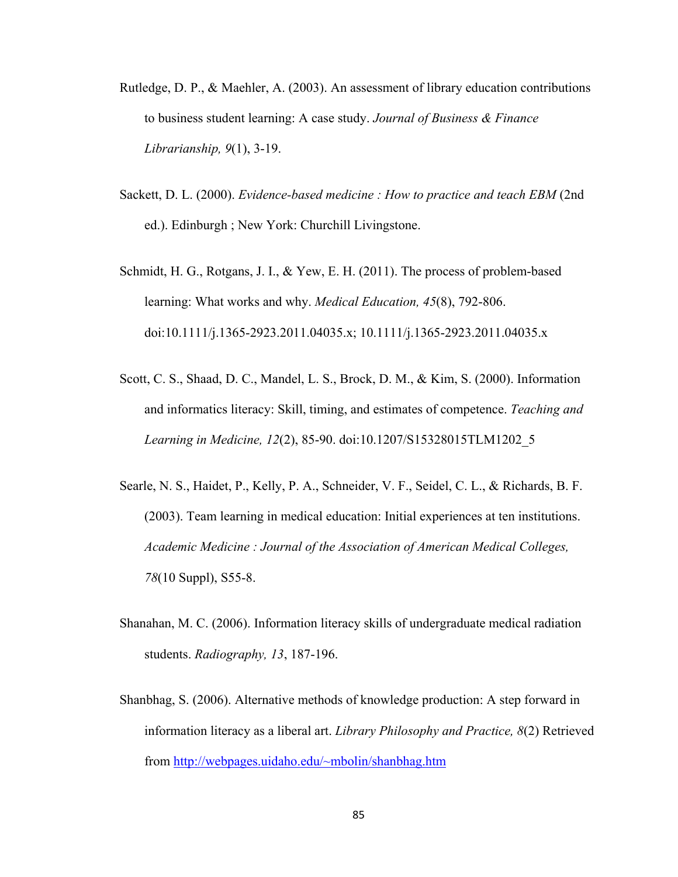- Rutledge, D. P., & Maehler, A. (2003). An assessment of library education contributions to business student learning: A case study. *Journal of Business & Finance Librarianship, 9*(1), 3-19.
- Sackett, D. L. (2000). *Evidence-based medicine : How to practice and teach EBM* (2nd ed.). Edinburgh ; New York: Churchill Livingstone.
- Schmidt, H. G., Rotgans, J. I., & Yew, E. H. (2011). The process of problem-based learning: What works and why. *Medical Education, 45*(8), 792-806. doi:10.1111/j.1365-2923.2011.04035.x; 10.1111/j.1365-2923.2011.04035.x
- Scott, C. S., Shaad, D. C., Mandel, L. S., Brock, D. M., & Kim, S. (2000). Information and informatics literacy: Skill, timing, and estimates of competence. *Teaching and Learning in Medicine, 12*(2), 85-90. doi:10.1207/S15328015TLM1202\_5
- Searle, N. S., Haidet, P., Kelly, P. A., Schneider, V. F., Seidel, C. L., & Richards, B. F. (2003). Team learning in medical education: Initial experiences at ten institutions. *Academic Medicine : Journal of the Association of American Medical Colleges, 78*(10 Suppl), S55-8.
- Shanahan, M. C. (2006). Information literacy skills of undergraduate medical radiation students. *Radiography, 13*, 187-196.
- Shanbhag, S. (2006). Alternative methods of knowledge production: A step forward in information literacy as a liberal art. *Library Philosophy and Practice, 8*(2) Retrieved from http://webpages.uidaho.edu/~mbolin/shanbhag.htm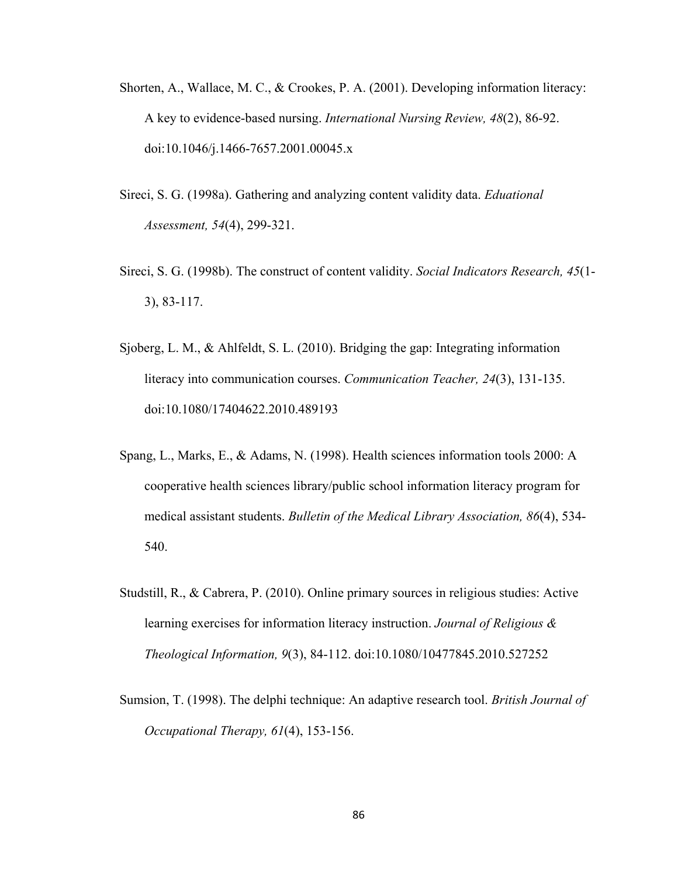- Shorten, A., Wallace, M. C., & Crookes, P. A. (2001). Developing information literacy: A key to evidence-based nursing. *International Nursing Review, 48*(2), 86-92. doi:10.1046/j.1466-7657.2001.00045.x
- Sireci, S. G. (1998a). Gathering and analyzing content validity data. *Eduational Assessment, 54*(4), 299-321.
- Sireci, S. G. (1998b). The construct of content validity. *Social Indicators Research, 45*(1- 3), 83-117.
- Sjoberg, L. M., & Ahlfeldt, S. L. (2010). Bridging the gap: Integrating information literacy into communication courses. *Communication Teacher, 24*(3), 131-135. doi:10.1080/17404622.2010.489193
- Spang, L., Marks, E., & Adams, N. (1998). Health sciences information tools 2000: A cooperative health sciences library/public school information literacy program for medical assistant students. *Bulletin of the Medical Library Association, 86*(4), 534- 540.
- Studstill, R., & Cabrera, P. (2010). Online primary sources in religious studies: Active learning exercises for information literacy instruction. *Journal of Religious & Theological Information, 9*(3), 84-112. doi:10.1080/10477845.2010.527252
- Sumsion, T. (1998). The delphi technique: An adaptive research tool. *British Journal of Occupational Therapy, 61*(4), 153-156.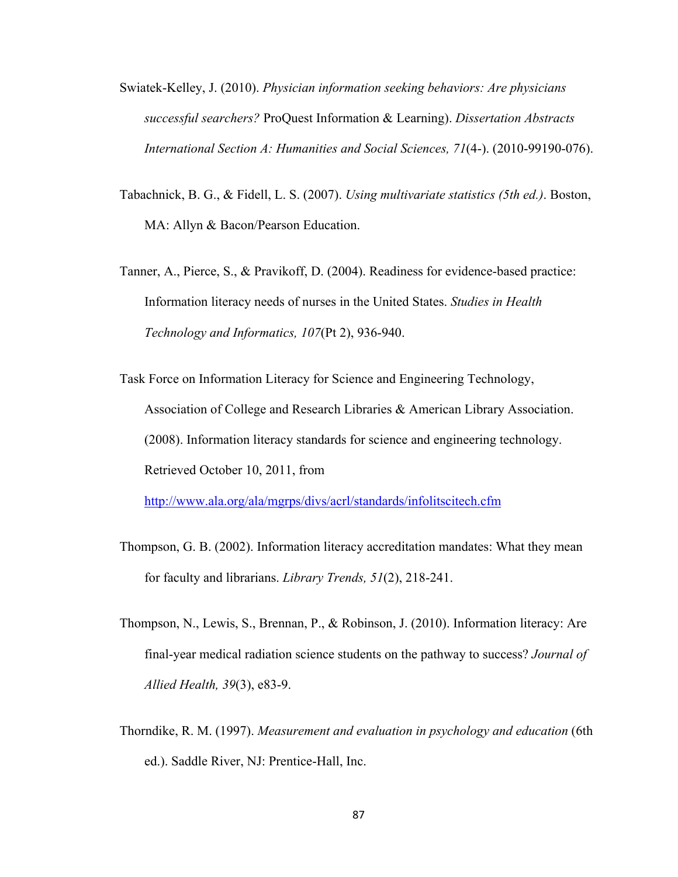- Swiatek-Kelley, J. (2010). *Physician information seeking behaviors: Are physicians successful searchers?* ProQuest Information & Learning). *Dissertation Abstracts International Section A: Humanities and Social Sciences, 71*(4-). (2010-99190-076).
- Tabachnick, B. G., & Fidell, L. S. (2007). *Using multivariate statistics (5th ed.)*. Boston, MA: Allyn & Bacon/Pearson Education.
- Tanner, A., Pierce, S., & Pravikoff, D. (2004). Readiness for evidence-based practice: Information literacy needs of nurses in the United States. *Studies in Health Technology and Informatics, 107*(Pt 2), 936-940.

Task Force on Information Literacy for Science and Engineering Technology, Association of College and Research Libraries & American Library Association. (2008). Information literacy standards for science and engineering technology. Retrieved October 10, 2011, from

http://www.ala.org/ala/mgrps/divs/acrl/standards/infolitscitech.cfm

- Thompson, G. B. (2002). Information literacy accreditation mandates: What they mean for faculty and librarians. *Library Trends, 51*(2), 218-241.
- Thompson, N., Lewis, S., Brennan, P., & Robinson, J. (2010). Information literacy: Are final-year medical radiation science students on the pathway to success? *Journal of Allied Health, 39*(3), e83-9.
- Thorndike, R. M. (1997). *Measurement and evaluation in psychology and education* (6th ed.). Saddle River, NJ: Prentice-Hall, Inc.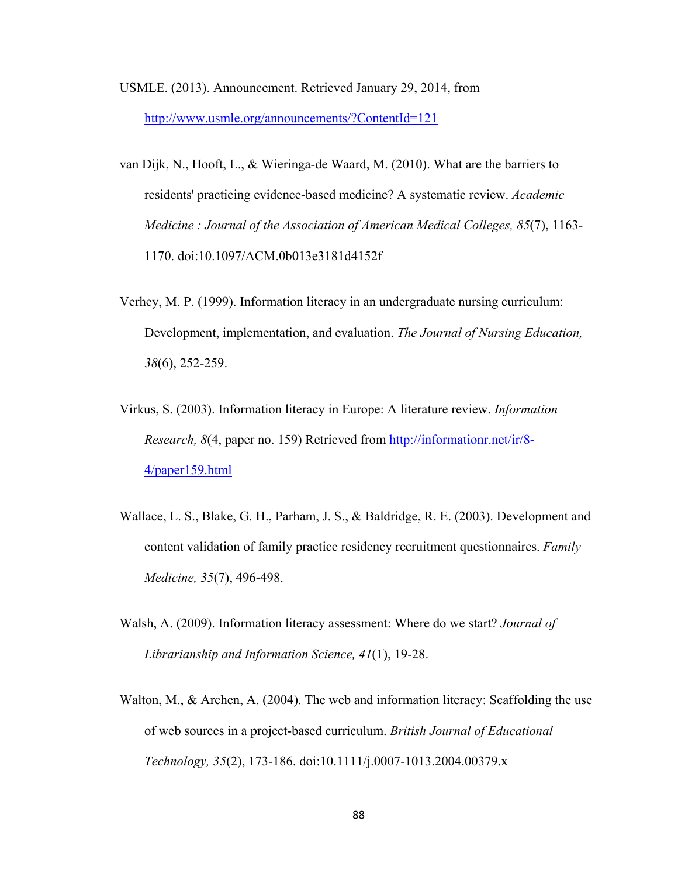- USMLE. (2013). Announcement. Retrieved January 29, 2014, from http://www.usmle.org/announcements/?ContentId=121
- van Dijk, N., Hooft, L., & Wieringa-de Waard, M. (2010). What are the barriers to residents' practicing evidence-based medicine? A systematic review. *Academic Medicine : Journal of the Association of American Medical Colleges, 85*(7), 1163- 1170. doi:10.1097/ACM.0b013e3181d4152f
- Verhey, M. P. (1999). Information literacy in an undergraduate nursing curriculum: Development, implementation, and evaluation. *The Journal of Nursing Education, 38*(6), 252-259.
- Virkus, S. (2003). Information literacy in Europe: A literature review. *Information Research, 8*(4, paper no. 159) Retrieved from http://informationr.net/ir/8- 4/paper159.html
- Wallace, L. S., Blake, G. H., Parham, J. S., & Baldridge, R. E. (2003). Development and content validation of family practice residency recruitment questionnaires. *Family Medicine, 35*(7), 496-498.
- Walsh, A. (2009). Information literacy assessment: Where do we start? *Journal of Librarianship and Information Science, 41*(1), 19-28.
- Walton, M., & Archen, A. (2004). The web and information literacy: Scaffolding the use of web sources in a project-based curriculum. *British Journal of Educational Technology, 35*(2), 173-186. doi:10.1111/j.0007-1013.2004.00379.x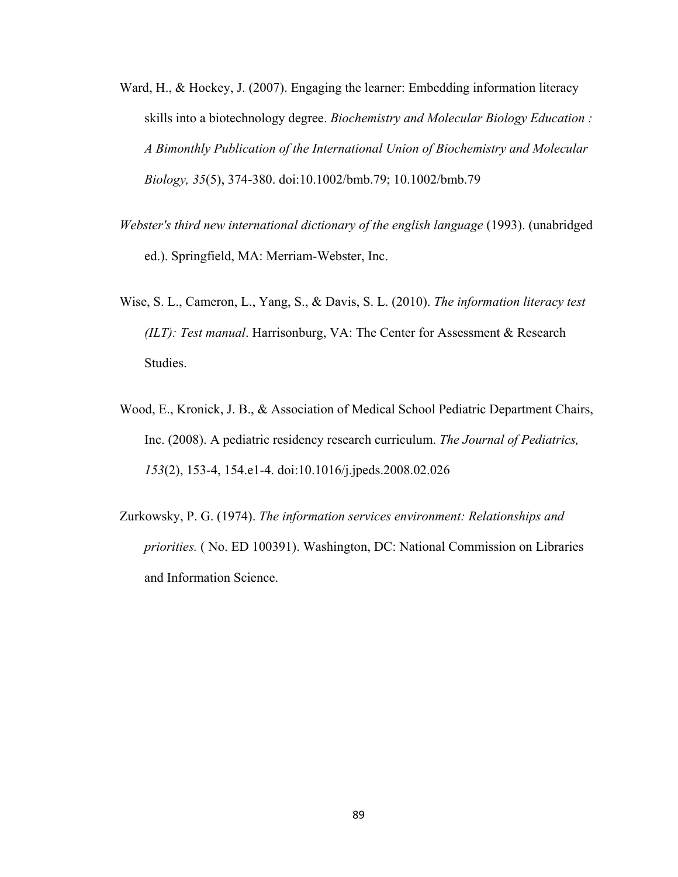- Ward, H., & Hockey, J. (2007). Engaging the learner: Embedding information literacy skills into a biotechnology degree. *Biochemistry and Molecular Biology Education : A Bimonthly Publication of the International Union of Biochemistry and Molecular Biology, 35*(5), 374-380. doi:10.1002/bmb.79; 10.1002/bmb.79
- *Webster's third new international dictionary of the english language* (1993). (unabridged ed.). Springfield, MA: Merriam-Webster, Inc.
- Wise, S. L., Cameron, L., Yang, S., & Davis, S. L. (2010). *The information literacy test (ILT): Test manual*. Harrisonburg, VA: The Center for Assessment & Research Studies.
- Wood, E., Kronick, J. B., & Association of Medical School Pediatric Department Chairs, Inc. (2008). A pediatric residency research curriculum. *The Journal of Pediatrics, 153*(2), 153-4, 154.e1-4. doi:10.1016/j.jpeds.2008.02.026
- Zurkowsky, P. G. (1974). *The information services environment: Relationships and priorities.* ( No. ED 100391). Washington, DC: National Commission on Libraries and Information Science.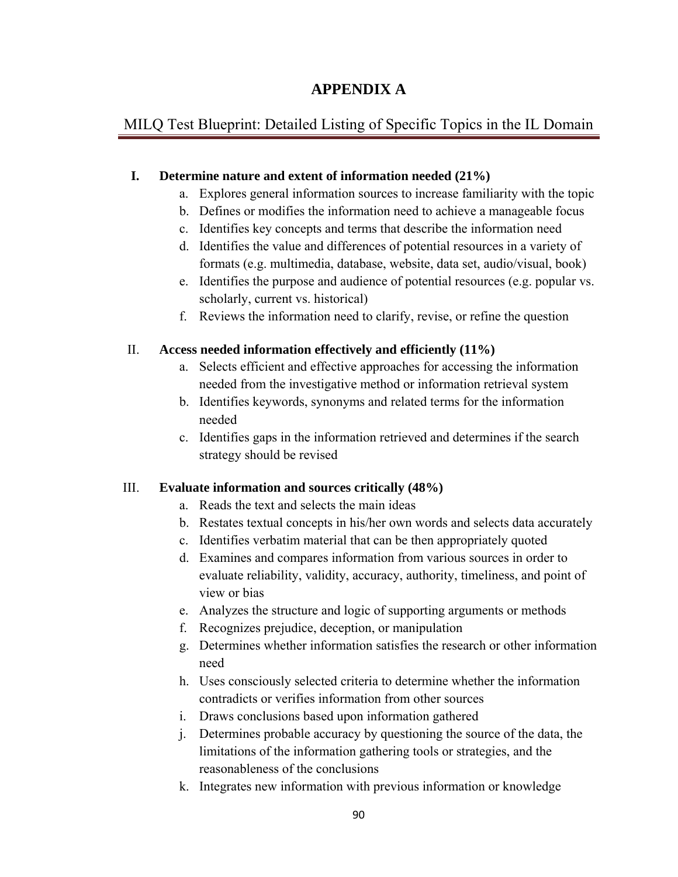## **APPENDIX A**

## MILQ Test Blueprint: Detailed Listing of Specific Topics in the IL Domain

### **I. Determine nature and extent of information needed (21%)**

- a. Explores general information sources to increase familiarity with the topic
- b. Defines or modifies the information need to achieve a manageable focus
- c. Identifies key concepts and terms that describe the information need
- d. Identifies the value and differences of potential resources in a variety of formats (e.g. multimedia, database, website, data set, audio/visual, book)
- e. Identifies the purpose and audience of potential resources (e.g. popular vs. scholarly, current vs. historical)
- f. Reviews the information need to clarify, revise, or refine the question

### II. **Access needed information effectively and efficiently (11%)**

- a. Selects efficient and effective approaches for accessing the information needed from the investigative method or information retrieval system
- b. Identifies keywords, synonyms and related terms for the information needed
- c. Identifies gaps in the information retrieved and determines if the search strategy should be revised

## III. **Evaluate information and sources critically (48%)**

- a. Reads the text and selects the main ideas
- b. Restates textual concepts in his/her own words and selects data accurately
- c. Identifies verbatim material that can be then appropriately quoted
- d. Examines and compares information from various sources in order to evaluate reliability, validity, accuracy, authority, timeliness, and point of view or bias
- e. Analyzes the structure and logic of supporting arguments or methods
- f. Recognizes prejudice, deception, or manipulation
- g. Determines whether information satisfies the research or other information need
- h. Uses consciously selected criteria to determine whether the information contradicts or verifies information from other sources
- i. Draws conclusions based upon information gathered
- j. Determines probable accuracy by questioning the source of the data, the limitations of the information gathering tools or strategies, and the reasonableness of the conclusions
- k. Integrates new information with previous information or knowledge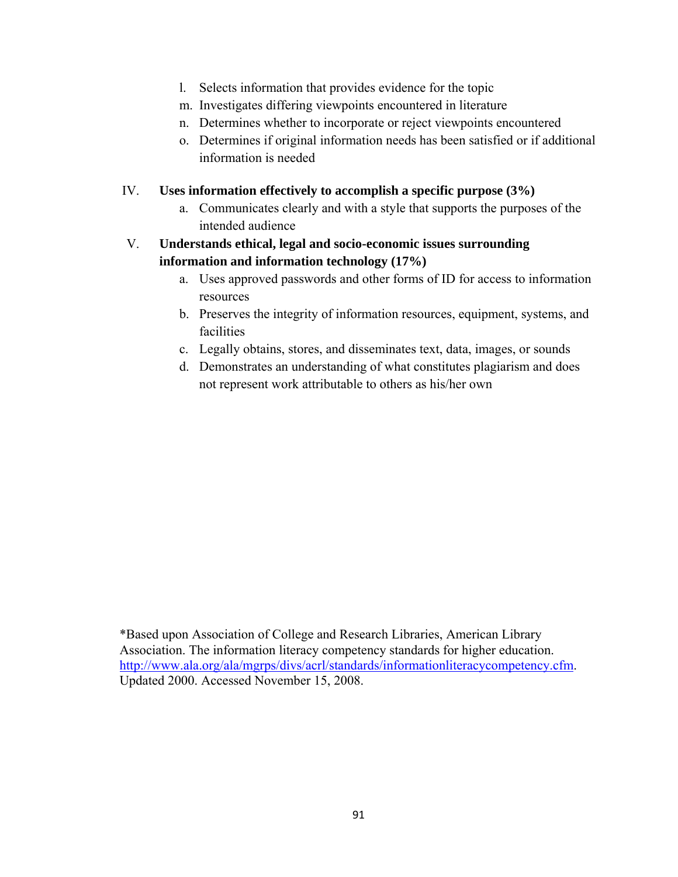- l. Selects information that provides evidence for the topic
- m. Investigates differing viewpoints encountered in literature
- n. Determines whether to incorporate or reject viewpoints encountered
- o. Determines if original information needs has been satisfied or if additional information is needed
- IV. **Uses information effectively to accomplish a specific purpose (3%)**
	- a. Communicates clearly and with a style that supports the purposes of the intended audience
- V. **Understands ethical, legal and socio-economic issues surrounding information and information technology (17%)**
	- a. Uses approved passwords and other forms of ID for access to information resources
	- b. Preserves the integrity of information resources, equipment, systems, and facilities
	- c. Legally obtains, stores, and disseminates text, data, images, or sounds
	- d. Demonstrates an understanding of what constitutes plagiarism and does not represent work attributable to others as his/her own

<sup>\*</sup>Based upon Association of College and Research Libraries, American Library Association. The information literacy competency standards for higher education. http://www.ala.org/ala/mgrps/divs/acrl/standards/informationliteracycompetency.cfm. Updated 2000. Accessed November 15, 2008.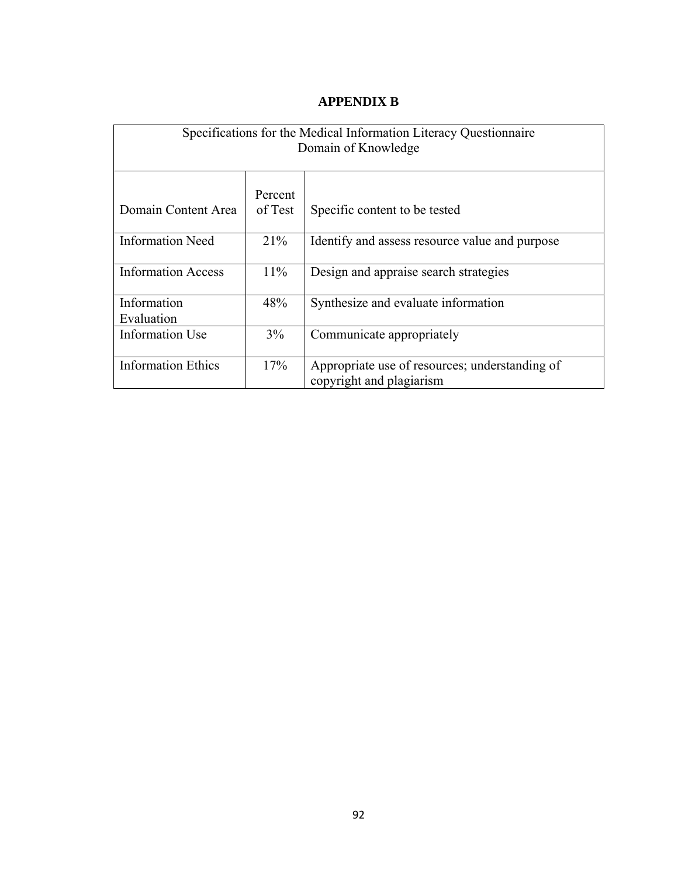| Specifications for the Medical Information Literacy Questionnaire<br>Domain of Knowledge |                    |                                                                            |  |  |  |
|------------------------------------------------------------------------------------------|--------------------|----------------------------------------------------------------------------|--|--|--|
| Domain Content Area                                                                      | Percent<br>of Test | Specific content to be tested                                              |  |  |  |
| <b>Information Need</b>                                                                  | 21%                | Identify and assess resource value and purpose                             |  |  |  |
| <b>Information Access</b>                                                                | $11\%$             | Design and appraise search strategies                                      |  |  |  |
| Information<br>Evaluation                                                                | 48%                | Synthesize and evaluate information                                        |  |  |  |
| Information Use                                                                          | 3%                 | Communicate appropriately                                                  |  |  |  |
| <b>Information Ethics</b>                                                                | 17%                | Appropriate use of resources; understanding of<br>copyright and plagiarism |  |  |  |

## **APPENDIX B**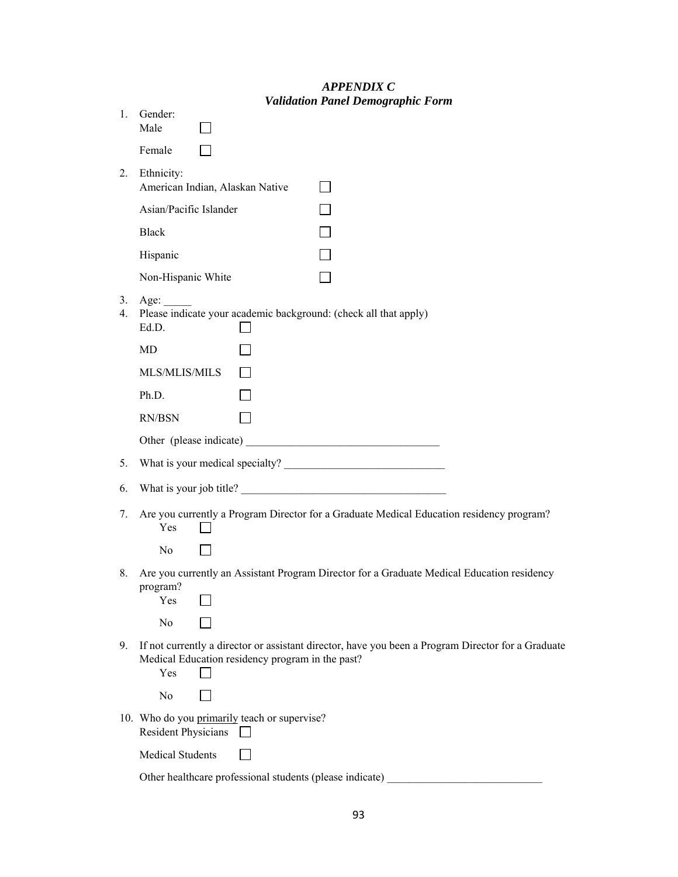|          | Validation Panel Demographic Form                                                                                                                             |
|----------|---------------------------------------------------------------------------------------------------------------------------------------------------------------|
| 1.       | Gender:<br>Male                                                                                                                                               |
|          | Female                                                                                                                                                        |
| 2.       | Ethnicity:<br>American Indian, Alaskan Native                                                                                                                 |
|          | Asian/Pacific Islander                                                                                                                                        |
|          | <b>Black</b>                                                                                                                                                  |
|          | Hispanic                                                                                                                                                      |
|          | Non-Hispanic White                                                                                                                                            |
| 3.<br>4. | Age: $\qquad \qquad$<br>Please indicate your academic background: (check all that apply)<br>Ed.D.                                                             |
|          | MD                                                                                                                                                            |
|          | MLS/MLIS/MILS                                                                                                                                                 |
|          | Ph.D.                                                                                                                                                         |
|          | RN/BSN                                                                                                                                                        |
|          |                                                                                                                                                               |
| 5.       |                                                                                                                                                               |
| 6.       | What is your job title?                                                                                                                                       |
| 7.       | Are you currently a Program Director for a Graduate Medical Education residency program?<br>Yes                                                               |
|          | No                                                                                                                                                            |
| 8.       | Are you currently an Assistant Program Director for a Graduate Medical Education residency<br>program?<br>Yes                                                 |
|          | N <sub>0</sub>                                                                                                                                                |
| 9.       | If not currently a director or assistant director, have you been a Program Director for a Graduate<br>Medical Education residency program in the past?<br>Yes |
|          | N <sub>0</sub>                                                                                                                                                |
|          | 10. Who do you primarily teach or supervise?<br><b>Resident Physicians</b>                                                                                    |
|          | <b>Medical Students</b>                                                                                                                                       |
|          | Other healthcare professional students (please indicate)                                                                                                      |

### *APPENDIX C Validation Panel Demographic Form*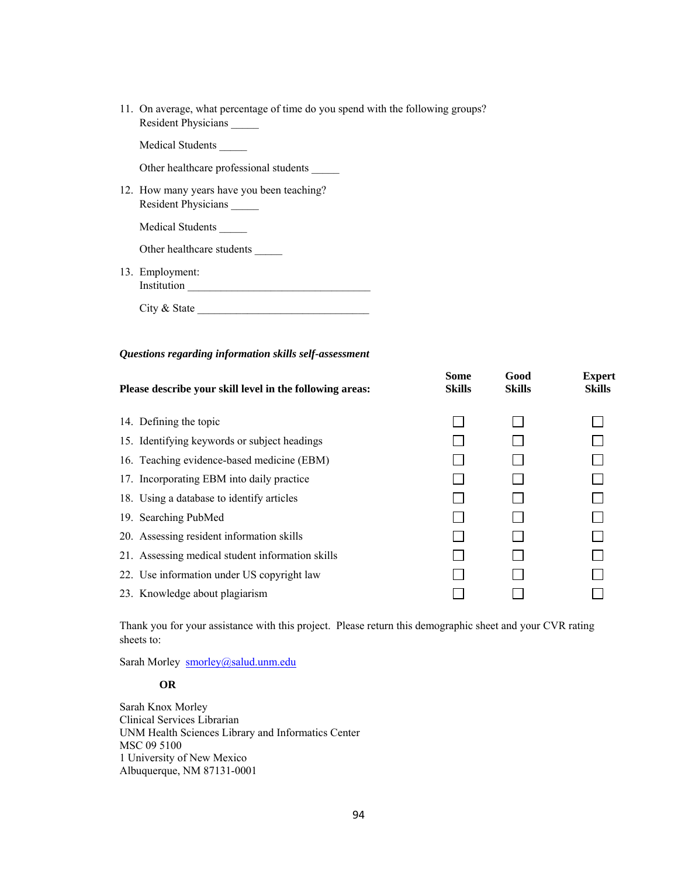11. On average, what percentage of time do you spend with the following groups? Resident Physicians \_\_\_\_\_

Medical Students \_\_\_\_\_

Other healthcare professional students

12. How many years have you been teaching? Resident Physicians \_\_\_\_\_

Medical Students \_\_\_\_\_

Other healthcare students \_\_\_\_\_

13. Employment: Institution  $\qquad \qquad$ 

City & State

#### *Questions regarding information skills self-assessment*

| Please describe your skill level in the following areas: | Some<br><b>Skills</b> | Good<br><b>Skills</b> | <b>Expert</b><br><b>Skills</b> |  |
|----------------------------------------------------------|-----------------------|-----------------------|--------------------------------|--|
| 14. Defining the topic                                   |                       |                       |                                |  |
| 15. Identifying keywords or subject headings             |                       |                       |                                |  |
| 16. Teaching evidence-based medicine (EBM)               |                       |                       |                                |  |
| 17. Incorporating EBM into daily practice                |                       |                       |                                |  |
| 18. Using a database to identify articles                |                       |                       |                                |  |
| 19. Searching PubMed                                     |                       |                       |                                |  |
| 20. Assessing resident information skills                |                       |                       |                                |  |
| 21. Assessing medical student information skills         |                       |                       |                                |  |
| 22. Use information under US copyright law               |                       |                       |                                |  |
| 23. Knowledge about plagiarism                           |                       |                       |                                |  |

Thank you for your assistance with this project. Please return this demographic sheet and your CVR rating sheets to:

Sarah Morley smorley@salud.unm.edu

### **OR**

Sarah Knox Morley Clinical Services Librarian UNM Health Sciences Library and Informatics Center MSC 09 5100 1 University of New Mexico Albuquerque, NM 87131-0001